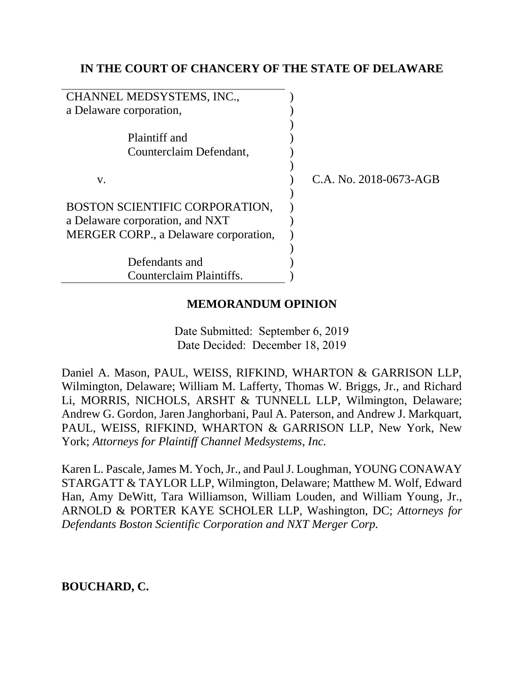# **IN THE COURT OF CHANCERY OF THE STATE OF DELAWARE**

| CHANNEL MEDSYSTEMS, INC.,             |                        |
|---------------------------------------|------------------------|
| a Delaware corporation,               |                        |
|                                       |                        |
| Plaintiff and                         |                        |
| Counterclaim Defendant,               |                        |
|                                       |                        |
| V.                                    | C.A. No. 2018-0673-AGB |
|                                       |                        |
| BOSTON SCIENTIFIC CORPORATION,        |                        |
| a Delaware corporation, and NXT       |                        |
| MERGER CORP., a Delaware corporation, |                        |
|                                       |                        |
| Defendants and                        |                        |
| Counterclaim Plaintiffs.              |                        |

# **MEMORANDUM OPINION**

Date Submitted: September 6, 2019 Date Decided: December 18, 2019

Daniel A. Mason, PAUL, WEISS, RIFKIND, WHARTON & GARRISON LLP, Wilmington, Delaware; William M. Lafferty, Thomas W. Briggs, Jr., and Richard Li, MORRIS, NICHOLS, ARSHT & TUNNELL LLP, Wilmington, Delaware; Andrew G. Gordon, Jaren Janghorbani, Paul A. Paterson, and Andrew J. Markquart, PAUL, WEISS, RIFKIND, WHARTON & GARRISON LLP, New York, New York; *Attorneys for Plaintiff Channel Medsystems, Inc.*

Karen L. Pascale, James M. Yoch, Jr., and Paul J. Loughman, YOUNG CONAWAY STARGATT & TAYLOR LLP, Wilmington, Delaware; Matthew M. Wolf, Edward Han, Amy DeWitt, Tara Williamson, William Louden, and William Young, Jr., ARNOLD & PORTER KAYE SCHOLER LLP, Washington, DC; *Attorneys for Defendants Boston Scientific Corporation and NXT Merger Corp.*

**BOUCHARD, C.**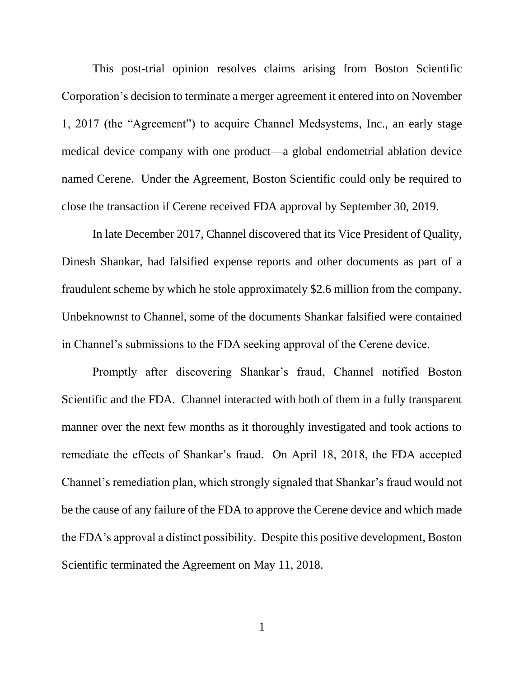This post-trial opinion resolves claims arising from Boston Scientific Corporation's decision to terminate a merger agreement it entered into on November 1, 2017 (the "Agreement") to acquire Channel Medsystems, Inc., an early stage medical device company with one product—a global endometrial ablation device named Cerene. Under the Agreement, Boston Scientific could only be required to close the transaction if Cerene received FDA approval by September 30, 2019.

In late December 2017, Channel discovered that its Vice President of Quality, Dinesh Shankar, had falsified expense reports and other documents as part of a fraudulent scheme by which he stole approximately \$2.6 million from the company. Unbeknownst to Channel, some of the documents Shankar falsified were contained in Channel's submissions to the FDA seeking approval of the Cerene device.

Promptly after discovering Shankar's fraud, Channel notified Boston Scientific and the FDA. Channel interacted with both of them in a fully transparent manner over the next few months as it thoroughly investigated and took actions to remediate the effects of Shankar's fraud. On April 18, 2018, the FDA accepted Channel's remediation plan, which strongly signaled that Shankar's fraud would not be the cause of any failure of the FDA to approve the Cerene device and which made the FDA's approval a distinct possibility. Despite this positive development, Boston Scientific terminated the Agreement on May 11, 2018.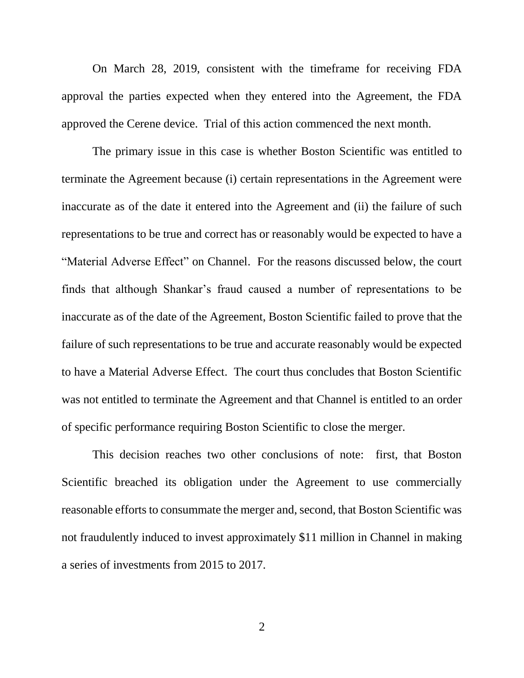On March 28, 2019, consistent with the timeframe for receiving FDA approval the parties expected when they entered into the Agreement, the FDA approved the Cerene device. Trial of this action commenced the next month.

The primary issue in this case is whether Boston Scientific was entitled to terminate the Agreement because (i) certain representations in the Agreement were inaccurate as of the date it entered into the Agreement and (ii) the failure of such representations to be true and correct has or reasonably would be expected to have a "Material Adverse Effect" on Channel. For the reasons discussed below, the court finds that although Shankar's fraud caused a number of representations to be inaccurate as of the date of the Agreement, Boston Scientific failed to prove that the failure of such representations to be true and accurate reasonably would be expected to have a Material Adverse Effect. The court thus concludes that Boston Scientific was not entitled to terminate the Agreement and that Channel is entitled to an order of specific performance requiring Boston Scientific to close the merger.

This decision reaches two other conclusions of note: first, that Boston Scientific breached its obligation under the Agreement to use commercially reasonable efforts to consummate the merger and, second, that Boston Scientific was not fraudulently induced to invest approximately \$11 million in Channel in making a series of investments from 2015 to 2017.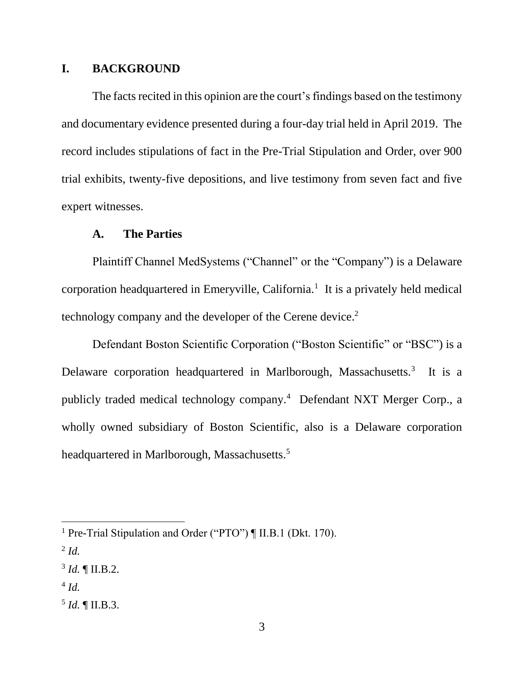## **I. BACKGROUND**

The facts recited in this opinion are the court's findings based on the testimony and documentary evidence presented during a four-day trial held in April 2019. The record includes stipulations of fact in the Pre-Trial Stipulation and Order, over 900 trial exhibits, twenty-five depositions, and live testimony from seven fact and five expert witnesses.

### **A. The Parties**

Plaintiff Channel MedSystems ("Channel" or the "Company") is a Delaware corporation headquartered in Emeryville, California.<sup>1</sup> It is a privately held medical technology company and the developer of the Cerene device.<sup>2</sup>

Defendant Boston Scientific Corporation ("Boston Scientific" or "BSC") is a Delaware corporation headquartered in Marlborough, Massachusetts.<sup>3</sup> It is a publicly traded medical technology company.<sup>4</sup> Defendant NXT Merger Corp., a wholly owned subsidiary of Boston Scientific, also is a Delaware corporation headquartered in Marlborough, Massachusetts.<sup>5</sup>

 $\overline{a}$ 

4 *Id.*

 $^{5}$  *Id.*  $\llbracket$  II.B.3.

<sup>&</sup>lt;sup>1</sup> Pre-Trial Stipulation and Order ("PTO") ¶ II.B.1 (Dkt. 170).

<sup>2</sup> *Id.*

 $3$  *Id.*  $\llbracket$  II.B.2.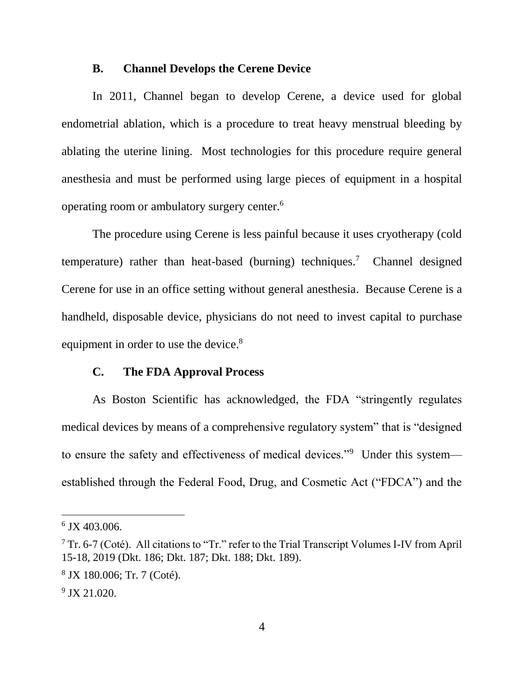#### **B. Channel Develops the Cerene Device**

In 2011, Channel began to develop Cerene, a device used for global endometrial ablation, which is a procedure to treat heavy menstrual bleeding by ablating the uterine lining. Most technologies for this procedure require general anesthesia and must be performed using large pieces of equipment in a hospital operating room or ambulatory surgery center.<sup>6</sup>

The procedure using Cerene is less painful because it uses cryotherapy (cold temperature) rather than heat-based (burning) techniques.<sup>7</sup> Channel designed Cerene for use in an office setting without general anesthesia. Because Cerene is a handheld, disposable device, physicians do not need to invest capital to purchase equipment in order to use the device.<sup>8</sup>

### **C. The FDA Approval Process**

As Boston Scientific has acknowledged, the FDA "stringently regulates medical devices by means of a comprehensive regulatory system" that is "designed to ensure the safety and effectiveness of medical devices."<sup>9</sup> Under this systemestablished through the Federal Food, Drug, and Cosmetic Act ("FDCA") and the

<sup>6</sup> JX 403.006.

 $7$  Tr. 6-7 (Coté). All citations to "Tr." refer to the Trial Transcript Volumes I-IV from April 15-18, 2019 (Dkt. 186; Dkt. 187; Dkt. 188; Dkt. 189).

<sup>8</sup> JX 180.006; Tr. 7 (Coté).

<sup>9</sup> JX 21.020.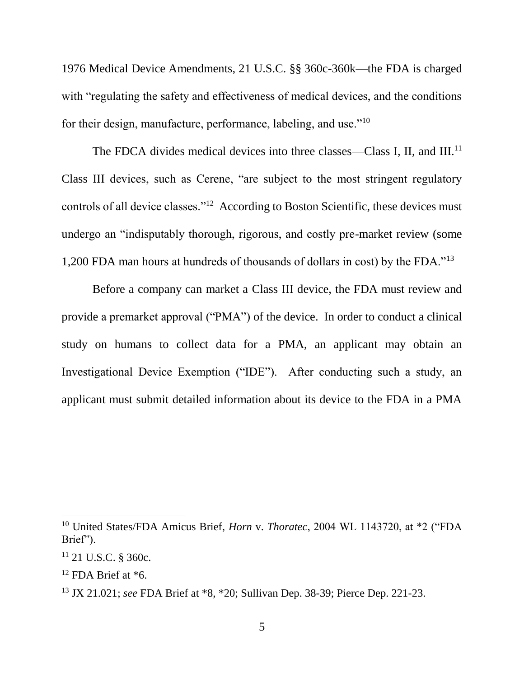1976 Medical Device Amendments, 21 U.S.C. §§ 360c-360k—the FDA is charged with "regulating the safety and effectiveness of medical devices, and the conditions for their design, manufacture, performance, labeling, and use."<sup>10</sup>

The FDCA divides medical devices into three classes—Class I, II, and III.<sup>11</sup> Class III devices, such as Cerene, "are subject to the most stringent regulatory controls of all device classes."<sup>12</sup> According to Boston Scientific, these devices must undergo an "indisputably thorough, rigorous, and costly pre-market review (some 1,200 FDA man hours at hundreds of thousands of dollars in cost) by the FDA."<sup>13</sup>

Before a company can market a Class III device, the FDA must review and provide a premarket approval ("PMA") of the device. In order to conduct a clinical study on humans to collect data for a PMA, an applicant may obtain an Investigational Device Exemption ("IDE"). After conducting such a study, an applicant must submit detailed information about its device to the FDA in a PMA

<sup>10</sup> United States/FDA Amicus Brief, *Horn* v. *Thoratec*, 2004 WL 1143720, at \*2 ("FDA Brief").

 $11$  21 U.S.C. § 360c.

 $12$  FDA Brief at  $*6$ .

<sup>13</sup> JX 21.021; *see* FDA Brief at \*8, \*20; Sullivan Dep. 38-39; Pierce Dep. 221-23.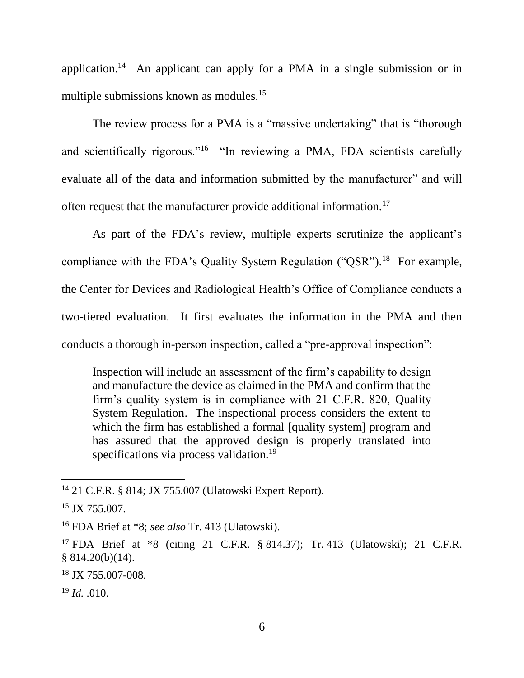application.<sup>14</sup> An applicant can apply for a PMA in a single submission or in multiple submissions known as modules.<sup>15</sup>

The review process for a PMA is a "massive undertaking" that is "thorough and scientifically rigorous."<sup>16</sup> "In reviewing a PMA, FDA scientists carefully evaluate all of the data and information submitted by the manufacturer" and will often request that the manufacturer provide additional information.<sup>17</sup>

As part of the FDA's review, multiple experts scrutinize the applicant's compliance with the FDA's Quality System Regulation  $("QSR")$ .<sup>18</sup> For example, the Center for Devices and Radiological Health's Office of Compliance conducts a two-tiered evaluation. It first evaluates the information in the PMA and then conducts a thorough in-person inspection, called a "pre-approval inspection":

Inspection will include an assessment of the firm's capability to design and manufacture the device as claimed in the PMA and confirm that the firm's quality system is in compliance with 21 C.F.R. 820, Quality System Regulation. The inspectional process considers the extent to which the firm has established a formal [quality system] program and has assured that the approved design is properly translated into specifications via process validation.<sup>19</sup>

<sup>14</sup> 21 C.F.R. § 814; JX 755.007 (Ulatowski Expert Report).

<sup>&</sup>lt;sup>15</sup> JX 755.007.

<sup>16</sup> FDA Brief at \*8; *see also* Tr. 413 (Ulatowski).

<sup>17</sup> FDA Brief at \*8 (citing 21 C.F.R. § 814.37); Tr. 413 (Ulatowski); 21 C.F.R. § 814.20(b)(14).

<sup>18</sup> JX 755.007-008.

<sup>19</sup> *Id.* .010.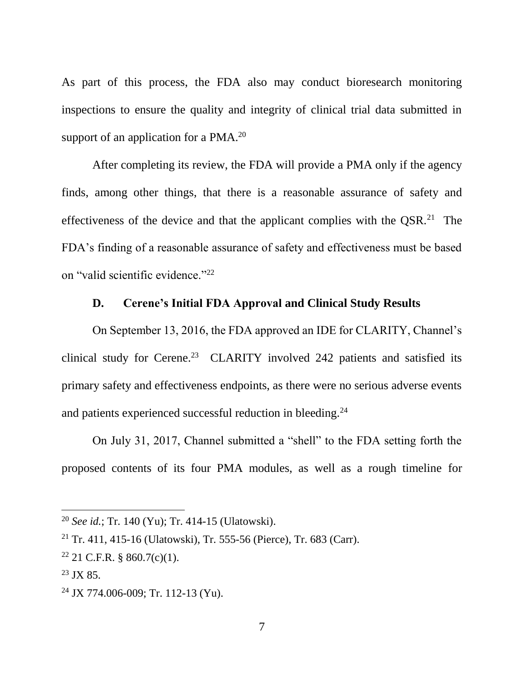As part of this process, the FDA also may conduct bioresearch monitoring inspections to ensure the quality and integrity of clinical trial data submitted in support of an application for a  $PMA.<sup>20</sup>$ 

After completing its review, the FDA will provide a PMA only if the agency finds, among other things, that there is a reasonable assurance of safety and effectiveness of the device and that the applicant complies with the  $\text{QSR}^2$ . The FDA's finding of a reasonable assurance of safety and effectiveness must be based on "valid scientific evidence."<sup>22</sup>

# **D. Cerene's Initial FDA Approval and Clinical Study Results**

On September 13, 2016, the FDA approved an IDE for CLARITY, Channel's clinical study for Cerene.<sup>23</sup> CLARITY involved 242 patients and satisfied its primary safety and effectiveness endpoints, as there were no serious adverse events and patients experienced successful reduction in bleeding.<sup>24</sup>

On July 31, 2017, Channel submitted a "shell" to the FDA setting forth the proposed contents of its four PMA modules, as well as a rough timeline for

<sup>20</sup> *See id.*; Tr. 140 (Yu); Tr. 414-15 (Ulatowski).

<sup>21</sup> Tr. 411, 415-16 (Ulatowski), Tr. 555-56 (Pierce), Tr. 683 (Carr).

 $22$  21 C.F.R. § 860.7(c)(1).

 $23$  JX 85.

 $24$  JX 774.006-009; Tr. 112-13 (Yu).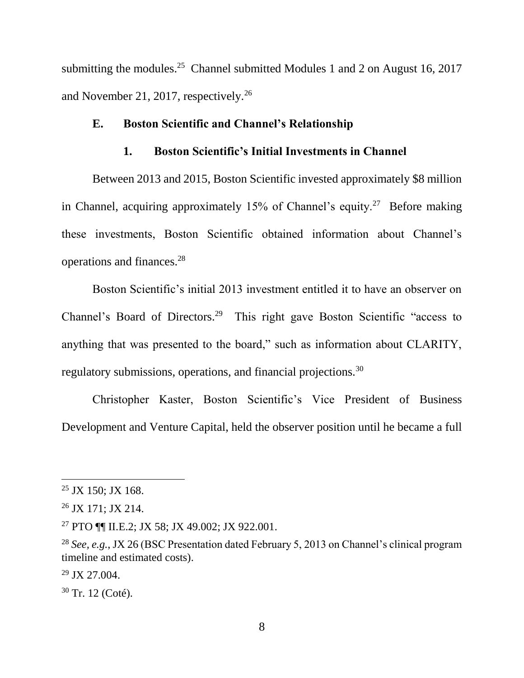submitting the modules.<sup>25</sup> Channel submitted Modules 1 and 2 on August 16, 2017 and November 21, 2017, respectively.<sup>26</sup>

### **E. Boston Scientific and Channel's Relationship**

## **1. Boston Scientific's Initial Investments in Channel**

Between 2013 and 2015, Boston Scientific invested approximately \$8 million in Channel, acquiring approximately  $15%$  of Channel's equity.<sup>27</sup> Before making these investments, Boston Scientific obtained information about Channel's operations and finances.<sup>28</sup>

Boston Scientific's initial 2013 investment entitled it to have an observer on Channel's Board of Directors.<sup>29</sup> This right gave Boston Scientific "access to anything that was presented to the board," such as information about CLARITY, regulatory submissions, operations, and financial projections.<sup>30</sup>

Christopher Kaster, Boston Scientific's Vice President of Business Development and Venture Capital, held the observer position until he became a full

 $25$  JX 150; JX 168.

<sup>26</sup> JX 171; JX 214.

<sup>27</sup> PTO ¶¶ II.E.2; JX 58; JX 49.002; JX 922.001.

<sup>28</sup> *See, e.g.*, JX 26 (BSC Presentation dated February 5, 2013 on Channel's clinical program timeline and estimated costs).

 $29$  JX 27.004.

<sup>30</sup> Tr. 12 (Coté).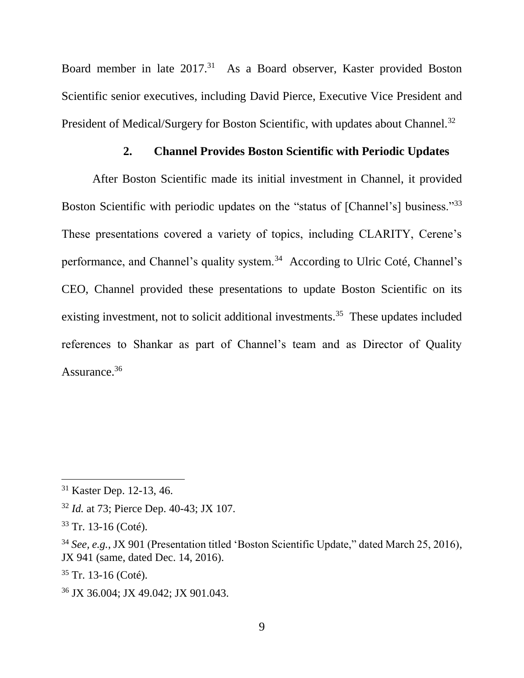Board member in late 2017.<sup>31</sup> As a Board observer, Kaster provided Boston Scientific senior executives, including David Pierce, Executive Vice President and President of Medical/Surgery for Boston Scientific, with updates about Channel.<sup>32</sup>

## **2. Channel Provides Boston Scientific with Periodic Updates**

After Boston Scientific made its initial investment in Channel, it provided Boston Scientific with periodic updates on the "status of [Channel's] business."<sup>33</sup> These presentations covered a variety of topics, including CLARITY, Cerene's performance, and Channel's quality system.<sup>34</sup> According to Ulric Coté, Channel's CEO, Channel provided these presentations to update Boston Scientific on its existing investment, not to solicit additional investments.<sup>35</sup> These updates included references to Shankar as part of Channel's team and as Director of Quality Assurance.<sup>36</sup>

 $\overline{a}$ 

 $35$  Tr. 13-16 (Coté).

<sup>31</sup> Kaster Dep. 12-13, 46.

<sup>32</sup> *Id.* at 73; Pierce Dep. 40-43; JX 107.

<sup>33</sup> Tr. 13-16 (Coté).

<sup>34</sup> *See, e.g.*, JX 901 (Presentation titled 'Boston Scientific Update," dated March 25, 2016), JX 941 (same, dated Dec. 14, 2016).

<sup>36</sup> JX 36.004; JX 49.042; JX 901.043.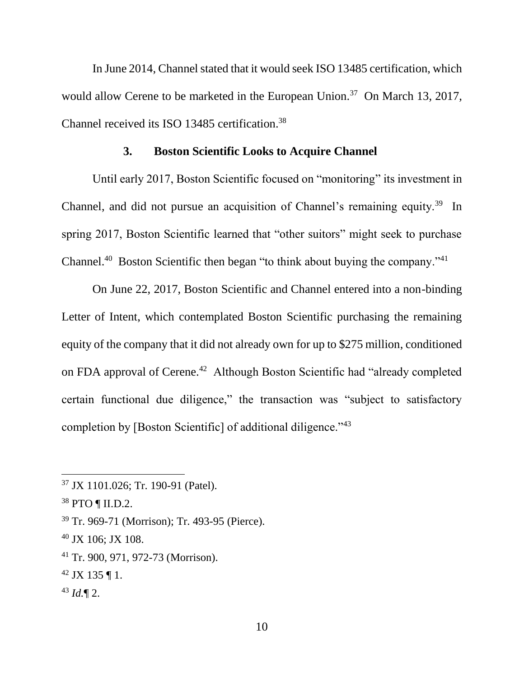In June 2014, Channel stated that it would seek ISO 13485 certification, which would allow Cerene to be marketed in the European Union.<sup>37</sup> On March 13, 2017, Channel received its ISO 13485 certification. 38

### **3. Boston Scientific Looks to Acquire Channel**

Until early 2017, Boston Scientific focused on "monitoring" its investment in Channel, and did not pursue an acquisition of Channel's remaining equity.<sup>39</sup> In spring 2017, Boston Scientific learned that "other suitors" might seek to purchase Channel.<sup>40</sup> Boston Scientific then began "to think about buying the company."<sup>41</sup>

On June 22, 2017, Boston Scientific and Channel entered into a non-binding Letter of Intent, which contemplated Boston Scientific purchasing the remaining equity of the company that it did not already own for up to \$275 million, conditioned on FDA approval of Cerene.<sup>42</sup> Although Boston Scientific had "already completed certain functional due diligence," the transaction was "subject to satisfactory completion by [Boston Scientific] of additional diligence."<sup>43</sup>

- $42$  JX 135 ¶ 1.
- <sup>43</sup> *Id.*¶ 2.

<sup>37</sup> JX 1101.026; Tr. 190-91 (Patel).

<sup>38</sup> PTO ¶ II.D.2.

<sup>39</sup> Tr. 969-71 (Morrison); Tr. 493-95 (Pierce).

<sup>40</sup> JX 106; JX 108.

<sup>41</sup> Tr. 900, 971, 972-73 (Morrison).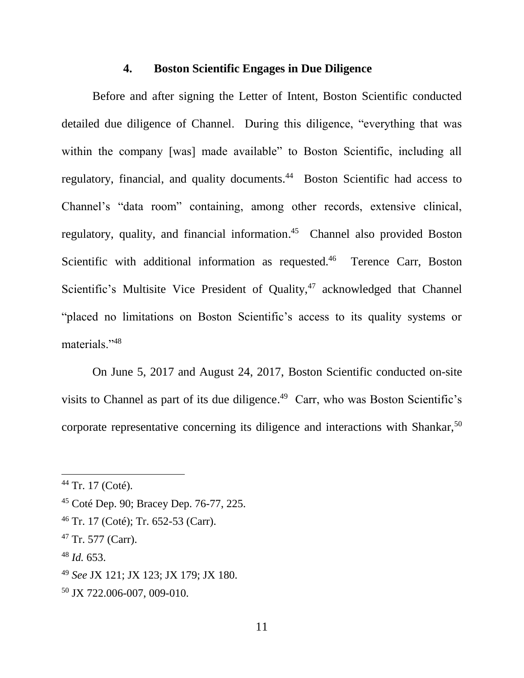#### **4. Boston Scientific Engages in Due Diligence**

Before and after signing the Letter of Intent, Boston Scientific conducted detailed due diligence of Channel. During this diligence, "everything that was within the company [was] made available" to Boston Scientific, including all regulatory, financial, and quality documents.<sup>44</sup> Boston Scientific had access to Channel's "data room" containing, among other records, extensive clinical, regulatory, quality, and financial information. <sup>45</sup> Channel also provided Boston Scientific with additional information as requested.<sup>46</sup> Terence Carr, Boston Scientific's Multisite Vice President of Quality, $47$  acknowledged that Channel "placed no limitations on Boston Scientific's access to its quality systems or materials."<sup>48</sup>

On June 5, 2017 and August 24, 2017, Boston Scientific conducted on-site visits to Channel as part of its due diligence. <sup>49</sup> Carr, who was Boston Scientific's corporate representative concerning its diligence and interactions with Shankar,<sup>50</sup>

 $\overline{a}$ 

<sup>48</sup> *Id.* 653.

 $44$  Tr. 17 (Coté).

<sup>45</sup> Coté Dep. 90; Bracey Dep. 76-77, 225.

<sup>46</sup> Tr. 17 (Coté); Tr. 652-53 (Carr).

 $47$  Tr. 577 (Carr).

<sup>49</sup> *See* JX 121; JX 123; JX 179; JX 180.

<sup>50</sup> JX 722.006-007, 009-010.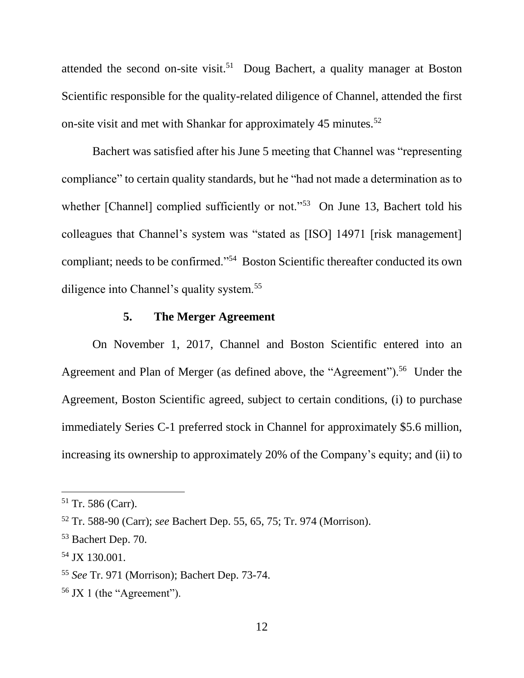attended the second on-site visit.<sup>51</sup> Doug Bachert, a quality manager at Boston Scientific responsible for the quality-related diligence of Channel, attended the first on-site visit and met with Shankar for approximately 45 minutes.<sup>52</sup>

Bachert was satisfied after his June 5 meeting that Channel was "representing compliance" to certain quality standards, but he "had not made a determination as to whether [Channel] complied sufficiently or not."<sup>53</sup> On June 13, Bachert told his colleagues that Channel's system was "stated as [ISO] 14971 [risk management] compliant; needs to be confirmed."<sup>54</sup> Boston Scientific thereafter conducted its own diligence into Channel's quality system.<sup>55</sup>

# **5. The Merger Agreement**

On November 1, 2017, Channel and Boston Scientific entered into an Agreement and Plan of Merger (as defined above, the "Agreement").<sup>56</sup> Under the Agreement, Boston Scientific agreed, subject to certain conditions, (i) to purchase immediately Series C-1 preferred stock in Channel for approximately \$5.6 million, increasing its ownership to approximately 20% of the Company's equity; and (ii) to

 $51$  Tr. 586 (Carr).

<sup>52</sup> Tr. 588-90 (Carr); *see* Bachert Dep. 55, 65, 75; Tr. 974 (Morrison).

<sup>53</sup> Bachert Dep. 70.

<sup>54</sup> JX 130.001.

<sup>55</sup> *See* Tr. 971 (Morrison); Bachert Dep. 73-74.

<sup>56</sup> JX 1 (the "Agreement").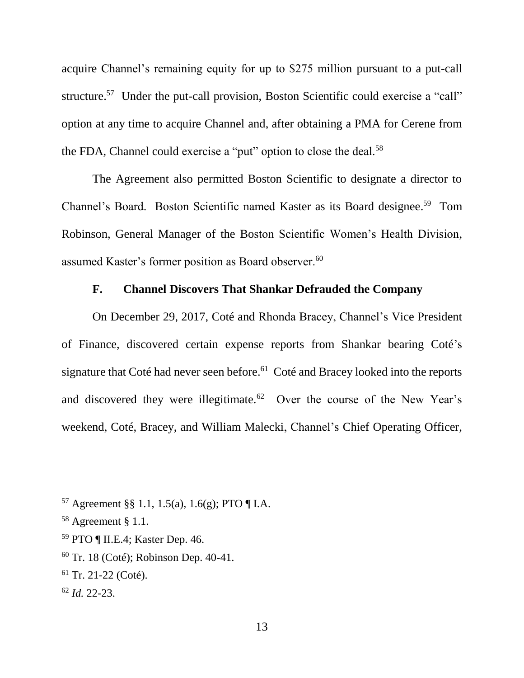acquire Channel's remaining equity for up to \$275 million pursuant to a put-call structure.<sup>57</sup> Under the put-call provision, Boston Scientific could exercise a "call" option at any time to acquire Channel and, after obtaining a PMA for Cerene from the FDA, Channel could exercise a "put" option to close the deal.<sup>58</sup>

The Agreement also permitted Boston Scientific to designate a director to Channel's Board. Boston Scientific named Kaster as its Board designee. 59 Tom Robinson, General Manager of the Boston Scientific Women's Health Division, assumed Kaster's former position as Board observer.<sup>60</sup>

# **F. Channel Discovers That Shankar Defrauded the Company**

On December 29, 2017, Coté and Rhonda Bracey, Channel's Vice President of Finance, discovered certain expense reports from Shankar bearing Coté's signature that Coté had never seen before.<sup>61</sup> Coté and Bracey looked into the reports and discovered they were illegitimate.<sup>62</sup> Over the course of the New Year's weekend, Coté, Bracey, and William Malecki, Channel's Chief Operating Officer,

<sup>59</sup> PTO ¶ II.E.4; Kaster Dep. 46.

<sup>57</sup> Agreement §§ 1.1, 1.5(a), 1.6(g); PTO ¶ I.A.

<sup>58</sup> Agreement § 1.1.

<sup>60</sup> Tr. 18 (Coté); Robinson Dep. 40-41.

 $61$  Tr. 21-22 (Coté).

<sup>62</sup> *Id.* 22-23.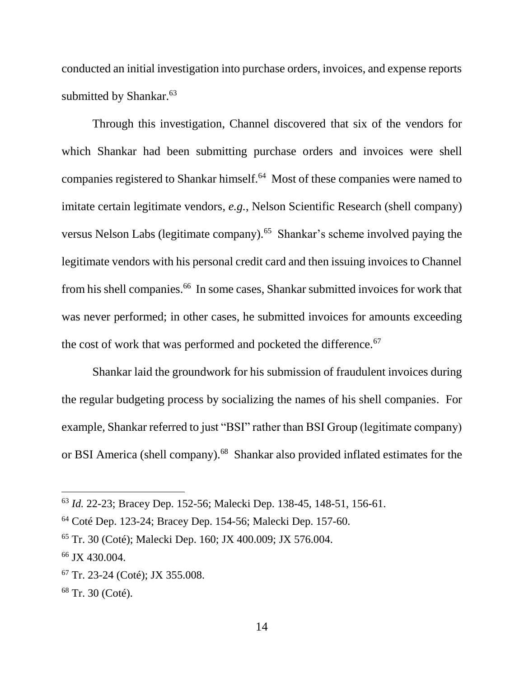conducted an initial investigation into purchase orders, invoices, and expense reports submitted by Shankar.<sup>63</sup>

Through this investigation, Channel discovered that six of the vendors for which Shankar had been submitting purchase orders and invoices were shell companies registered to Shankar himself.<sup>64</sup> Most of these companies were named to imitate certain legitimate vendors, *e.g.*, Nelson Scientific Research (shell company) versus Nelson Labs (legitimate company).<sup>65</sup> Shankar's scheme involved paying the legitimate vendors with his personal credit card and then issuing invoices to Channel from his shell companies.<sup>66</sup> In some cases, Shankar submitted invoices for work that was never performed; in other cases, he submitted invoices for amounts exceeding the cost of work that was performed and pocketed the difference.<sup>67</sup>

Shankar laid the groundwork for his submission of fraudulent invoices during the regular budgeting process by socializing the names of his shell companies. For example, Shankar referred to just "BSI" rather than BSI Group (legitimate company) or BSI America (shell company).<sup>68</sup> Shankar also provided inflated estimates for the

<sup>63</sup> *Id.* 22-23; Bracey Dep. 152-56; Malecki Dep. 138-45, 148-51, 156-61.

<sup>64</sup> Coté Dep. 123-24; Bracey Dep. 154-56; Malecki Dep. 157-60.

<sup>65</sup> Tr. 30 (Coté); Malecki Dep. 160; JX 400.009; JX 576.004.

<sup>66</sup> JX 430.004.

<sup>67</sup> Tr. 23-24 (Coté); JX 355.008.

<sup>68</sup> Tr. 30 (Coté).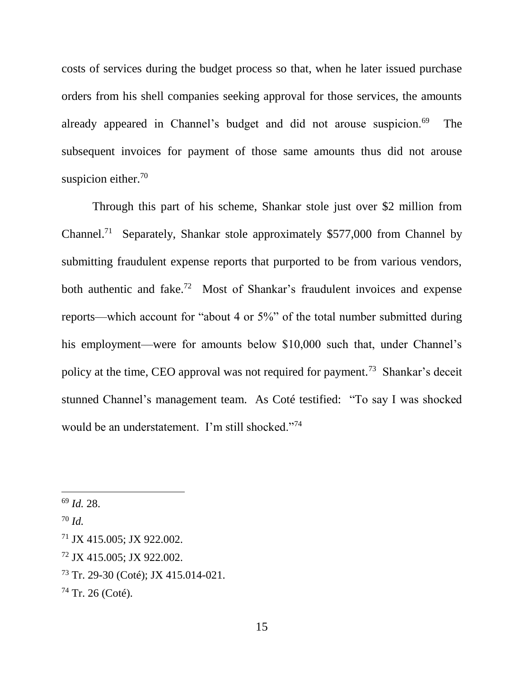costs of services during the budget process so that, when he later issued purchase orders from his shell companies seeking approval for those services, the amounts already appeared in Channel's budget and did not arouse suspicion.<sup>69</sup> The subsequent invoices for payment of those same amounts thus did not arouse suspicion either.<sup>70</sup>

Through this part of his scheme, Shankar stole just over \$2 million from Channel.<sup>71</sup> Separately, Shankar stole approximately \$577,000 from Channel by submitting fraudulent expense reports that purported to be from various vendors, both authentic and fake.<sup>72</sup> Most of Shankar's fraudulent invoices and expense reports—which account for "about 4 or 5%" of the total number submitted during his employment—were for amounts below \$10,000 such that, under Channel's policy at the time, CEO approval was not required for payment.<sup>73</sup> Shankar's deceit stunned Channel's management team. As Coté testified: "To say I was shocked would be an understatement. I'm still shocked."<sup>74</sup>

- <sup>72</sup> JX 415.005; JX 922.002.
- <sup>73</sup> Tr. 29-30 (Coté); JX 415.014-021.

<sup>69</sup> *Id.* 28.

<sup>70</sup> *Id.*

<sup>71</sup> JX 415.005; JX 922.002.

<sup>74</sup> Tr. 26 (Coté).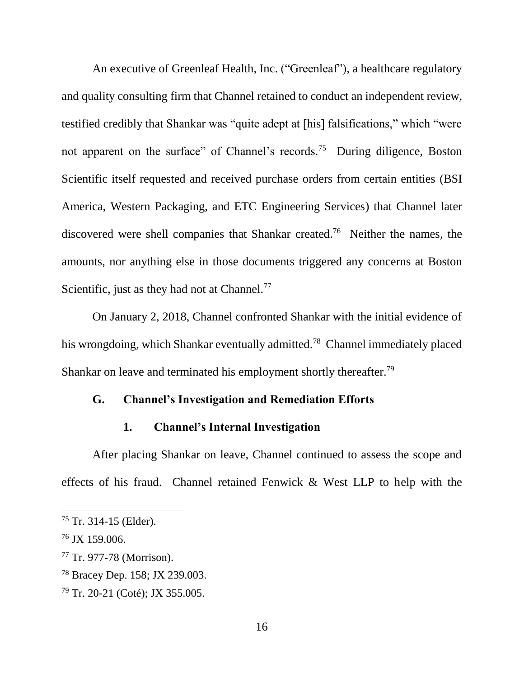An executive of Greenleaf Health, Inc. ("Greenleaf"), a healthcare regulatory and quality consulting firm that Channel retained to conduct an independent review, testified credibly that Shankar was "quite adept at [his] falsifications," which "were not apparent on the surface" of Channel's records.<sup>75</sup> During diligence, Boston Scientific itself requested and received purchase orders from certain entities (BSI America, Western Packaging, and ETC Engineering Services) that Channel later discovered were shell companies that Shankar created.<sup>76</sup> Neither the names, the amounts, nor anything else in those documents triggered any concerns at Boston Scientific, just as they had not at Channel. $^{77}$ 

On January 2, 2018, Channel confronted Shankar with the initial evidence of his wrongdoing, which Shankar eventually admitted.<sup>78</sup> Channel immediately placed Shankar on leave and terminated his employment shortly thereafter.<sup>79</sup>

## **G. Channel's Investigation and Remediation Efforts**

# **1. Channel's Internal Investigation**

After placing Shankar on leave, Channel continued to assess the scope and effects of his fraud. Channel retained Fenwick & West LLP to help with the

 $75$  Tr. 314-15 (Elder).

<sup>76</sup> JX 159.006.

<sup>77</sup> Tr. 977-78 (Morrison).

<sup>78</sup> Bracey Dep. 158; JX 239.003.

<sup>79</sup> Tr. 20-21 (Coté); JX 355.005.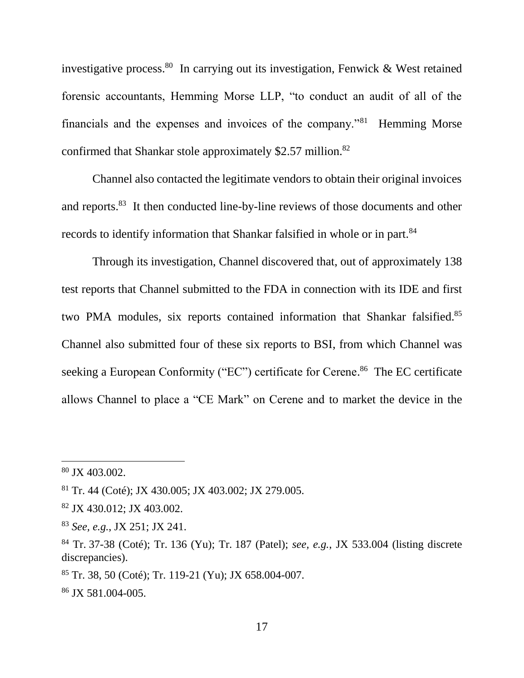investigative process.<sup>80</sup> In carrying out its investigation, Fenwick & West retained forensic accountants, Hemming Morse LLP, "to conduct an audit of all of the financials and the expenses and invoices of the company."<sup>81</sup> Hemming Morse confirmed that Shankar stole approximately \$2.57 million. $82$ 

Channel also contacted the legitimate vendors to obtain their original invoices and reports.<sup>83</sup> It then conducted line-by-line reviews of those documents and other records to identify information that Shankar falsified in whole or in part.<sup>84</sup>

Through its investigation, Channel discovered that, out of approximately 138 test reports that Channel submitted to the FDA in connection with its IDE and first two PMA modules, six reports contained information that Shankar falsified.<sup>85</sup> Channel also submitted four of these six reports to BSI, from which Channel was seeking a European Conformity ("EC") certificate for Cerene.<sup>86</sup> The EC certificate allows Channel to place a "CE Mark" on Cerene and to market the device in the

<sup>80</sup> JX 403.002.

<sup>81</sup> Tr. 44 (Coté); JX 430.005; JX 403.002; JX 279.005.

<sup>82</sup> JX 430.012; JX 403.002.

<sup>83</sup> *See, e.g.*, JX 251; JX 241.

<sup>84</sup> Tr. 37-38 (Coté); Tr. 136 (Yu); Tr. 187 (Patel); *see, e.g.*, JX 533.004 (listing discrete discrepancies).

 $85$  Tr. 38, 50 (Coté); Tr. 119-21 (Yu); JX 658.004-007.

<sup>86</sup> JX 581.004-005.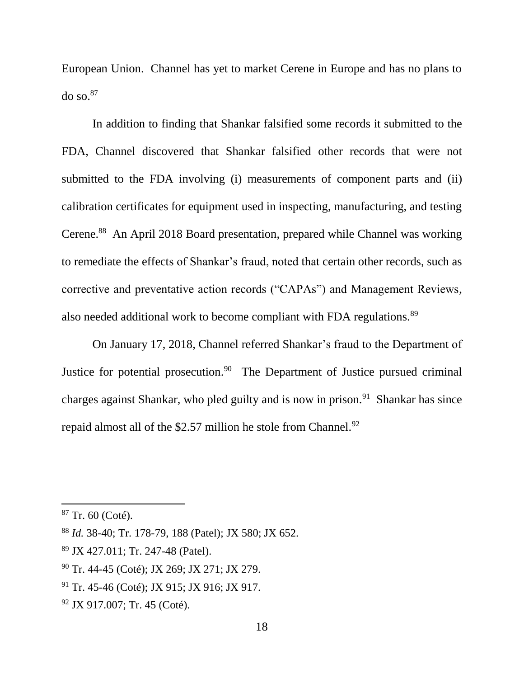European Union. Channel has yet to market Cerene in Europe and has no plans to do so. $87$ 

In addition to finding that Shankar falsified some records it submitted to the FDA, Channel discovered that Shankar falsified other records that were not submitted to the FDA involving (i) measurements of component parts and (ii) calibration certificates for equipment used in inspecting, manufacturing, and testing Cerene.<sup>88</sup> An April 2018 Board presentation, prepared while Channel was working to remediate the effects of Shankar's fraud, noted that certain other records, such as corrective and preventative action records ("CAPAs") and Management Reviews, also needed additional work to become compliant with FDA regulations.<sup>89</sup>

On January 17, 2018, Channel referred Shankar's fraud to the Department of Justice for potential prosecution.<sup>90</sup> The Department of Justice pursued criminal charges against Shankar, who pled guilty and is now in prison.<sup>91</sup> Shankar has since repaid almost all of the \$2.57 million he stole from Channel.<sup>92</sup>

 $\overline{a}$ 

<sup>92</sup> JX 917.007; Tr. 45 (Coté).

 $87$  Tr. 60 (Coté).

<sup>88</sup> *Id.* 38-40; Tr. 178-79, 188 (Patel); JX 580; JX 652.

<sup>89</sup> JX 427.011; Tr. 247-48 (Patel).

<sup>90</sup> Tr. 44-45 (Coté); JX 269; JX 271; JX 279.

<sup>&</sup>lt;sup>91</sup> Tr. 45-46 (Coté); JX 915; JX 916; JX 917.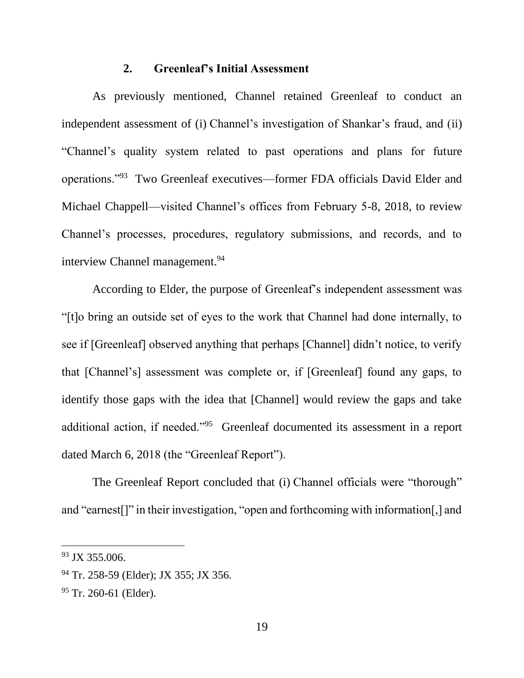### **2. Greenleaf's Initial Assessment**

As previously mentioned, Channel retained Greenleaf to conduct an independent assessment of (i) Channel's investigation of Shankar's fraud, and (ii) "Channel's quality system related to past operations and plans for future operations."<sup>93</sup> Two Greenleaf executives—former FDA officials David Elder and Michael Chappell—visited Channel's offices from February 5-8, 2018, to review Channel's processes, procedures, regulatory submissions, and records, and to interview Channel management.<sup>94</sup>

According to Elder, the purpose of Greenleaf's independent assessment was "[t]o bring an outside set of eyes to the work that Channel had done internally, to see if [Greenleaf] observed anything that perhaps [Channel] didn't notice, to verify that [Channel's] assessment was complete or, if [Greenleaf] found any gaps, to identify those gaps with the idea that [Channel] would review the gaps and take additional action, if needed."<sup>95</sup> Greenleaf documented its assessment in a report dated March 6, 2018 (the "Greenleaf Report").

The Greenleaf Report concluded that (i) Channel officials were "thorough" and "earnest[]" in their investigation, "open and forthcoming with information[,] and

<sup>93</sup> JX 355.006.

<sup>&</sup>lt;sup>94</sup> Tr. 258-59 (Elder); JX 355; JX 356.

<sup>&</sup>lt;sup>95</sup> Tr. 260-61 (Elder).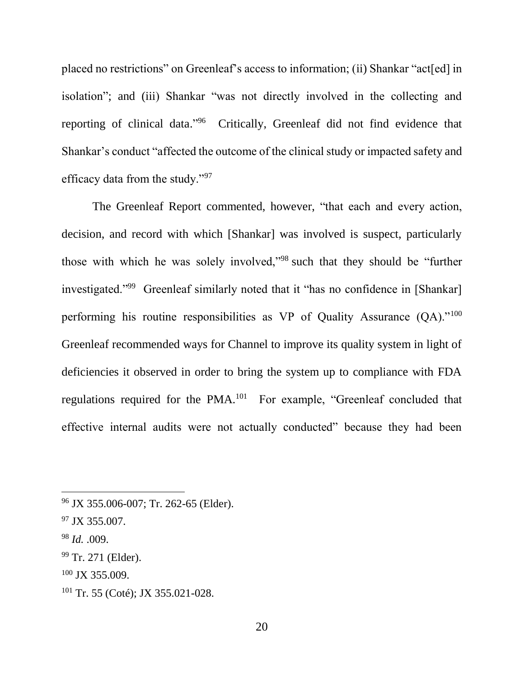placed no restrictions" on Greenleaf's access to information; (ii) Shankar "act[ed] in isolation"; and (iii) Shankar "was not directly involved in the collecting and reporting of clinical data."<sup>96</sup> Critically, Greenleaf did not find evidence that Shankar's conduct "affected the outcome of the clinical study or impacted safety and efficacy data from the study."<sup>97</sup>

The Greenleaf Report commented, however, "that each and every action, decision, and record with which [Shankar] was involved is suspect, particularly those with which he was solely involved,"<sup>98</sup> such that they should be "further investigated."<sup>99</sup> Greenleaf similarly noted that it "has no confidence in [Shankar] performing his routine responsibilities as VP of Quality Assurance  $(QA)$ ."<sup>100</sup> Greenleaf recommended ways for Channel to improve its quality system in light of deficiencies it observed in order to bring the system up to compliance with FDA regulations required for the PMA.<sup>101</sup> For example, "Greenleaf concluded that effective internal audits were not actually conducted" because they had been

<sup>96</sup> JX 355.006-007; Tr. 262-65 (Elder).

<sup>97</sup> JX 355.007.

<sup>98</sup> *Id.* .009.

<sup>99</sup> Tr. 271 (Elder).

 $100$  JX 355.009.

 $101$  Tr. 55 (Coté); JX 355.021-028.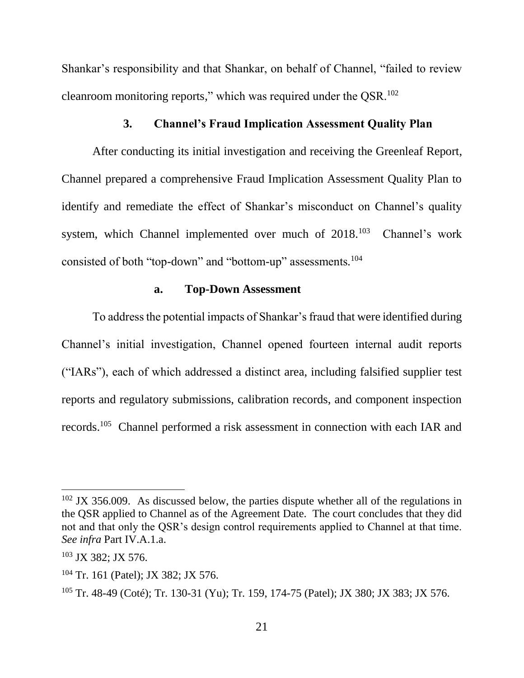Shankar's responsibility and that Shankar, on behalf of Channel, "failed to review cleanroom monitoring reports," which was required under the QSR.<sup>102</sup>

## **3. Channel's Fraud Implication Assessment Quality Plan**

After conducting its initial investigation and receiving the Greenleaf Report, Channel prepared a comprehensive Fraud Implication Assessment Quality Plan to identify and remediate the effect of Shankar's misconduct on Channel's quality system, which Channel implemented over much of 2018.<sup>103</sup> Channel's work consisted of both "top-down" and "bottom-up" assessments*.* 104

### **a. Top-Down Assessment**

To address the potential impacts of Shankar's fraud that were identified during Channel's initial investigation, Channel opened fourteen internal audit reports ("IARs"), each of which addressed a distinct area, including falsified supplier test reports and regulatory submissions, calibration records, and component inspection records.<sup>105</sup> Channel performed a risk assessment in connection with each IAR and

 $102$  JX 356.009. As discussed below, the parties dispute whether all of the regulations in the QSR applied to Channel as of the Agreement Date. The court concludes that they did not and that only the QSR's design control requirements applied to Channel at that time. *See infra* Part IV.A.1.a.

<sup>103</sup> JX 382; JX 576.

<sup>104</sup> Tr. 161 (Patel); JX 382; JX 576.

<sup>105</sup> Tr. 48-49 (Coté); Tr. 130-31 (Yu); Tr. 159, 174-75 (Patel); JX 380; JX 383; JX 576.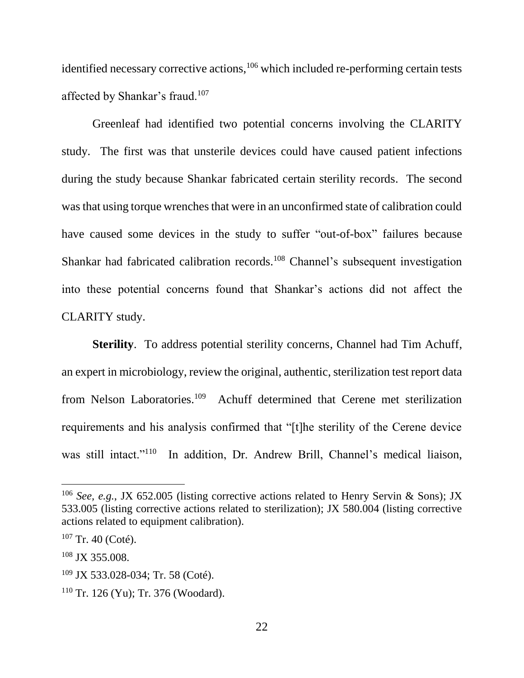identified necessary corrective actions, $106$  which included re-performing certain tests affected by Shankar's fraud.<sup>107</sup>

Greenleaf had identified two potential concerns involving the CLARITY study. The first was that unsterile devices could have caused patient infections during the study because Shankar fabricated certain sterility records. The second was that using torque wrenches that were in an unconfirmed state of calibration could have caused some devices in the study to suffer "out-of-box" failures because Shankar had fabricated calibration records.<sup>108</sup> Channel's subsequent investigation into these potential concerns found that Shankar's actions did not affect the CLARITY study.

**Sterility**. To address potential sterility concerns, Channel had Tim Achuff, an expert in microbiology, review the original, authentic, sterilization test report data from Nelson Laboratories.<sup>109</sup> Achuff determined that Cerene met sterilization requirements and his analysis confirmed that "[t]he sterility of the Cerene device was still intact."<sup>110</sup> In addition, Dr. Andrew Brill, Channel's medical liaison,

<sup>106</sup> *See, e.g.*, JX 652.005 (listing corrective actions related to Henry Servin & Sons); JX 533.005 (listing corrective actions related to sterilization); JX 580.004 (listing corrective actions related to equipment calibration).

<sup>107</sup> Tr. 40 (Coté).

<sup>108</sup> JX 355.008.

<sup>109</sup> JX 533.028-034; Tr. 58 (Coté).

<sup>110</sup> Tr. 126 (Yu); Tr. 376 (Woodard).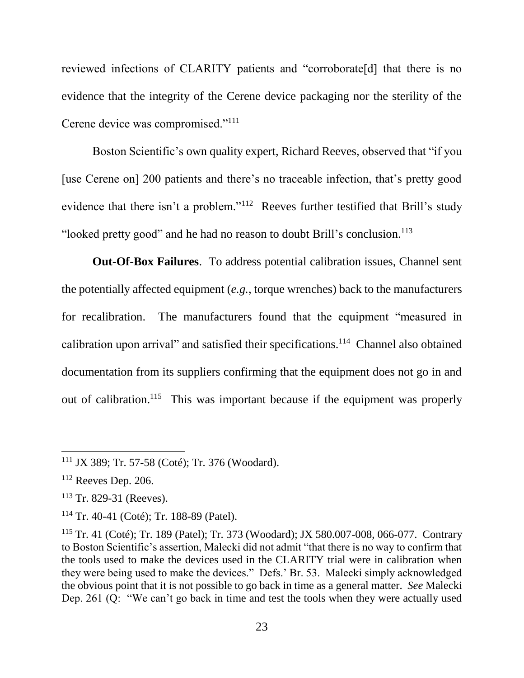reviewed infections of CLARITY patients and "corroborate[d] that there is no evidence that the integrity of the Cerene device packaging nor the sterility of the Cerene device was compromised."<sup>111</sup>

Boston Scientific's own quality expert, Richard Reeves, observed that "if you [use Cerene on] 200 patients and there's no traceable infection, that's pretty good evidence that there isn't a problem."<sup>112</sup> Reeves further testified that Brill's study "looked pretty good" and he had no reason to doubt Brill's conclusion.<sup>113</sup>

**Out-Of-Box Failures**. To address potential calibration issues, Channel sent the potentially affected equipment (*e.g.*, torque wrenches) back to the manufacturers for recalibration. The manufacturers found that the equipment "measured in calibration upon arrival" and satisfied their specifications.<sup>114</sup> Channel also obtained documentation from its suppliers confirming that the equipment does not go in and out of calibration.<sup>115</sup> This was important because if the equipment was properly

<sup>111</sup> JX 389; Tr. 57-58 (Coté); Tr. 376 (Woodard).

<sup>112</sup> Reeves Dep. 206.

<sup>113</sup> Tr. 829-31 (Reeves).

<sup>114</sup> Tr. 40-41 (Coté); Tr. 188-89 (Patel).

<sup>115</sup> Tr. 41 (Coté); Tr. 189 (Patel); Tr. 373 (Woodard); JX 580.007-008, 066-077. Contrary to Boston Scientific's assertion, Malecki did not admit "that there is no way to confirm that the tools used to make the devices used in the CLARITY trial were in calibration when they were being used to make the devices." Defs.' Br. 53. Malecki simply acknowledged the obvious point that it is not possible to go back in time as a general matter. *See* Malecki Dep. 261 (Q: "We can't go back in time and test the tools when they were actually used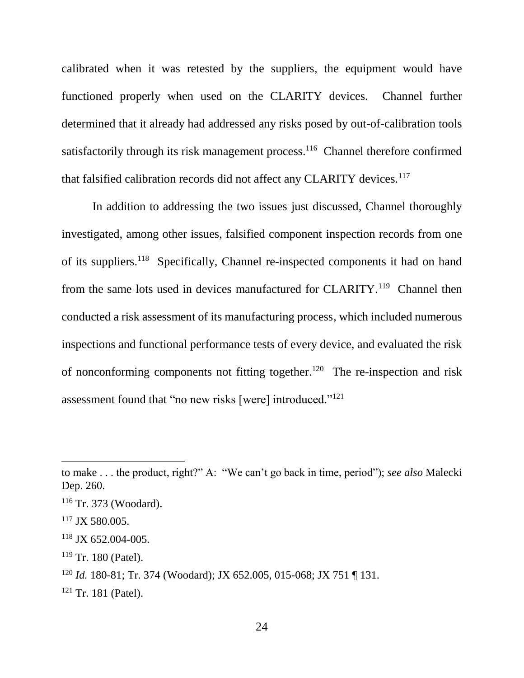calibrated when it was retested by the suppliers, the equipment would have functioned properly when used on the CLARITY devices. Channel further determined that it already had addressed any risks posed by out-of-calibration tools satisfactorily through its risk management process.<sup>116</sup> Channel therefore confirmed that falsified calibration records did not affect any CLARITY devices.<sup>117</sup>

In addition to addressing the two issues just discussed, Channel thoroughly investigated, among other issues, falsified component inspection records from one of its suppliers.<sup>118</sup> Specifically, Channel re-inspected components it had on hand from the same lots used in devices manufactured for CLARITY.<sup>119</sup> Channel then conducted a risk assessment of its manufacturing process, which included numerous inspections and functional performance tests of every device, and evaluated the risk of nonconforming components not fitting together.<sup>120</sup> The re-inspection and risk assessment found that "no new risks [were] introduced."<sup>121</sup>

to make . . . the product, right?" A: "We can't go back in time, period"); *see also* Malecki Dep. 260.

<sup>116</sup> Tr. 373 (Woodard).

 $117$  JX 580.005.

 $118$  JX 652.004-005.

<sup>119</sup> Tr. 180 (Patel).

<sup>120</sup> *Id.* 180-81; Tr. 374 (Woodard); JX 652.005, 015-068; JX 751 ¶ 131.

 $121$  Tr. 181 (Patel).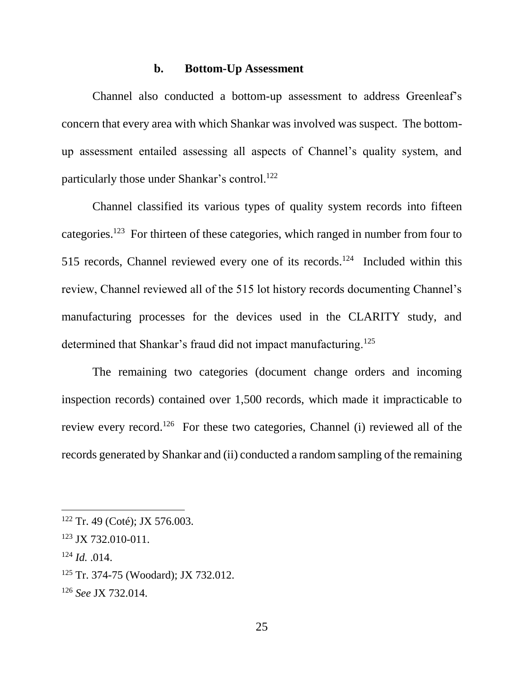## **b. Bottom-Up Assessment**

Channel also conducted a bottom-up assessment to address Greenleaf's concern that every area with which Shankar was involved was suspect. The bottomup assessment entailed assessing all aspects of Channel's quality system, and particularly those under Shankar's control.<sup>122</sup>

Channel classified its various types of quality system records into fifteen categories.<sup>123</sup> For thirteen of these categories, which ranged in number from four to 515 records, Channel reviewed every one of its records.<sup>124</sup> Included within this review, Channel reviewed all of the 515 lot history records documenting Channel's manufacturing processes for the devices used in the CLARITY study, and determined that Shankar's fraud did not impact manufacturing.<sup>125</sup>

The remaining two categories (document change orders and incoming inspection records) contained over 1,500 records, which made it impracticable to review every record.<sup>126</sup> For these two categories, Channel (i) reviewed all of the records generated by Shankar and (ii) conducted a random sampling of the remaining

<sup>124</sup> *Id.* .014.

 $\overline{a}$ 

<sup>125</sup> Tr. 374-75 (Woodard); JX 732.012.

<sup>122</sup> Tr. 49 (Coté); JX 576.003.

<sup>123</sup> JX 732.010-011.

<sup>126</sup> *See* JX 732.014.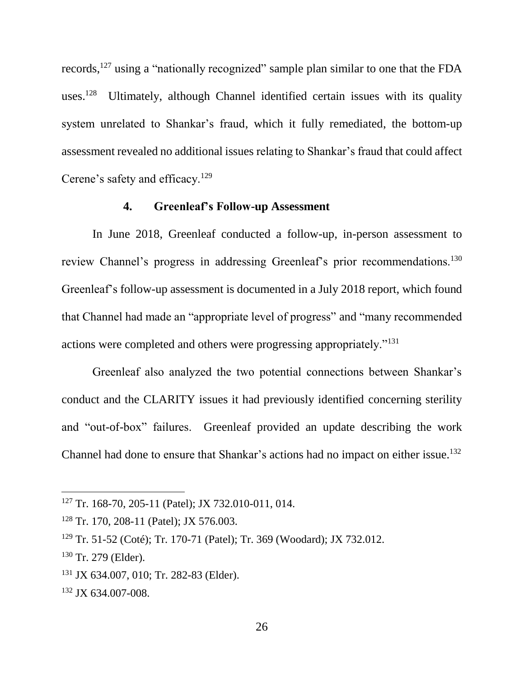records,<sup>127</sup> using a "nationally recognized" sample plan similar to one that the FDA uses.<sup>128</sup> Ultimately, although Channel identified certain issues with its quality system unrelated to Shankar's fraud, which it fully remediated, the bottom-up assessment revealed no additional issues relating to Shankar's fraud that could affect Cerene's safety and efficacy.<sup>129</sup>

## **4. Greenleaf's Follow-up Assessment**

In June 2018, Greenleaf conducted a follow-up, in-person assessment to review Channel's progress in addressing Greenleaf's prior recommendations.<sup>130</sup> Greenleaf's follow-up assessment is documented in a July 2018 report, which found that Channel had made an "appropriate level of progress" and "many recommended actions were completed and others were progressing appropriately."<sup>131</sup>

Greenleaf also analyzed the two potential connections between Shankar's conduct and the CLARITY issues it had previously identified concerning sterility and "out-of-box" failures. Greenleaf provided an update describing the work Channel had done to ensure that Shankar's actions had no impact on either issue.<sup>132</sup>

<sup>127</sup> Tr. 168-70, 205-11 (Patel); JX 732.010-011, 014.

<sup>&</sup>lt;sup>128</sup> Tr. 170, 208-11 (Patel); JX 576.003.

<sup>129</sup> Tr. 51-52 (Coté); Tr. 170-71 (Patel); Tr. 369 (Woodard); JX 732.012.

<sup>130</sup> Tr. 279 (Elder).

<sup>131</sup> JX 634.007, 010; Tr. 282-83 (Elder).

<sup>132</sup> JX 634.007-008.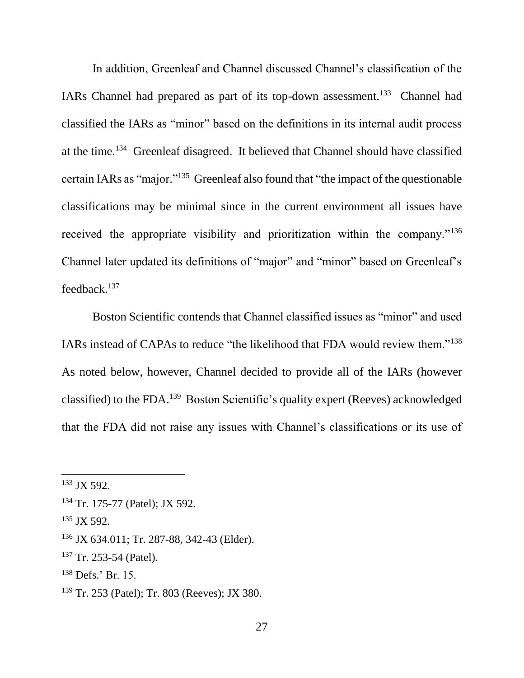In addition, Greenleaf and Channel discussed Channel's classification of the IARs Channel had prepared as part of its top-down assessment.<sup>133</sup> Channel had classified the IARs as "minor" based on the definitions in its internal audit process at the time.<sup>134</sup> Greenleaf disagreed. It believed that Channel should have classified certain IARs as "major."<sup>135</sup> Greenleaf also found that "the impact of the questionable classifications may be minimal since in the current environment all issues have received the appropriate visibility and prioritization within the company."<sup>136</sup> Channel later updated its definitions of "major" and "minor" based on Greenleaf's feedback.<sup>137</sup>

Boston Scientific contends that Channel classified issues as "minor" and used IARs instead of CAPAs to reduce "the likelihood that FDA would review them."<sup>138</sup> As noted below, however, Channel decided to provide all of the IARs (however classified) to the FDA.<sup>139</sup> Boston Scientific's quality expert (Reeves) acknowledged that the FDA did not raise any issues with Channel's classifications or its use of

<sup>133</sup> JX 592.

<sup>134</sup> Tr. 175-77 (Patel); JX 592.

<sup>135</sup> JX 592.

<sup>136</sup> JX 634.011; Tr. 287-88, 342-43 (Elder).

<sup>&</sup>lt;sup>137</sup> Tr. 253-54 (Patel).

<sup>138</sup> Defs.' Br. 15.

<sup>139</sup> Tr. 253 (Patel); Tr. 803 (Reeves); JX 380.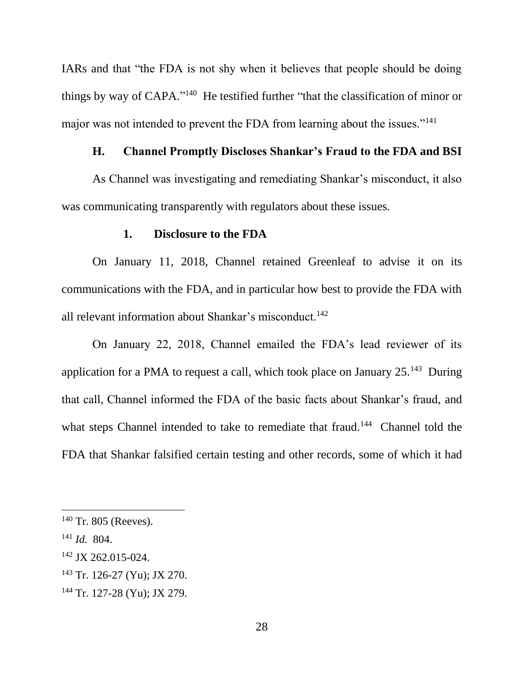IARs and that "the FDA is not shy when it believes that people should be doing things by way of CAPA."<sup>140</sup> He testified further "that the classification of minor or major was not intended to prevent the FDA from learning about the issues."<sup>141</sup>

## **H. Channel Promptly Discloses Shankar's Fraud to the FDA and BSI**

As Channel was investigating and remediating Shankar's misconduct, it also was communicating transparently with regulators about these issues.

#### **1. Disclosure to the FDA**

On January 11, 2018, Channel retained Greenleaf to advise it on its communications with the FDA, and in particular how best to provide the FDA with all relevant information about Shankar's misconduct.<sup>142</sup>

On January 22, 2018, Channel emailed the FDA's lead reviewer of its application for a PMA to request a call, which took place on January 25.<sup>143</sup> During that call, Channel informed the FDA of the basic facts about Shankar's fraud, and what steps Channel intended to take to remediate that fraud.<sup>144</sup> Channel told the FDA that Shankar falsified certain testing and other records, some of which it had

- <sup>142</sup> JX 262.015-024.
- <sup>143</sup> Tr. 126-27 (Yu); JX 270.
- <sup>144</sup> Tr. 127-28 (Yu); JX 279.

 $140$  Tr. 805 (Reeves).

<sup>141</sup> *Id.* 804.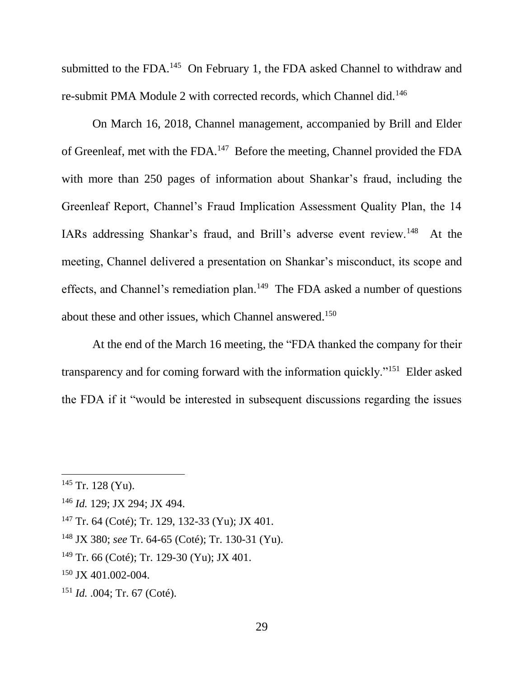submitted to the FDA.<sup>145</sup> On February 1, the FDA asked Channel to withdraw and re-submit PMA Module 2 with corrected records, which Channel did.<sup>146</sup>

On March 16, 2018, Channel management, accompanied by Brill and Elder of Greenleaf, met with the FDA.<sup>147</sup> Before the meeting, Channel provided the FDA with more than 250 pages of information about Shankar's fraud, including the Greenleaf Report, Channel's Fraud Implication Assessment Quality Plan, the 14 IARs addressing Shankar's fraud, and Brill's adverse event review.<sup>148</sup> At the meeting, Channel delivered a presentation on Shankar's misconduct, its scope and effects, and Channel's remediation plan.<sup>149</sup> The FDA asked a number of questions about these and other issues, which Channel answered.<sup>150</sup>

At the end of the March 16 meeting, the "FDA thanked the company for their transparency and for coming forward with the information quickly."<sup>151</sup> Elder asked the FDA if it "would be interested in subsequent discussions regarding the issues

 $145$  Tr. 128 (Yu).

<sup>146</sup> *Id.* 129; JX 294; JX 494.

<sup>147</sup> Tr. 64 (Coté); Tr. 129, 132-33 (Yu); JX 401.

<sup>148</sup> JX 380; *see* Tr. 64-65 (Coté); Tr. 130-31 (Yu).

<sup>&</sup>lt;sup>149</sup> Tr. 66 (Coté); Tr. 129-30 (Yu); JX 401.

<sup>150</sup> JX 401.002-004.

<sup>151</sup> *Id.* .004; Tr. 67 (Coté).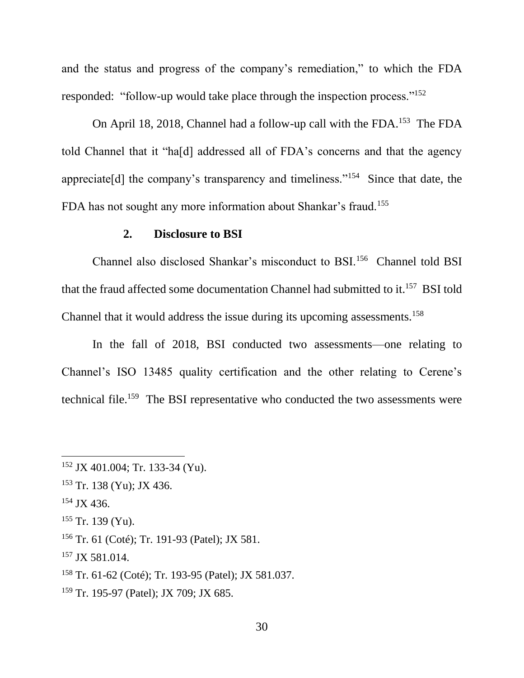and the status and progress of the company's remediation," to which the FDA responded: "follow-up would take place through the inspection process."<sup>152</sup>

On April 18, 2018, Channel had a follow-up call with the FDA.<sup>153</sup> The FDA told Channel that it "ha[d] addressed all of FDA's concerns and that the agency appreciate[d] the company's transparency and timeliness."<sup>154</sup> Since that date, the FDA has not sought any more information about Shankar's fraud.<sup>155</sup>

#### **2. Disclosure to BSI**

Channel also disclosed Shankar's misconduct to BSI.<sup>156</sup> Channel told BSI that the fraud affected some documentation Channel had submitted to it. 157 BSI told Channel that it would address the issue during its upcoming assessments.<sup>158</sup>

In the fall of 2018, BSI conducted two assessments—one relating to Channel's ISO 13485 quality certification and the other relating to Cerene's technical file.<sup>159</sup> The BSI representative who conducted the two assessments were

<sup>154</sup> JX 436.

<sup>152</sup> JX 401.004; Tr. 133-34 (Yu).

<sup>153</sup> Tr. 138 (Yu); JX 436.

 $155$  Tr. 139 (Yu).

<sup>156</sup> Tr. 61 (Coté); Tr. 191-93 (Patel); JX 581.

<sup>&</sup>lt;sup>157</sup> JX 581.014.

<sup>158</sup> Tr. 61-62 (Coté); Tr. 193-95 (Patel); JX 581.037.

<sup>159</sup> Tr. 195-97 (Patel); JX 709; JX 685.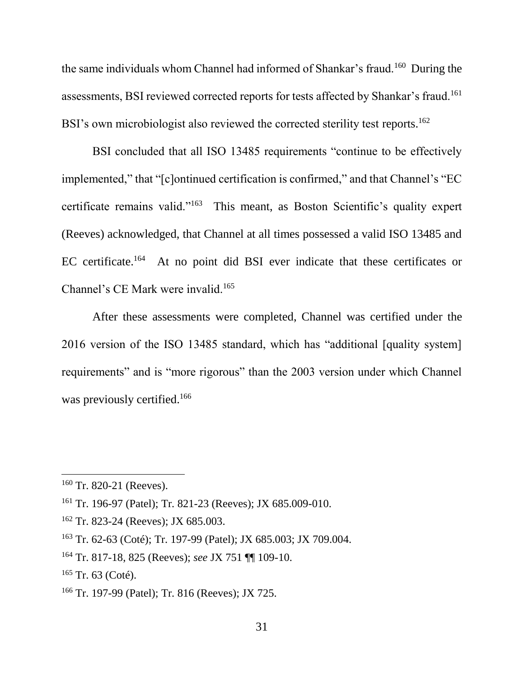the same individuals whom Channel had informed of Shankar's fraud.<sup>160</sup> During the assessments, BSI reviewed corrected reports for tests affected by Shankar's fraud.<sup>161</sup> BSI's own microbiologist also reviewed the corrected sterility test reports.<sup>162</sup>

BSI concluded that all ISO 13485 requirements "continue to be effectively implemented," that "[c]ontinued certification is confirmed," and that Channel's "EC certificate remains valid."<sup>163</sup> This meant, as Boston Scientific's quality expert (Reeves) acknowledged, that Channel at all times possessed a valid ISO 13485 and EC certificate.<sup>164</sup> At no point did BSI ever indicate that these certificates or Channel's CE Mark were invalid.<sup>165</sup>

After these assessments were completed, Channel was certified under the 2016 version of the ISO 13485 standard, which has "additional [quality system] requirements" and is "more rigorous" than the 2003 version under which Channel was previously certified.<sup>166</sup>

 $160$  Tr. 820-21 (Reeves).

<sup>161</sup> Tr. 196-97 (Patel); Tr. 821-23 (Reeves); JX 685.009-010.

<sup>&</sup>lt;sup>162</sup> Tr. 823-24 (Reeves); JX 685.003.

<sup>163</sup> Tr. 62-63 (Coté); Tr. 197-99 (Patel); JX 685.003; JX 709.004.

<sup>164</sup> Tr. 817-18, 825 (Reeves); *see* JX 751 ¶¶ 109-10.

 $165$  Tr. 63 (Coté).

<sup>166</sup> Tr. 197-99 (Patel); Tr. 816 (Reeves); JX 725.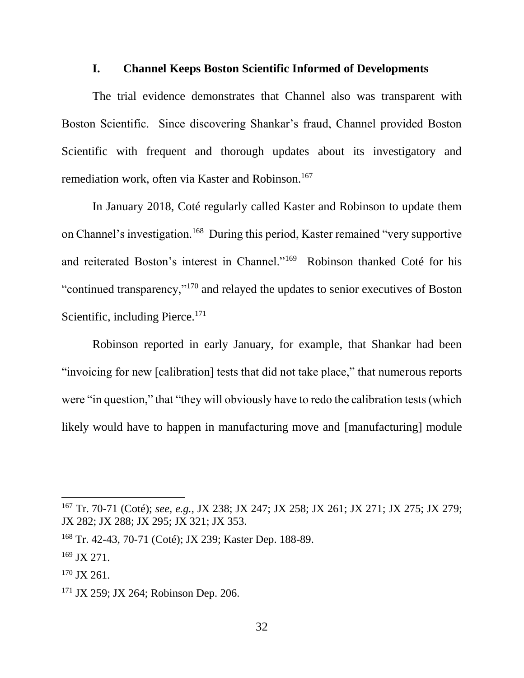### **I. Channel Keeps Boston Scientific Informed of Developments**

The trial evidence demonstrates that Channel also was transparent with Boston Scientific. Since discovering Shankar's fraud, Channel provided Boston Scientific with frequent and thorough updates about its investigatory and remediation work, often via Kaster and Robinson.<sup>167</sup>

In January 2018, Coté regularly called Kaster and Robinson to update them on Channel's investigation.<sup>168</sup> During this period, Kaster remained "very supportive and reiterated Boston's interest in Channel."<sup>169</sup> Robinson thanked Coté for his "continued transparency,"<sup>170</sup> and relayed the updates to senior executives of Boston Scientific, including Pierce.<sup>171</sup>

Robinson reported in early January, for example, that Shankar had been "invoicing for new [calibration] tests that did not take place," that numerous reports were "in question," that "they will obviously have to redo the calibration tests (which likely would have to happen in manufacturing move and [manufacturing] module

<sup>167</sup> Tr. 70-71 (Coté); *see, e.g.*, JX 238; JX 247; JX 258; JX 261; JX 271; JX 275; JX 279; JX 282; JX 288; JX 295; JX 321; JX 353.

<sup>168</sup> Tr. 42-43, 70-71 (Coté); JX 239; Kaster Dep. 188-89.

 $169$  JX 271.

<sup>170</sup> JX 261.

<sup>171</sup> JX 259; JX 264; Robinson Dep. 206.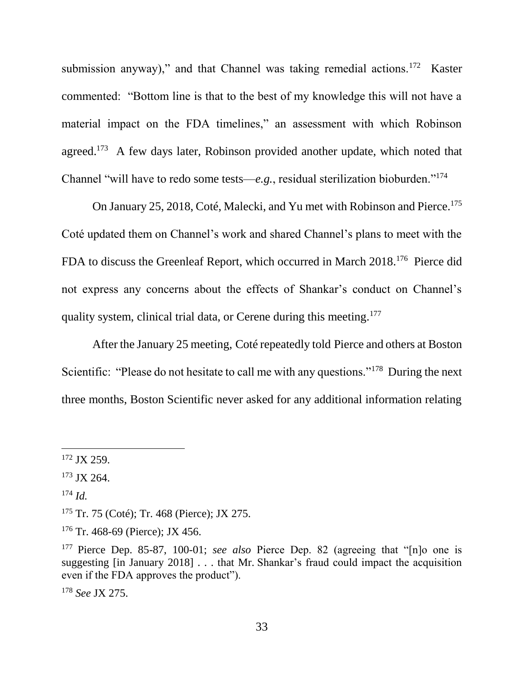submission anyway)," and that Channel was taking remedial actions.<sup>172</sup> Kaster commented: "Bottom line is that to the best of my knowledge this will not have a material impact on the FDA timelines," an assessment with which Robinson agreed.<sup>173</sup> A few days later, Robinson provided another update, which noted that Channel "will have to redo some tests—*e.g.*, residual sterilization bioburden."<sup>174</sup>

On January 25, 2018, Coté, Malecki, and Yu met with Robinson and Pierce.<sup>175</sup> Coté updated them on Channel's work and shared Channel's plans to meet with the FDA to discuss the Greenleaf Report, which occurred in March 2018.<sup>176</sup> Pierce did not express any concerns about the effects of Shankar's conduct on Channel's quality system, clinical trial data, or Cerene during this meeting.<sup>177</sup>

After the January 25 meeting, Coté repeatedly told Pierce and others at Boston Scientific: "Please do not hesitate to call me with any questions."<sup>178</sup> During the next three months, Boston Scientific never asked for any additional information relating

<sup>174</sup> *Id.*

 $\overline{a}$ 

<sup>178</sup> *See* JX 275.

<sup>&</sup>lt;sup>172</sup> JX 259.

<sup>173</sup> JX 264.

<sup>175</sup> Tr. 75 (Coté); Tr. 468 (Pierce); JX 275.

 $176$  Tr. 468-69 (Pierce); JX 456.

<sup>177</sup> Pierce Dep. 85-87, 100-01; *see also* Pierce Dep. 82 (agreeing that "[n]o one is suggesting [in January 2018] . . . that Mr. Shankar's fraud could impact the acquisition even if the FDA approves the product").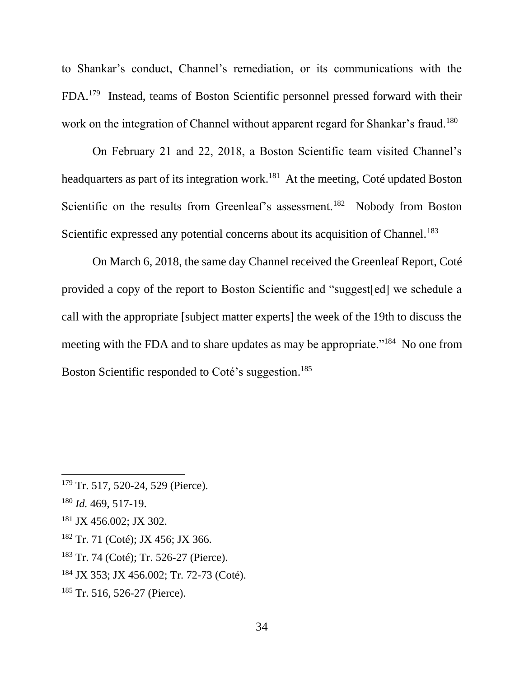to Shankar's conduct, Channel's remediation, or its communications with the FDA.<sup>179</sup> Instead, teams of Boston Scientific personnel pressed forward with their work on the integration of Channel without apparent regard for Shankar's fraud.<sup>180</sup>

On February 21 and 22, 2018, a Boston Scientific team visited Channel's headquarters as part of its integration work.<sup>181</sup> At the meeting, Coté updated Boston Scientific on the results from Greenleaf's assessment.<sup>182</sup> Nobody from Boston Scientific expressed any potential concerns about its acquisition of Channel.<sup>183</sup>

On March 6, 2018, the same day Channel received the Greenleaf Report, Coté provided a copy of the report to Boston Scientific and "suggest[ed] we schedule a call with the appropriate [subject matter experts] the week of the 19th to discuss the meeting with the FDA and to share updates as may be appropriate."<sup>184</sup> No one from Boston Scientific responded to Coté's suggestion. 185

<sup>&</sup>lt;sup>179</sup> Tr. 517, 520-24, 529 (Pierce).

<sup>180</sup> *Id.* 469, 517-19.

<sup>181</sup> JX 456.002; JX 302.

<sup>182</sup> Tr. 71 (Coté); JX 456; JX 366.

<sup>183</sup> Tr. 74 (Coté); Tr. 526-27 (Pierce).

<sup>184</sup> JX 353; JX 456.002; Tr. 72-73 (Coté).

<sup>185</sup> Tr. 516, 526-27 (Pierce).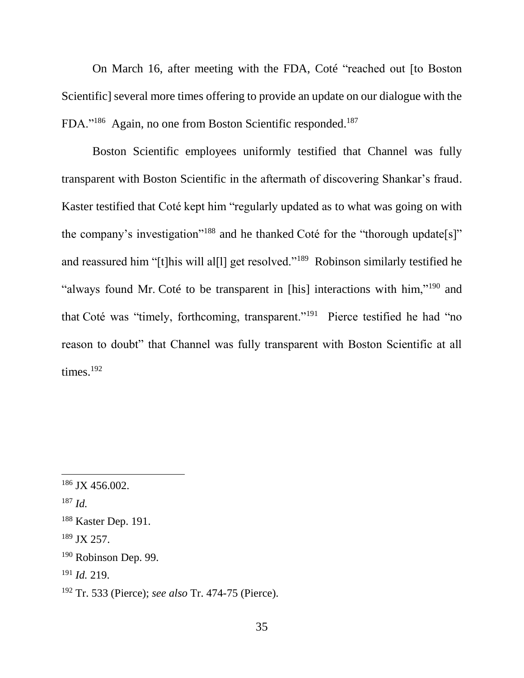On March 16, after meeting with the FDA, Coté "reached out [to Boston Scientific] several more times offering to provide an update on our dialogue with the FDA."<sup>186</sup> Again, no one from Boston Scientific responded.<sup>187</sup>

Boston Scientific employees uniformly testified that Channel was fully transparent with Boston Scientific in the aftermath of discovering Shankar's fraud. Kaster testified that Coté kept him "regularly updated as to what was going on with the company's investigation"<sup>188</sup> and he thanked Coté for the "thorough update[s]" and reassured him "[t]his will al[l] get resolved."<sup>189</sup> Robinson similarly testified he "always found Mr. Coté to be transparent in [his] interactions with him,"<sup>190</sup> and that Coté was "timely, forthcoming, transparent."<sup>191</sup> Pierce testified he had "no reason to doubt" that Channel was fully transparent with Boston Scientific at all times.<sup>192</sup>

<sup>&</sup>lt;sup>186</sup> JX 456.002.

<sup>187</sup> *Id.*

<sup>188</sup> Kaster Dep. 191.

<sup>189</sup> JX 257.

<sup>190</sup> Robinson Dep. 99.

<sup>191</sup> *Id.* 219.

<sup>192</sup> Tr. 533 (Pierce); *see also* Tr. 474-75 (Pierce).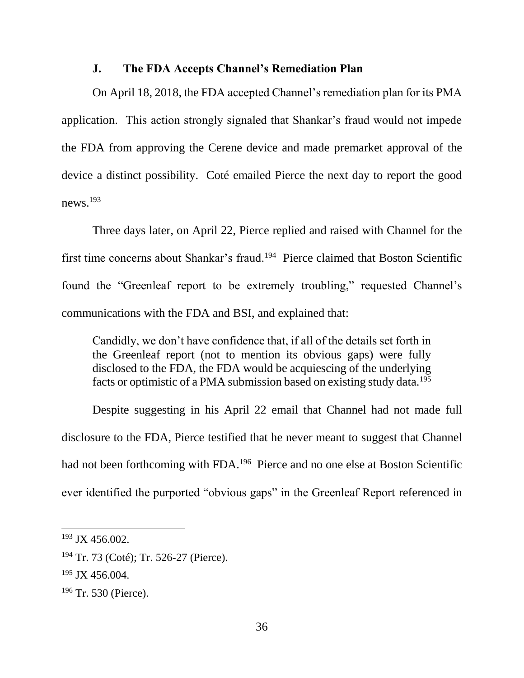#### **J. The FDA Accepts Channel's Remediation Plan**

On April 18, 2018, the FDA accepted Channel's remediation plan for its PMA application. This action strongly signaled that Shankar's fraud would not impede the FDA from approving the Cerene device and made premarket approval of the device a distinct possibility. Coté emailed Pierce the next day to report the good news. $^{193}$ 

Three days later, on April 22, Pierce replied and raised with Channel for the first time concerns about Shankar's fraud.<sup>194</sup> Pierce claimed that Boston Scientific found the "Greenleaf report to be extremely troubling," requested Channel's communications with the FDA and BSI, and explained that:

Candidly, we don't have confidence that, if all of the details set forth in the Greenleaf report (not to mention its obvious gaps) were fully disclosed to the FDA, the FDA would be acquiescing of the underlying facts or optimistic of a PMA submission based on existing study data.<sup>195</sup>

Despite suggesting in his April 22 email that Channel had not made full disclosure to the FDA, Pierce testified that he never meant to suggest that Channel had not been forthcoming with FDA.<sup>196</sup> Pierce and no one else at Boston Scientific ever identified the purported "obvious gaps" in the Greenleaf Report referenced in

<sup>193</sup> JX 456.002.

<sup>194</sup> Tr. 73 (Coté); Tr. 526-27 (Pierce).

<sup>&</sup>lt;sup>195</sup> JX 456.004.

<sup>196</sup> Tr. 530 (Pierce).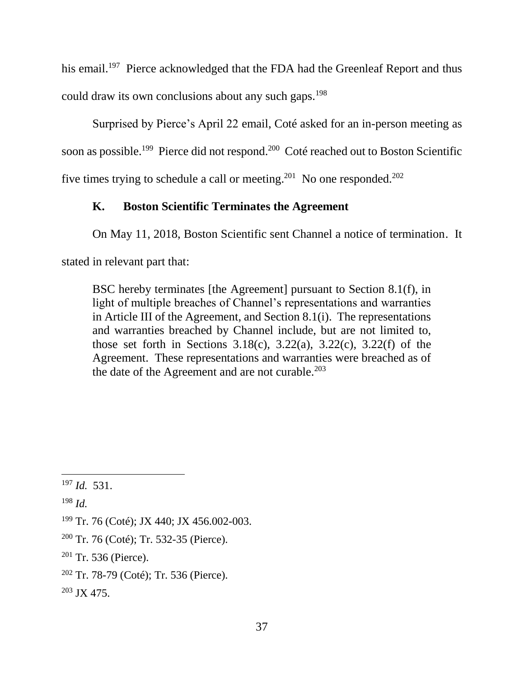his email.<sup>197</sup> Pierce acknowledged that the FDA had the Greenleaf Report and thus could draw its own conclusions about any such gaps.<sup>198</sup>

Surprised by Pierce's April 22 email, Coté asked for an in-person meeting as soon as possible.<sup>199</sup> Pierce did not respond.<sup>200</sup> Coté reached out to Boston Scientific five times trying to schedule a call or meeting.<sup>201</sup> No one responded.<sup>202</sup>

# **K. Boston Scientific Terminates the Agreement**

On May 11, 2018, Boston Scientific sent Channel a notice of termination. It

stated in relevant part that:

BSC hereby terminates [the Agreement] pursuant to Section 8.1(f), in light of multiple breaches of Channel's representations and warranties in Article III of the Agreement, and Section 8.1(i). The representations and warranties breached by Channel include, but are not limited to, those set forth in Sections  $3.18(c)$ ,  $3.22(a)$ ,  $3.22(c)$ ,  $3.22(f)$  of the Agreement. These representations and warranties were breached as of the date of the Agreement and are not curable. $203$ 

 $198$  *Id.* 

- $202$  Tr. 78-79 (Coté); Tr. 536 (Pierce).
- $203$  JX 475.

 $\overline{a}$ <sup>197</sup> *Id.* 531.

<sup>199</sup> Tr. 76 (Coté); JX 440; JX 456.002-003.

<sup>200</sup> Tr. 76 (Coté); Tr. 532-35 (Pierce).

<sup>201</sup> Tr. 536 (Pierce).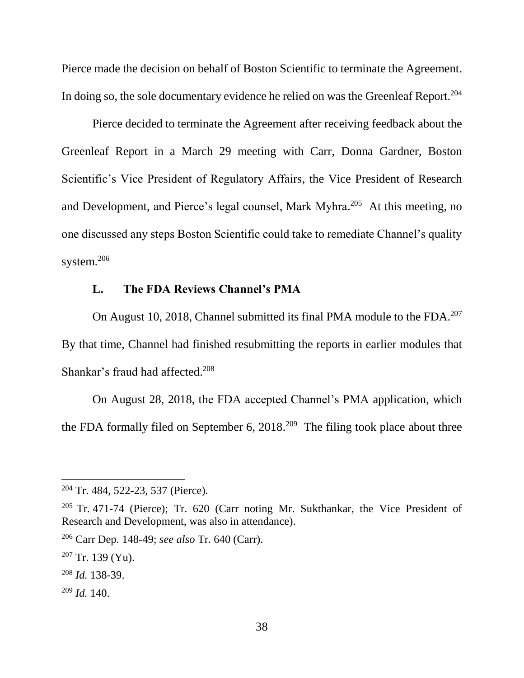Pierce made the decision on behalf of Boston Scientific to terminate the Agreement. In doing so, the sole documentary evidence he relied on was the Greenleaf Report.<sup>204</sup>

Pierce decided to terminate the Agreement after receiving feedback about the Greenleaf Report in a March 29 meeting with Carr, Donna Gardner, Boston Scientific's Vice President of Regulatory Affairs, the Vice President of Research and Development, and Pierce's legal counsel, Mark Myhra. 205 At this meeting, no one discussed any steps Boston Scientific could take to remediate Channel's quality system. $206$ 

### **L. The FDA Reviews Channel's PMA**

On August 10, 2018, Channel submitted its final PMA module to the FDA.<sup>207</sup> By that time, Channel had finished resubmitting the reports in earlier modules that Shankar's fraud had affected. 208

On August 28, 2018, the FDA accepted Channel's PMA application, which the FDA formally filed on September 6,  $2018<sup>209</sup>$  The filing took place about three

<sup>209</sup> *Id.* 140.

<sup>204</sup> Tr. 484, 522-23, 537 (Pierce).

<sup>205</sup> Tr. 471-74 (Pierce); Tr. 620 (Carr noting Mr. Sukthankar, the Vice President of Research and Development, was also in attendance).

<sup>206</sup> Carr Dep. 148-49; *see also* Tr. 640 (Carr).

<sup>207</sup> Tr. 139 (Yu).

<sup>208</sup> *Id.* 138-39.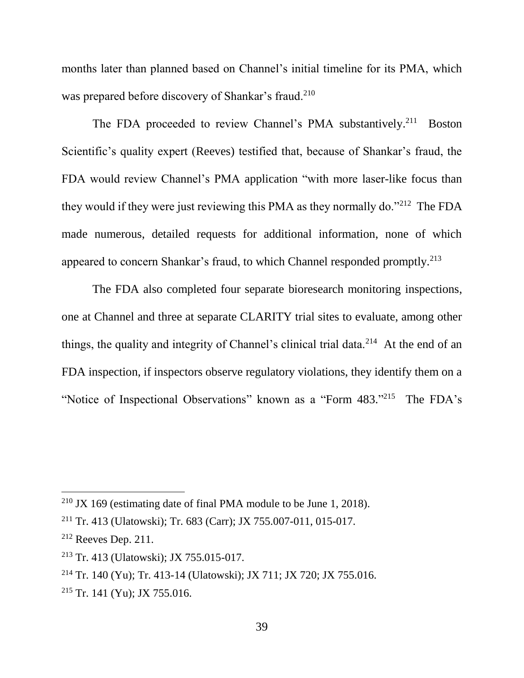months later than planned based on Channel's initial timeline for its PMA, which was prepared before discovery of Shankar's fraud.<sup>210</sup>

The FDA proceeded to review Channel's PMA substantively.<sup>211</sup> Boston Scientific's quality expert (Reeves) testified that, because of Shankar's fraud, the FDA would review Channel's PMA application "with more laser-like focus than they would if they were just reviewing this PMA as they normally do."<sup>212</sup> The FDA made numerous, detailed requests for additional information, none of which appeared to concern Shankar's fraud, to which Channel responded promptly.<sup>213</sup>

The FDA also completed four separate bioresearch monitoring inspections, one at Channel and three at separate CLARITY trial sites to evaluate, among other things, the quality and integrity of Channel's clinical trial data.<sup>214</sup> At the end of an FDA inspection, if inspectors observe regulatory violations, they identify them on a "Notice of Inspectional Observations" known as a "Form 483."<sup>215</sup> The FDA's

<sup>210</sup> JX 169 (estimating date of final PMA module to be June 1, 2018).

<sup>211</sup> Tr. 413 (Ulatowski); Tr. 683 (Carr); JX 755.007-011, 015-017.

<sup>212</sup> Reeves Dep. 211.

<sup>213</sup> Tr. 413 (Ulatowski); JX 755.015-017.

<sup>214</sup> Tr. 140 (Yu); Tr. 413-14 (Ulatowski); JX 711; JX 720; JX 755.016.

<sup>215</sup> Tr. 141 (Yu); JX 755.016.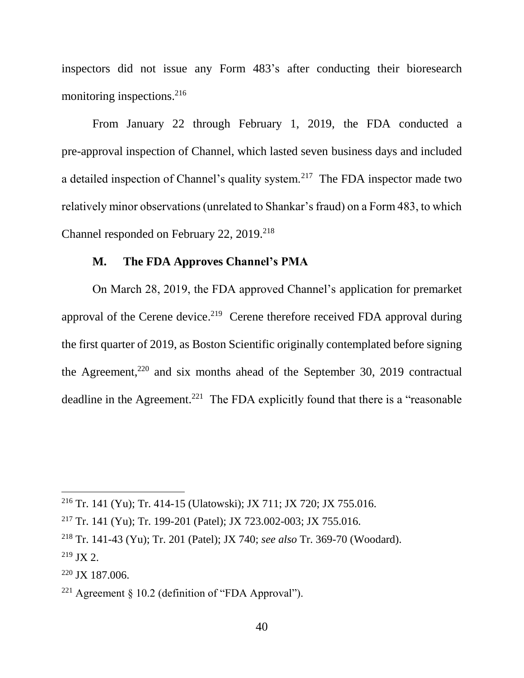inspectors did not issue any Form 483's after conducting their bioresearch monitoring inspections.<sup>216</sup>

From January 22 through February 1, 2019, the FDA conducted a pre-approval inspection of Channel, which lasted seven business days and included a detailed inspection of Channel's quality system.<sup>217</sup> The FDA inspector made two relatively minor observations (unrelated to Shankar's fraud) on a Form 483, to which Channel responded on February 22, 2019.<sup>218</sup>

#### **M. The FDA Approves Channel's PMA**

On March 28, 2019, the FDA approved Channel's application for premarket approval of the Cerene device.<sup>219</sup> Cerene therefore received FDA approval during the first quarter of 2019, as Boston Scientific originally contemplated before signing the Agreement, $220$  and six months ahead of the September 30, 2019 contractual deadline in the Agreement.<sup>221</sup> The FDA explicitly found that there is a "reasonable"

<sup>216</sup> Tr. 141 (Yu); Tr. 414-15 (Ulatowski); JX 711; JX 720; JX 755.016.

<sup>217</sup> Tr. 141 (Yu); Tr. 199-201 (Patel); JX 723.002-003; JX 755.016.

<sup>218</sup> Tr. 141-43 (Yu); Tr. 201 (Patel); JX 740; *see also* Tr. 369-70 (Woodard).

 $219$  JX 2.

<sup>220</sup> JX 187.006.

<sup>221</sup> Agreement § 10.2 (definition of "FDA Approval").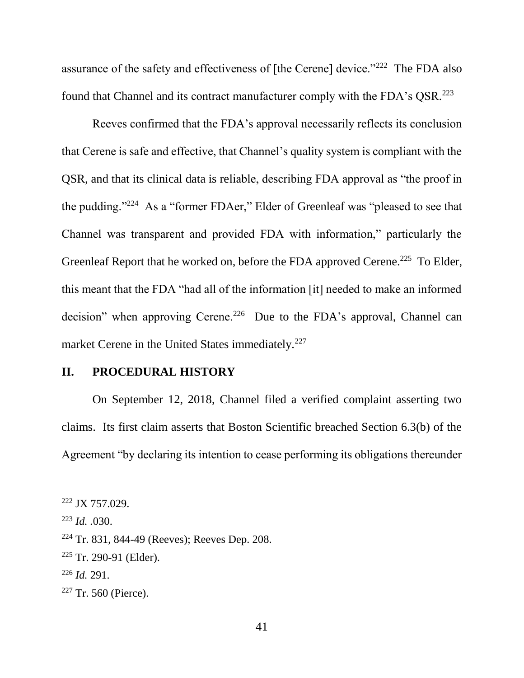assurance of the safety and effectiveness of [the Cerene] device." $222$  The FDA also found that Channel and its contract manufacturer comply with the FDA's QSR.<sup>223</sup>

Reeves confirmed that the FDA's approval necessarily reflects its conclusion that Cerene is safe and effective, that Channel's quality system is compliant with the QSR, and that its clinical data is reliable, describing FDA approval as "the proof in the pudding."<sup>224</sup> As a "former FDAer," Elder of Greenleaf was "pleased to see that Channel was transparent and provided FDA with information," particularly the Greenleaf Report that he worked on, before the FDA approved Cerene.<sup>225</sup> To Elder, this meant that the FDA "had all of the information [it] needed to make an informed decision" when approving Cerene.<sup>226</sup> Due to the FDA's approval, Channel can market Cerene in the United States immediately.<sup>227</sup>

#### **II. PROCEDURAL HISTORY**

On September 12, 2018, Channel filed a verified complaint asserting two claims. Its first claim asserts that Boston Scientific breached Section 6.3(b) of the Agreement "by declaring its intention to cease performing its obligations thereunder

<sup>222</sup> JX 757.029.

<sup>223</sup> *Id. .*030.

<sup>224</sup> Tr. 831, 844-49 (Reeves); Reeves Dep. 208.

 $225$  Tr. 290-91 (Elder).

<sup>226</sup> *Id.* 291.

<sup>227</sup> Tr. 560 (Pierce).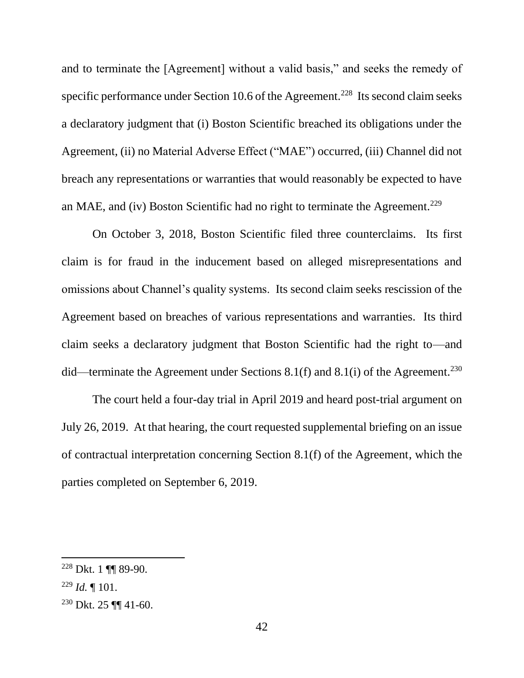and to terminate the [Agreement] without a valid basis," and seeks the remedy of specific performance under Section 10.6 of the Agreement.<sup>228</sup> Its second claim seeks a declaratory judgment that (i) Boston Scientific breached its obligations under the Agreement, (ii) no Material Adverse Effect ("MAE") occurred, (iii) Channel did not breach any representations or warranties that would reasonably be expected to have an MAE, and (iv) Boston Scientific had no right to terminate the Agreement.<sup>229</sup>

On October 3, 2018, Boston Scientific filed three counterclaims. Its first claim is for fraud in the inducement based on alleged misrepresentations and omissions about Channel's quality systems. Its second claim seeks rescission of the Agreement based on breaches of various representations and warranties. Its third claim seeks a declaratory judgment that Boston Scientific had the right to—and did—terminate the Agreement under Sections 8.1(f) and 8.1(i) of the Agreement.<sup>230</sup>

The court held a four-day trial in April 2019 and heard post-trial argument on July 26, 2019. At that hearing, the court requested supplemental briefing on an issue of contractual interpretation concerning Section 8.1(f) of the Agreement, which the parties completed on September 6, 2019.

<sup>228</sup> Dkt. 1 ¶¶ 89-90.

<sup>229</sup> *Id.* ¶ 101.

<sup>230</sup> Dkt. 25 ¶¶ 41-60.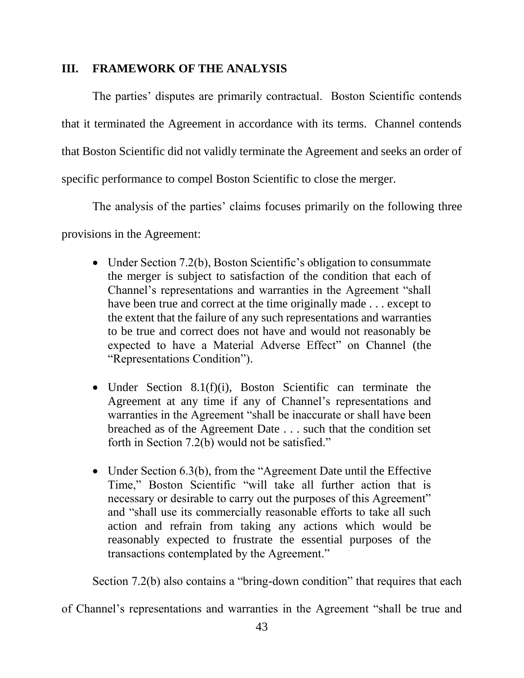### **III. FRAMEWORK OF THE ANALYSIS**

The parties' disputes are primarily contractual. Boston Scientific contends that it terminated the Agreement in accordance with its terms. Channel contends that Boston Scientific did not validly terminate the Agreement and seeks an order of specific performance to compel Boston Scientific to close the merger.

The analysis of the parties' claims focuses primarily on the following three

### provisions in the Agreement:

- Under Section 7.2(b), Boston Scientific's obligation to consummate the merger is subject to satisfaction of the condition that each of Channel's representations and warranties in the Agreement "shall have been true and correct at the time originally made . . . except to the extent that the failure of any such representations and warranties to be true and correct does not have and would not reasonably be expected to have a Material Adverse Effect" on Channel (the "Representations Condition").
- Under Section 8.1(f)(i), Boston Scientific can terminate the Agreement at any time if any of Channel's representations and warranties in the Agreement "shall be inaccurate or shall have been breached as of the Agreement Date . . . such that the condition set forth in Section 7.2(b) would not be satisfied."
- Under Section 6.3(b), from the "Agreement Date until the Effective Time," Boston Scientific "will take all further action that is necessary or desirable to carry out the purposes of this Agreement" and "shall use its commercially reasonable efforts to take all such action and refrain from taking any actions which would be reasonably expected to frustrate the essential purposes of the transactions contemplated by the Agreement."

Section 7.2(b) also contains a "bring-down condition" that requires that each

of Channel's representations and warranties in the Agreement "shall be true and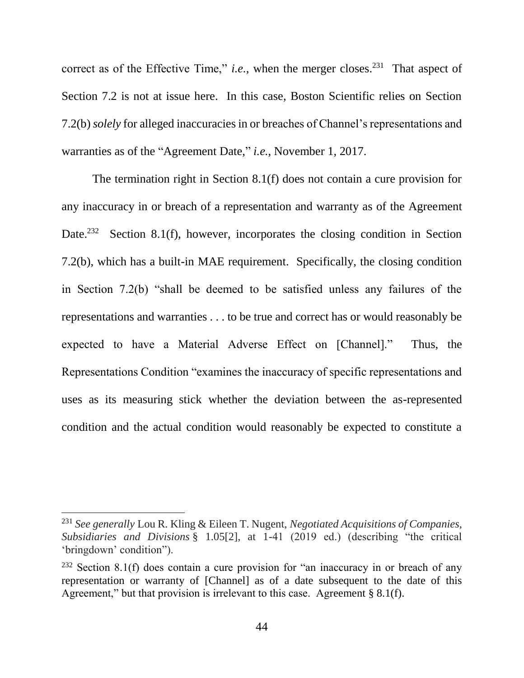correct as of the Effective Time," *i.e.*, when the merger closes.<sup>231</sup> That aspect of Section 7.2 is not at issue here. In this case, Boston Scientific relies on Section 7.2(b) *solely* for alleged inaccuracies in or breaches of Channel's representations and warranties as of the "Agreement Date," *i.e.*, November 1, 2017.

The termination right in Section 8.1(f) does not contain a cure provision for any inaccuracy in or breach of a representation and warranty as of the Agreement Date.<sup>232</sup> Section 8.1(f), however, incorporates the closing condition in Section 7.2(b), which has a built-in MAE requirement. Specifically, the closing condition in Section 7.2(b) "shall be deemed to be satisfied unless any failures of the representations and warranties . . . to be true and correct has or would reasonably be expected to have a Material Adverse Effect on [Channel]." Thus, the Representations Condition "examines the inaccuracy of specific representations and uses as its measuring stick whether the deviation between the as-represented condition and the actual condition would reasonably be expected to constitute a

<sup>231</sup> *See generally* Lou R. Kling & Eileen T. Nugent, *Negotiated Acquisitions of Companies, Subsidiaries and Divisions* § 1.05[2], at 1-41 (2019 ed.) (describing "the critical 'bringdown' condition").

<sup>&</sup>lt;sup>232</sup> Section 8.1(f) does contain a cure provision for "an inaccuracy in or breach of any representation or warranty of [Channel] as of a date subsequent to the date of this Agreement," but that provision is irrelevant to this case. Agreement  $\S 8.1(f)$ .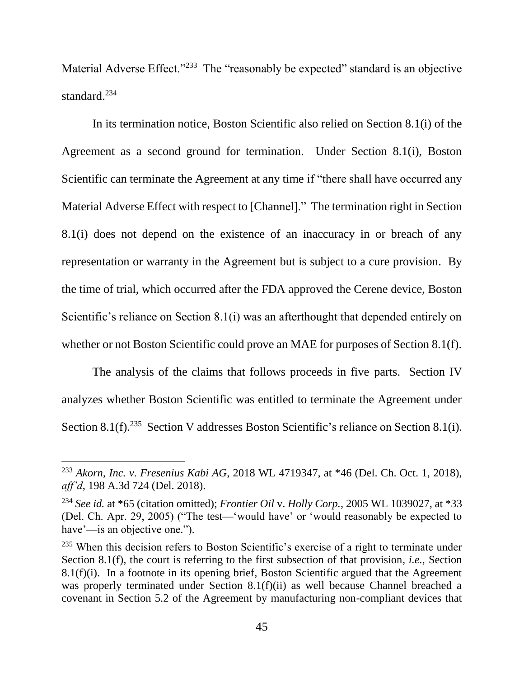Material Adverse Effect."<sup>233</sup> The "reasonably be expected" standard is an objective standard.<sup>234</sup>

In its termination notice, Boston Scientific also relied on Section 8.1(i) of the Agreement as a second ground for termination. Under Section 8.1(i), Boston Scientific can terminate the Agreement at any time if "there shall have occurred any Material Adverse Effect with respect to [Channel]." The termination right in Section 8.1(i) does not depend on the existence of an inaccuracy in or breach of any representation or warranty in the Agreement but is subject to a cure provision. By the time of trial, which occurred after the FDA approved the Cerene device, Boston Scientific's reliance on Section 8.1(i) was an afterthought that depended entirely on whether or not Boston Scientific could prove an MAE for purposes of Section 8.1(f).

The analysis of the claims that follows proceeds in five parts. Section IV analyzes whether Boston Scientific was entitled to terminate the Agreement under Section 8.1(f).<sup>235</sup> Section V addresses Boston Scientific's reliance on Section 8.1(i).

<sup>233</sup> *Akorn, Inc. v. Fresenius Kabi AG*, 2018 WL 4719347, at \*46 (Del. Ch. Oct. 1, 2018), *aff'd*, 198 A.3d 724 (Del. 2018).

<sup>234</sup> *See id.* at \*65 (citation omitted); *Frontier Oil* v. *Holly Corp.*, 2005 WL 1039027, at \*33 (Del. Ch. Apr. 29, 2005) ("The test—'would have' or 'would reasonably be expected to have'—is an objective one.").

<sup>&</sup>lt;sup>235</sup> When this decision refers to Boston Scientific's exercise of a right to terminate under Section 8.1(f), the court is referring to the first subsection of that provision, *i.e.*, Section 8.1(f)(i). In a footnote in its opening brief, Boston Scientific argued that the Agreement was properly terminated under Section 8.1(f)(ii) as well because Channel breached a covenant in Section 5.2 of the Agreement by manufacturing non-compliant devices that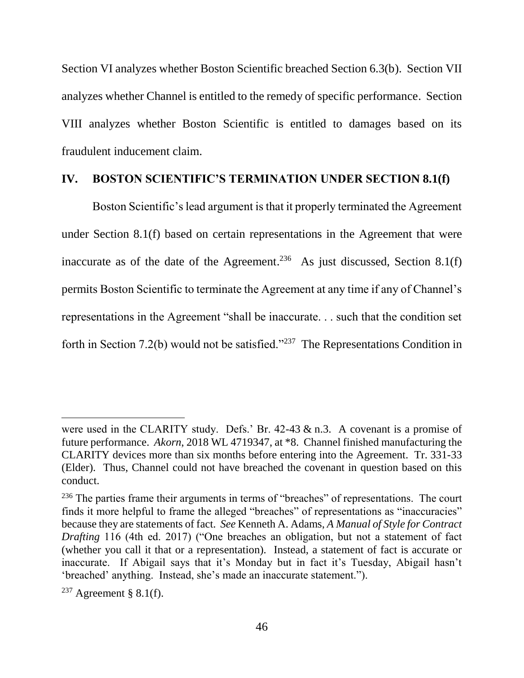Section VI analyzes whether Boston Scientific breached Section 6.3(b). Section VII analyzes whether Channel is entitled to the remedy of specific performance. Section VIII analyzes whether Boston Scientific is entitled to damages based on its fraudulent inducement claim.

#### **IV. BOSTON SCIENTIFIC'S TERMINATION UNDER SECTION 8.1(f)**

Boston Scientific's lead argument is that it properly terminated the Agreement under Section 8.1(f) based on certain representations in the Agreement that were inaccurate as of the date of the Agreement.<sup>236</sup> As just discussed, Section 8.1(f) permits Boston Scientific to terminate the Agreement at any time if any of Channel's representations in the Agreement "shall be inaccurate. . . such that the condition set forth in Section 7.2(b) would not be satisfied."<sup>237</sup> The Representations Condition in

were used in the CLARITY study. Defs.' Br. 42-43 & n.3. A covenant is a promise of future performance. *Akorn*, 2018 WL 4719347, at \*8. Channel finished manufacturing the CLARITY devices more than six months before entering into the Agreement. Tr. 331-33 (Elder). Thus, Channel could not have breached the covenant in question based on this conduct.

<sup>&</sup>lt;sup>236</sup> The parties frame their arguments in terms of "breaches" of representations. The court finds it more helpful to frame the alleged "breaches" of representations as "inaccuracies" because they are statements of fact. *See* Kenneth A. Adams, *A Manual of Style for Contract Drafting* 116 (4th ed. 2017) ("One breaches an obligation, but not a statement of fact (whether you call it that or a representation). Instead, a statement of fact is accurate or inaccurate. If Abigail says that it's Monday but in fact it's Tuesday, Abigail hasn't 'breached' anything. Instead, she's made an inaccurate statement.").

 $237$  Agreement § 8.1(f).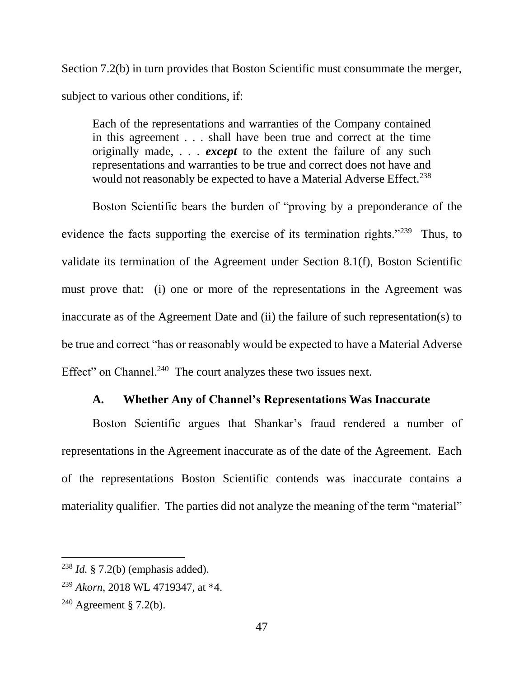Section 7.2(b) in turn provides that Boston Scientific must consummate the merger, subject to various other conditions, if:

Each of the representations and warranties of the Company contained in this agreement . . . shall have been true and correct at the time originally made, . . . *except* to the extent the failure of any such representations and warranties to be true and correct does not have and would not reasonably be expected to have a Material Adverse Effect.<sup>238</sup>

Boston Scientific bears the burden of "proving by a preponderance of the evidence the facts supporting the exercise of its termination rights."<sup>239</sup> Thus, to validate its termination of the Agreement under Section 8.1(f), Boston Scientific must prove that: (i) one or more of the representations in the Agreement was inaccurate as of the Agreement Date and (ii) the failure of such representation(s) to be true and correct "has or reasonably would be expected to have a Material Adverse Effect" on Channel.<sup>240</sup> The court analyzes these two issues next.

#### **A. Whether Any of Channel's Representations Was Inaccurate**

Boston Scientific argues that Shankar's fraud rendered a number of representations in the Agreement inaccurate as of the date of the Agreement. Each of the representations Boston Scientific contends was inaccurate contains a materiality qualifier. The parties did not analyze the meaning of the term "material"

<sup>238</sup> *Id.* § 7.2(b) (emphasis added).

<sup>239</sup> *Akorn*, 2018 WL 4719347, at \*4.

 $240$  Agreement § 7.2(b).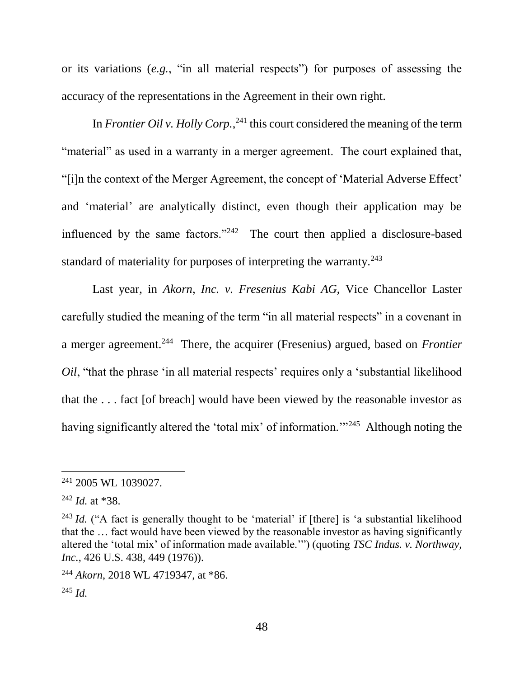or its variations (*e.g.*, "in all material respects") for purposes of assessing the accuracy of the representations in the Agreement in their own right.

In *Frontier Oil v. Holly Corp.*,<sup>241</sup> this court considered the meaning of the term "material" as used in a warranty in a merger agreement. The court explained that, "[i]n the context of the Merger Agreement, the concept of 'Material Adverse Effect' and 'material' are analytically distinct, even though their application may be influenced by the same factors." $242$  The court then applied a disclosure-based standard of materiality for purposes of interpreting the warranty.<sup>243</sup>

Last year, in *Akorn*, *Inc. v. Fresenius Kabi AG*, Vice Chancellor Laster carefully studied the meaning of the term "in all material respects" in a covenant in a merger agreement.<sup>244</sup> There, the acquirer (Fresenius) argued, based on *Frontier Oil*, "that the phrase 'in all material respects' requires only a 'substantial likelihood that the . . . fact [of breach] would have been viewed by the reasonable investor as having significantly altered the 'total mix' of information."<sup>245</sup> Although noting the

<sup>241</sup> 2005 WL 1039027.

<sup>242</sup> *Id.* at \*38.

<sup>&</sup>lt;sup>243</sup> *Id.* ("A fact is generally thought to be 'material' if [there] is 'a substantial likelihood that the … fact would have been viewed by the reasonable investor as having significantly altered the 'total mix' of information made available.'") (quoting *TSC Indus. v. Northway, Inc.*, 426 U.S. 438, 449 (1976)).

<sup>244</sup> *Akorn*, 2018 WL 4719347, at \*86.  $^{245}$  *Id.*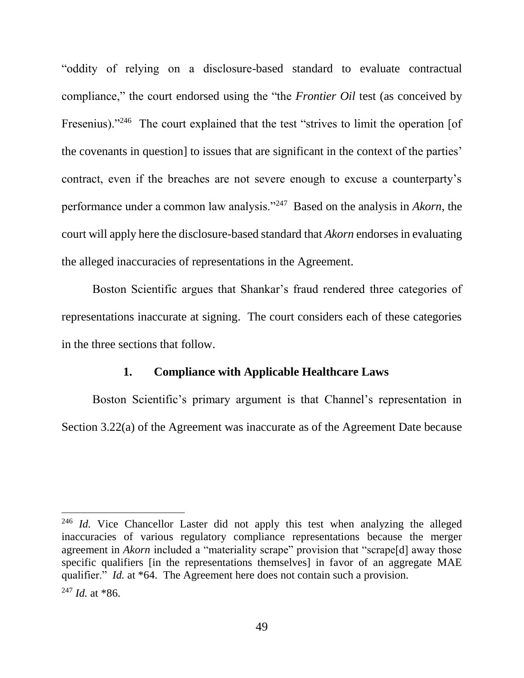"oddity of relying on a disclosure-based standard to evaluate contractual compliance," the court endorsed using the "the *Frontier Oil* test (as conceived by Fresenius)."<sup>246</sup> The court explained that the test "strives to limit the operation [of the covenants in question] to issues that are significant in the context of the parties' contract, even if the breaches are not severe enough to excuse a counterparty's performance under a common law analysis."<sup>247</sup> Based on the analysis in *Akorn*, the court will apply here the disclosure-based standard that *Akorn* endorses in evaluating the alleged inaccuracies of representations in the Agreement.

Boston Scientific argues that Shankar's fraud rendered three categories of representations inaccurate at signing. The court considers each of these categories in the three sections that follow.

#### **1. Compliance with Applicable Healthcare Laws**

Boston Scientific's primary argument is that Channel's representation in Section 3.22(a) of the Agreement was inaccurate as of the Agreement Date because

<sup>&</sup>lt;sup>246</sup> *Id.* Vice Chancellor Laster did not apply this test when analyzing the alleged inaccuracies of various regulatory compliance representations because the merger agreement in *Akorn* included a "materiality scrape" provision that "scrape<sup>[d]</sup> away those specific qualifiers [in the representations themselves] in favor of an aggregate MAE qualifier." *Id.* at \*64. The Agreement here does not contain such a provision.

<sup>247</sup> *Id.* at \*86.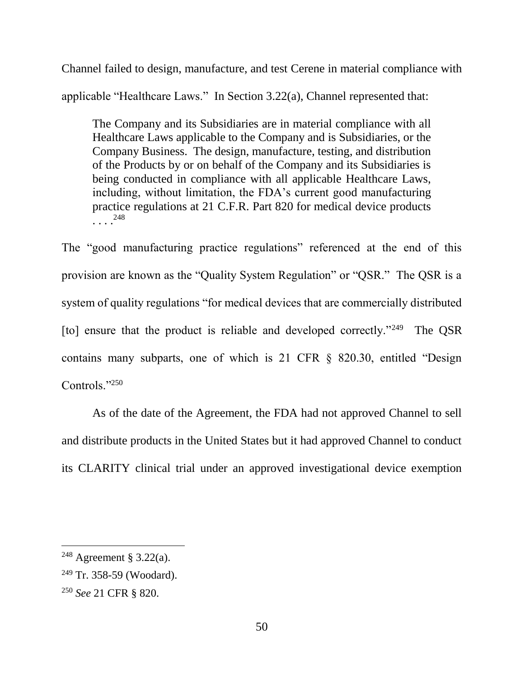Channel failed to design, manufacture, and test Cerene in material compliance with applicable "Healthcare Laws." In Section 3.22(a), Channel represented that:

The Company and its Subsidiaries are in material compliance with all Healthcare Laws applicable to the Company and is Subsidiaries, or the Company Business. The design, manufacture, testing, and distribution of the Products by or on behalf of the Company and its Subsidiaries is being conducted in compliance with all applicable Healthcare Laws, including, without limitation, the FDA's current good manufacturing practice regulations at 21 C.F.R. Part 820 for medical device products  $\cdots$ <sup>248</sup>

The "good manufacturing practice regulations" referenced at the end of this provision are known as the "Quality System Regulation" or "QSR." The QSR is a system of quality regulations "for medical devices that are commercially distributed [to] ensure that the product is reliable and developed correctly."<sup>249</sup> The QSR contains many subparts, one of which is 21 CFR § 820.30, entitled "Design Controls."250

As of the date of the Agreement, the FDA had not approved Channel to sell and distribute products in the United States but it had approved Channel to conduct its CLARITY clinical trial under an approved investigational device exemption

<sup>&</sup>lt;sup>248</sup> Agreement § 3.22(a).

<sup>249</sup> Tr. 358-59 (Woodard).

<sup>250</sup> *See* 21 CFR § 820.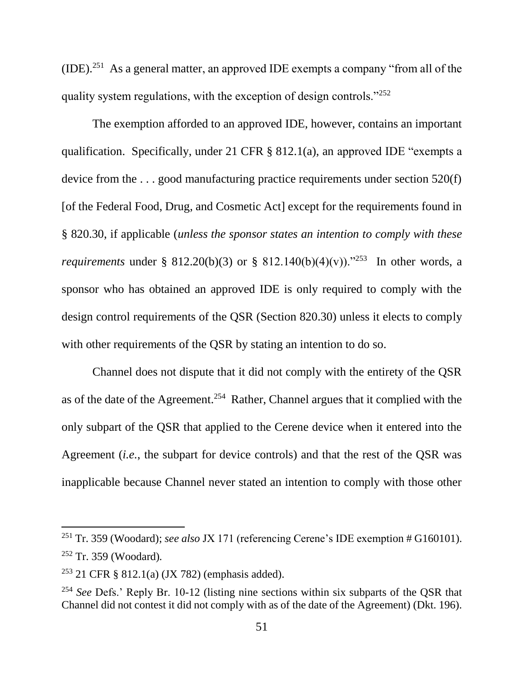$(IDE).<sup>251</sup>$  As a general matter, an approved IDE exempts a company "from all of the quality system regulations, with the exception of design controls."<sup>252</sup>

The exemption afforded to an approved IDE, however, contains an important qualification. Specifically, under 21 CFR § 812.1(a), an approved IDE "exempts a device from the . . . good manufacturing practice requirements under section 520(f) [of the Federal Food, Drug, and Cosmetic Act] except for the requirements found in § 820.30, if applicable (*unless the sponsor states an intention to comply with these requirements* under § 812.20(b)(3) or § 812.140(b)(4)(v))."<sup>253</sup> In other words, a sponsor who has obtained an approved IDE is only required to comply with the design control requirements of the QSR (Section 820.30) unless it elects to comply with other requirements of the OSR by stating an intention to do so.

Channel does not dispute that it did not comply with the entirety of the QSR as of the date of the Agreement.<sup>254</sup> Rather, Channel argues that it complied with the only subpart of the QSR that applied to the Cerene device when it entered into the Agreement (*i.e.*, the subpart for device controls) and that the rest of the QSR was inapplicable because Channel never stated an intention to comply with those other

<sup>251</sup> Tr. 359 (Woodard); *see also* JX 171 (referencing Cerene's IDE exemption # G160101). <sup>252</sup> Tr. 359 (Woodard)*.*

<sup>253</sup> 21 CFR § 812.1(a) (JX 782) (emphasis added).

<sup>254</sup> *See* Defs.' Reply Br. 10-12 (listing nine sections within six subparts of the QSR that Channel did not contest it did not comply with as of the date of the Agreement) (Dkt. 196).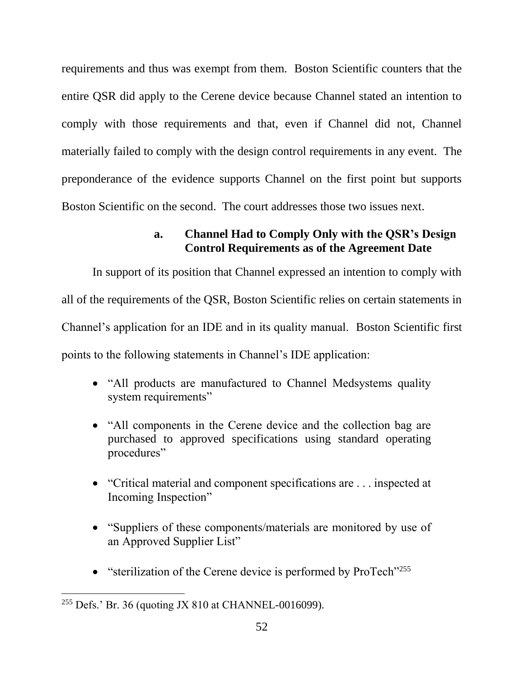requirements and thus was exempt from them. Boston Scientific counters that the entire QSR did apply to the Cerene device because Channel stated an intention to comply with those requirements and that, even if Channel did not, Channel materially failed to comply with the design control requirements in any event. The preponderance of the evidence supports Channel on the first point but supports Boston Scientific on the second. The court addresses those two issues next.

## **a. Channel Had to Comply Only with the QSR's Design Control Requirements as of the Agreement Date**

In support of its position that Channel expressed an intention to comply with all of the requirements of the QSR, Boston Scientific relies on certain statements in Channel's application for an IDE and in its quality manual. Boston Scientific first points to the following statements in Channel's IDE application:

- "All products are manufactured to Channel Medsystems quality system requirements"
- "All components in the Cerene device and the collection bag are purchased to approved specifications using standard operating procedures"
- "Critical material and component specifications are . . . inspected at Incoming Inspection"
- "Suppliers of these components/materials are monitored by use of an Approved Supplier List"
- $\bullet$  "sterilization of the Cerene device is performed by ProTech"<sup>255</sup>

<sup>255</sup> Defs.' Br. 36 (quoting JX 810 at CHANNEL-0016099).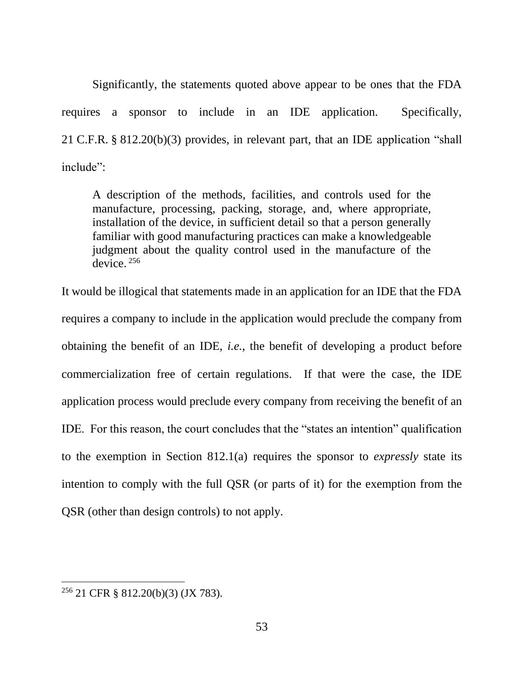Significantly, the statements quoted above appear to be ones that the FDA requires a sponsor to include in an IDE application. Specifically, 21 C.F.R. § 812.20(b)(3) provides, in relevant part, that an IDE application "shall include":

A description of the methods, facilities, and controls used for the manufacture, processing, packing, storage, and, where appropriate, installation of the device, in sufficient detail so that a person generally familiar with good manufacturing practices can make a knowledgeable judgment about the quality control used in the manufacture of the device. <sup>256</sup>

It would be illogical that statements made in an application for an IDE that the FDA requires a company to include in the application would preclude the company from obtaining the benefit of an IDE, *i.e.*, the benefit of developing a product before commercialization free of certain regulations. If that were the case, the IDE application process would preclude every company from receiving the benefit of an IDE. For this reason, the court concludes that the "states an intention" qualification to the exemption in Section 812.1(a) requires the sponsor to *expressly* state its intention to comply with the full QSR (or parts of it) for the exemption from the QSR (other than design controls) to not apply.

<sup>256</sup> 21 CFR § 812.20(b)(3) (JX 783).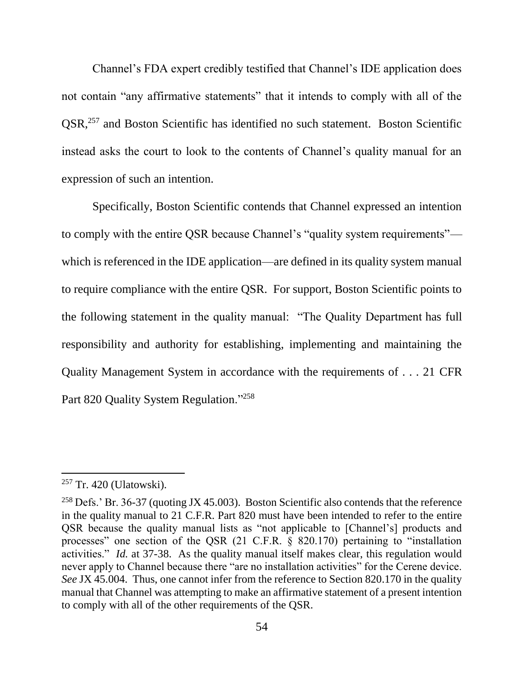Channel's FDA expert credibly testified that Channel's IDE application does not contain "any affirmative statements" that it intends to comply with all of the QSR,<sup>257</sup> and Boston Scientific has identified no such statement. Boston Scientific instead asks the court to look to the contents of Channel's quality manual for an expression of such an intention.

Specifically, Boston Scientific contends that Channel expressed an intention to comply with the entire QSR because Channel's "quality system requirements" which is referenced in the IDE application—are defined in its quality system manual to require compliance with the entire QSR. For support, Boston Scientific points to the following statement in the quality manual: "The Quality Department has full responsibility and authority for establishing, implementing and maintaining the Quality Management System in accordance with the requirements of . . . 21 CFR Part 820 Quality System Regulation."<sup>258</sup>

<sup>257</sup> Tr. 420 (Ulatowski).

<sup>258</sup> Defs.' Br. 36-37 (quoting JX 45.003). Boston Scientific also contends that the reference in the quality manual to 21 C.F.R. Part 820 must have been intended to refer to the entire QSR because the quality manual lists as "not applicable to [Channel's] products and processes" one section of the QSR (21 C.F.R. § 820.170) pertaining to "installation activities." *Id.* at 37-38. As the quality manual itself makes clear, this regulation would never apply to Channel because there "are no installation activities" for the Cerene device. *See* JX 45.004. Thus, one cannot infer from the reference to Section 820.170 in the quality manual that Channel was attempting to make an affirmative statement of a present intention to comply with all of the other requirements of the QSR.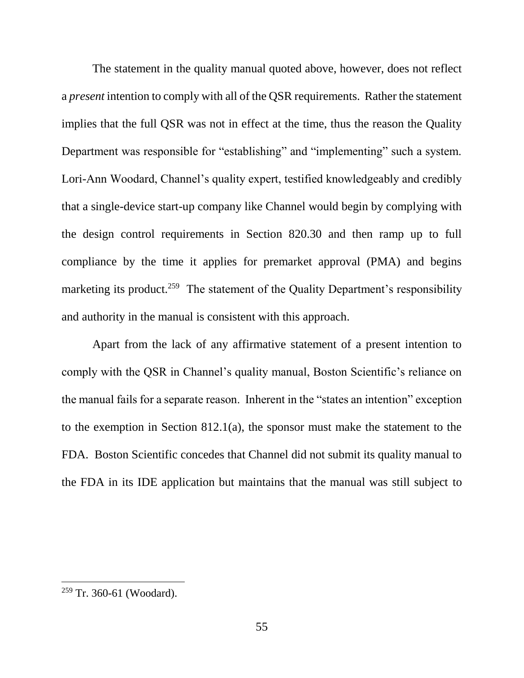The statement in the quality manual quoted above, however, does not reflect a *present* intention to comply with all of the QSR requirements. Rather the statement implies that the full QSR was not in effect at the time, thus the reason the Quality Department was responsible for "establishing" and "implementing" such a system. Lori-Ann Woodard, Channel's quality expert, testified knowledgeably and credibly that a single-device start-up company like Channel would begin by complying with the design control requirements in Section 820.30 and then ramp up to full compliance by the time it applies for premarket approval (PMA) and begins marketing its product.<sup>259</sup> The statement of the Quality Department's responsibility and authority in the manual is consistent with this approach.

Apart from the lack of any affirmative statement of a present intention to comply with the QSR in Channel's quality manual, Boston Scientific's reliance on the manual fails for a separate reason. Inherent in the "states an intention" exception to the exemption in Section 812.1(a), the sponsor must make the statement to the FDA. Boston Scientific concedes that Channel did not submit its quality manual to the FDA in its IDE application but maintains that the manual was still subject to

<sup>259</sup> Tr. 360-61 (Woodard).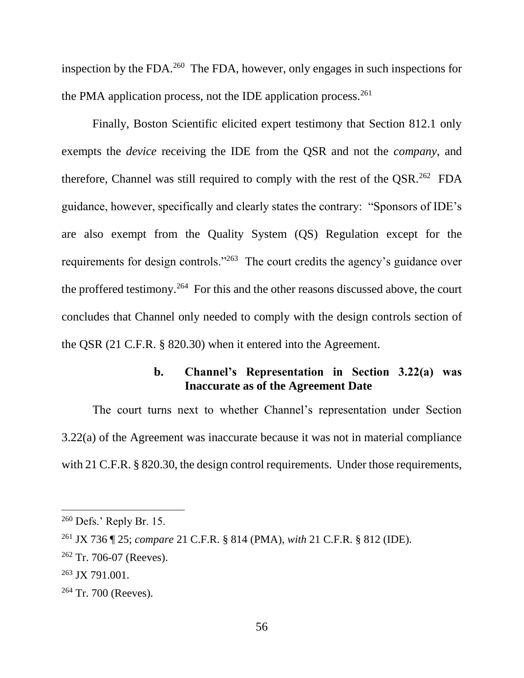inspection by the FDA. $^{260}$  The FDA, however, only engages in such inspections for the PMA application process, not the IDE application process.<sup>261</sup>

Finally, Boston Scientific elicited expert testimony that Section 812.1 only exempts the *device* receiving the IDE from the QSR and not the *company*, and therefore, Channel was still required to comply with the rest of the QSR.<sup>262</sup> FDA guidance, however, specifically and clearly states the contrary: "Sponsors of IDE's are also exempt from the Quality System (QS) Regulation except for the requirements for design controls."<sup>263</sup> The court credits the agency's guidance over the proffered testimony.<sup>264</sup> For this and the other reasons discussed above, the court concludes that Channel only needed to comply with the design controls section of the QSR (21 C.F.R. § 820.30) when it entered into the Agreement.

## **b. Channel's Representation in Section 3.22(a) was Inaccurate as of the Agreement Date**

The court turns next to whether Channel's representation under Section 3.22(a) of the Agreement was inaccurate because it was not in material compliance with 21 C.F.R. § 820.30, the design control requirements. Under those requirements,

 $260$  Defs.' Reply Br. 15.

<sup>261</sup> JX 736 ¶ 25; *compare* 21 C.F.R. § 814 (PMA), *with* 21 C.F.R. § 812 (IDE).

 $262$  Tr. 706-07 (Reeves).

<sup>263</sup> JX 791.001.

<sup>264</sup> Tr. 700 (Reeves).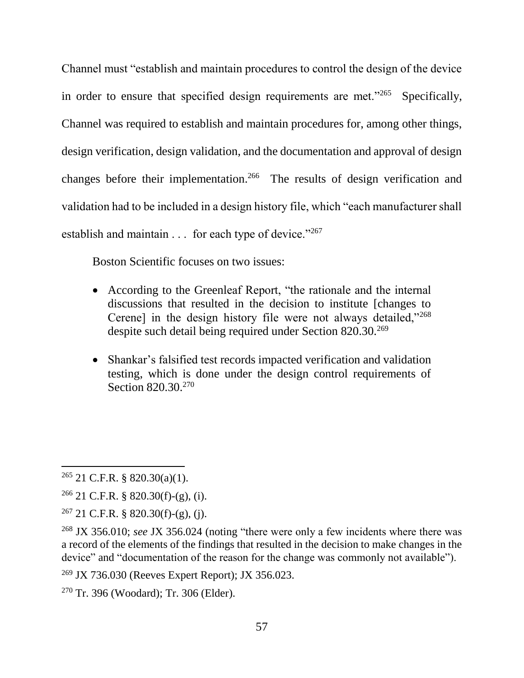Channel must "establish and maintain procedures to control the design of the device in order to ensure that specified design requirements are met."<sup>265</sup> Specifically, Channel was required to establish and maintain procedures for, among other things, design verification, design validation, and the documentation and approval of design changes before their implementation.<sup>266</sup> The results of design verification and validation had to be included in a design history file, which "each manufacturer shall establish and maintain . . . for each type of device."267

Boston Scientific focuses on two issues:

- According to the Greenleaf Report, "the rationale and the internal discussions that resulted in the decision to institute [changes to Cerene] in the design history file were not always detailed,"<sup>268</sup> despite such detail being required under Section 820.30.<sup>269</sup>
- Shankar's falsified test records impacted verification and validation testing, which is done under the design control requirements of Section 820.30.<sup>270</sup>

 $265$  21 C.F.R. § 820.30(a)(1).

 $266$  21 C.F.R. § 820.30(f)-(g), (i).

 $267$  21 C.F.R. § 820.30(f)-(g), (j).

<sup>268</sup> JX 356.010; *see* JX 356.024 (noting "there were only a few incidents where there was a record of the elements of the findings that resulted in the decision to make changes in the device" and "documentation of the reason for the change was commonly not available").

<sup>269</sup> JX 736.030 (Reeves Expert Report); JX 356.023.

<sup>270</sup> Tr. 396 (Woodard); Tr. 306 (Elder).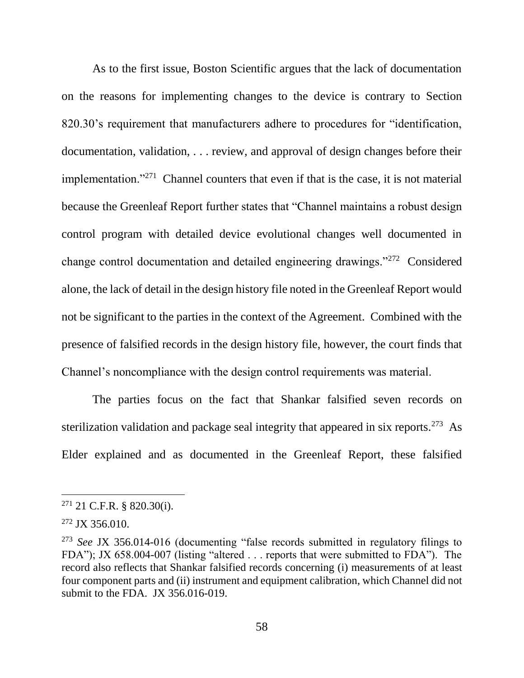As to the first issue, Boston Scientific argues that the lack of documentation on the reasons for implementing changes to the device is contrary to Section 820.30's requirement that manufacturers adhere to procedures for "identification, documentation, validation, . . . review, and approval of design changes before their implementation."<sup>271</sup> Channel counters that even if that is the case, it is not material because the Greenleaf Report further states that "Channel maintains a robust design control program with detailed device evolutional changes well documented in change control documentation and detailed engineering drawings."<sup>272</sup> Considered alone, the lack of detail in the design history file noted in the Greenleaf Report would not be significant to the parties in the context of the Agreement. Combined with the presence of falsified records in the design history file, however, the court finds that Channel's noncompliance with the design control requirements was material.

The parties focus on the fact that Shankar falsified seven records on sterilization validation and package seal integrity that appeared in six reports.<sup>273</sup> As Elder explained and as documented in the Greenleaf Report, these falsified

<sup>271</sup> 21 C.F.R. § 820.30(i).

 $272$  JX 356.010.

<sup>273</sup> *See* JX 356.014-016 (documenting "false records submitted in regulatory filings to FDA"); JX 658.004-007 (listing "altered . . . reports that were submitted to FDA"). The record also reflects that Shankar falsified records concerning (i) measurements of at least four component parts and (ii) instrument and equipment calibration, which Channel did not submit to the FDA. JX 356.016-019.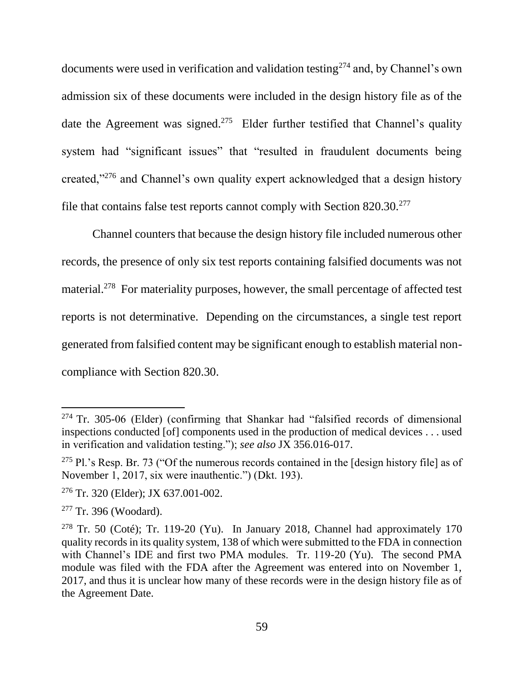documents were used in verification and validation testing<sup>274</sup> and, by Channel's own admission six of these documents were included in the design history file as of the date the Agreement was signed.<sup>275</sup> Elder further testified that Channel's quality system had "significant issues" that "resulted in fraudulent documents being created,"<sup>276</sup> and Channel's own quality expert acknowledged that a design history file that contains false test reports cannot comply with Section 820.30.<sup>277</sup>

Channel counters that because the design history file included numerous other records, the presence of only six test reports containing falsified documents was not material.<sup>278</sup> For materiality purposes, however, the small percentage of affected test reports is not determinative. Depending on the circumstances, a single test report generated from falsified content may be significant enough to establish material noncompliance with Section 820.30.

 $274$  Tr. 305-06 (Elder) (confirming that Shankar had "falsified records of dimensional inspections conducted [of] components used in the production of medical devices . . . used in verification and validation testing."); *see also* JX 356.016-017.

<sup>&</sup>lt;sup>275</sup> Pl.'s Resp. Br. 73 ("Of the numerous records contained in the [design history file] as of November 1, 2017, six were inauthentic.") (Dkt. 193).

<sup>276</sup> Tr. 320 (Elder); JX 637.001-002.

<sup>277</sup> Tr. 396 (Woodard).

<sup>&</sup>lt;sup>278</sup> Tr. 50 (Coté); Tr. 119-20 (Yu). In January 2018, Channel had approximately 170 quality records in its quality system, 138 of which were submitted to the FDA in connection with Channel's IDE and first two PMA modules. Tr. 119-20 (Yu). The second PMA module was filed with the FDA after the Agreement was entered into on November 1, 2017, and thus it is unclear how many of these records were in the design history file as of the Agreement Date.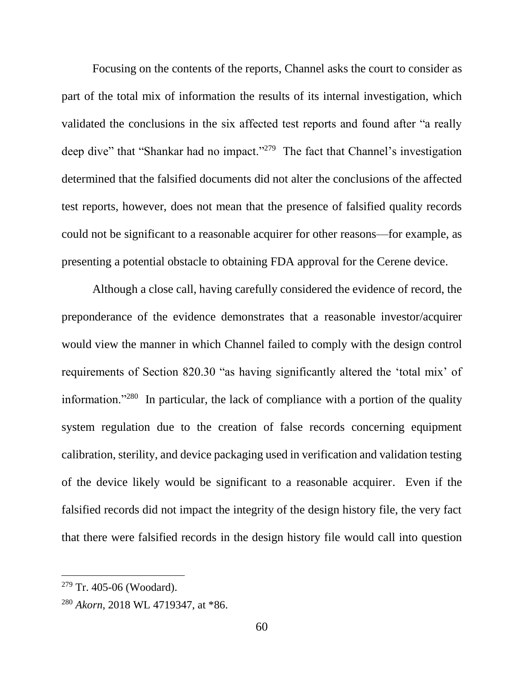Focusing on the contents of the reports, Channel asks the court to consider as part of the total mix of information the results of its internal investigation, which validated the conclusions in the six affected test reports and found after "a really deep dive" that "Shankar had no impact."<sup>279</sup> The fact that Channel's investigation determined that the falsified documents did not alter the conclusions of the affected test reports, however, does not mean that the presence of falsified quality records could not be significant to a reasonable acquirer for other reasons—for example, as presenting a potential obstacle to obtaining FDA approval for the Cerene device.

Although a close call, having carefully considered the evidence of record, the preponderance of the evidence demonstrates that a reasonable investor/acquirer would view the manner in which Channel failed to comply with the design control requirements of Section 820.30 "as having significantly altered the 'total mix' of information."<sup>280</sup> In particular, the lack of compliance with a portion of the quality system regulation due to the creation of false records concerning equipment calibration, sterility, and device packaging used in verification and validation testing of the device likely would be significant to a reasonable acquirer. Even if the falsified records did not impact the integrity of the design history file, the very fact that there were falsified records in the design history file would call into question

 $279$  Tr. 405-06 (Woodard).

<sup>280</sup> *Akorn*, 2018 WL 4719347, at \*86.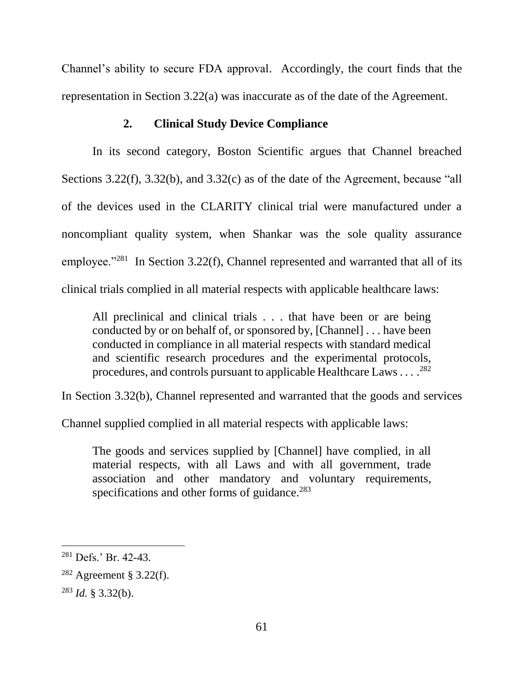Channel's ability to secure FDA approval. Accordingly, the court finds that the representation in Section 3.22(a) was inaccurate as of the date of the Agreement.

## **2. Clinical Study Device Compliance**

In its second category, Boston Scientific argues that Channel breached Sections 3.22(f), 3.32(b), and 3.32(c) as of the date of the Agreement, because "all of the devices used in the CLARITY clinical trial were manufactured under a noncompliant quality system, when Shankar was the sole quality assurance employee."<sup>281</sup> In Section 3.22(f), Channel represented and warranted that all of its clinical trials complied in all material respects with applicable healthcare laws:

All preclinical and clinical trials . . . that have been or are being conducted by or on behalf of, or sponsored by, [Channel] . . . have been conducted in compliance in all material respects with standard medical and scientific research procedures and the experimental protocols, procedures, and controls pursuant to applicable Healthcare Laws . . . . <sup>282</sup>

In Section 3.32(b), Channel represented and warranted that the goods and services

Channel supplied complied in all material respects with applicable laws:

The goods and services supplied by [Channel] have complied, in all material respects, with all Laws and with all government, trade association and other mandatory and voluntary requirements, specifications and other forms of guidance.<sup>283</sup>

<sup>281</sup> Defs.' Br. 42-43.

<sup>282</sup> Agreement § 3.22(f).

<sup>283</sup> *Id.* § 3.32(b).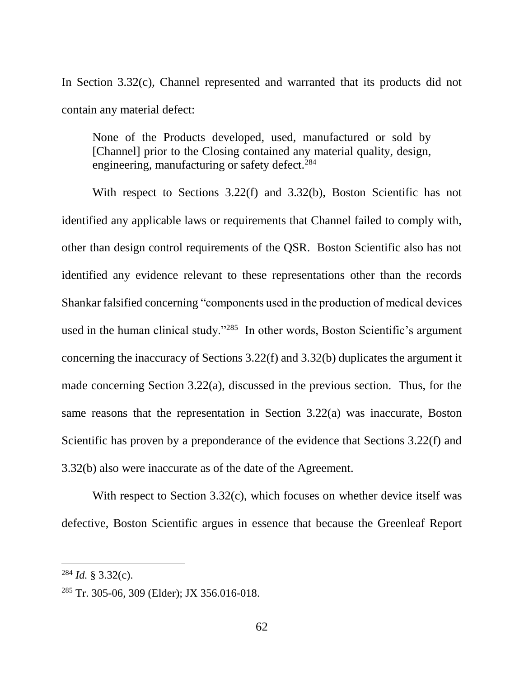In Section 3.32(c), Channel represented and warranted that its products did not contain any material defect:

None of the Products developed, used, manufactured or sold by [Channel] prior to the Closing contained any material quality, design, engineering, manufacturing or safety defect.<sup>284</sup>

With respect to Sections 3.22(f) and 3.32(b), Boston Scientific has not identified any applicable laws or requirements that Channel failed to comply with, other than design control requirements of the QSR. Boston Scientific also has not identified any evidence relevant to these representations other than the records Shankar falsified concerning "components used in the production of medical devices used in the human clinical study."<sup>285</sup> In other words, Boston Scientific's argument concerning the inaccuracy of Sections 3.22(f) and 3.32(b) duplicates the argument it made concerning Section 3.22(a), discussed in the previous section. Thus, for the same reasons that the representation in Section 3.22(a) was inaccurate, Boston Scientific has proven by a preponderance of the evidence that Sections 3.22(f) and 3.32(b) also were inaccurate as of the date of the Agreement.

With respect to Section 3.32(c), which focuses on whether device itself was defective, Boston Scientific argues in essence that because the Greenleaf Report

<sup>284</sup> *Id.* § 3.32(c).

 $285$  Tr. 305-06, 309 (Elder); JX 356.016-018.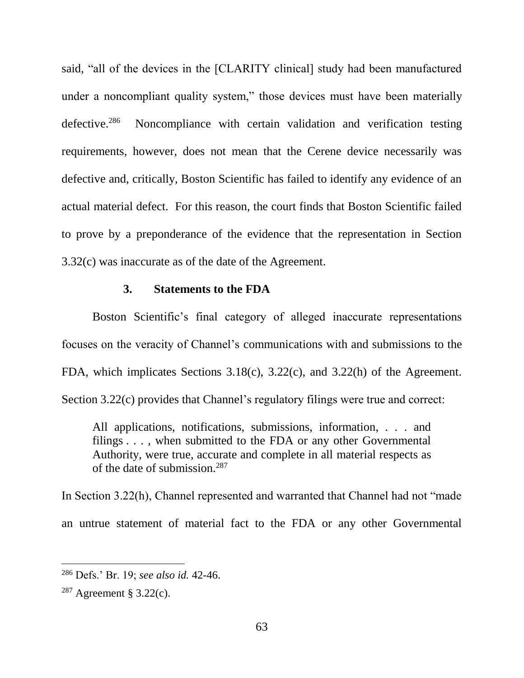said, "all of the devices in the [CLARITY clinical] study had been manufactured under a noncompliant quality system," those devices must have been materially defective.<sup>286</sup> Noncompliance with certain validation and verification testing requirements, however, does not mean that the Cerene device necessarily was defective and, critically, Boston Scientific has failed to identify any evidence of an actual material defect. For this reason, the court finds that Boston Scientific failed to prove by a preponderance of the evidence that the representation in Section 3.32(c) was inaccurate as of the date of the Agreement.

#### **3. Statements to the FDA**

Boston Scientific's final category of alleged inaccurate representations focuses on the veracity of Channel's communications with and submissions to the FDA, which implicates Sections 3.18(c), 3.22(c), and 3.22(h) of the Agreement. Section 3.22(c) provides that Channel's regulatory filings were true and correct:

All applications, notifications, submissions, information, . . . and filings . . . , when submitted to the FDA or any other Governmental Authority, were true, accurate and complete in all material respects as of the date of submission.<sup>287</sup>

In Section 3.22(h), Channel represented and warranted that Channel had not "made an untrue statement of material fact to the FDA or any other Governmental

<sup>286</sup> Defs.' Br. 19; *see also id.* 42-46.

 $287$  Agreement § 3.22(c).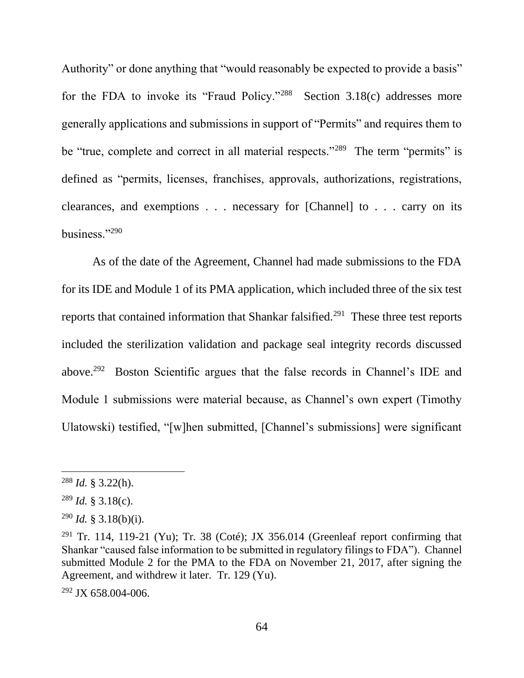Authority" or done anything that "would reasonably be expected to provide a basis" for the FDA to invoke its "Fraud Policy."<sup>288</sup> Section 3.18(c) addresses more generally applications and submissions in support of "Permits" and requires them to be "true, complete and correct in all material respects."<sup>289</sup> The term "permits" is defined as "permits, licenses, franchises, approvals, authorizations, registrations, clearances, and exemptions . . . necessary for [Channel] to . . . carry on its business."<sup>290</sup>

As of the date of the Agreement, Channel had made submissions to the FDA for its IDE and Module 1 of its PMA application, which included three of the six test reports that contained information that Shankar falsified.<sup>291</sup> These three test reports included the sterilization validation and package seal integrity records discussed above.<sup>292</sup> Boston Scientific argues that the false records in Channel's IDE and Module 1 submissions were material because, as Channel's own expert (Timothy Ulatowski) testified, "[w]hen submitted, [Channel's submissions] were significant

<sup>288</sup> *Id.* § 3.22(h).

<sup>289</sup> *Id.* § 3.18(c).

 $^{290}$  *Id.* § 3.18(b)(i).

<sup>&</sup>lt;sup>291</sup> Tr. 114, 119-21 (Yu); Tr. 38 (Coté); JX 356.014 (Greenleaf report confirming that Shankar "caused false information to be submitted in regulatory filings to FDA"). Channel submitted Module 2 for the PMA to the FDA on November 21, 2017, after signing the Agreement, and withdrew it later. Tr. 129 (Yu).

<sup>292</sup> JX 658.004-006.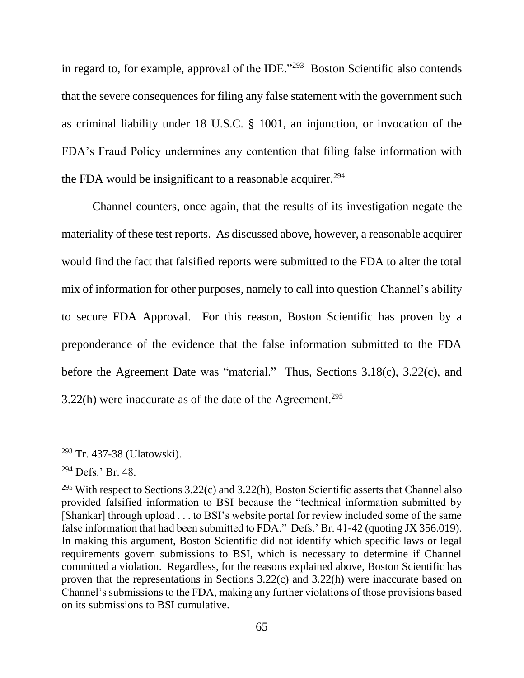in regard to, for example, approval of the IDE."<sup>293</sup> Boston Scientific also contends that the severe consequences for filing any false statement with the government such as criminal liability under 18 U.S.C. § 1001, an injunction, or invocation of the FDA's Fraud Policy undermines any contention that filing false information with the FDA would be insignificant to a reasonable acquirer.<sup>294</sup>

Channel counters, once again, that the results of its investigation negate the materiality of these test reports. As discussed above, however, a reasonable acquirer would find the fact that falsified reports were submitted to the FDA to alter the total mix of information for other purposes, namely to call into question Channel's ability to secure FDA Approval. For this reason, Boston Scientific has proven by a preponderance of the evidence that the false information submitted to the FDA before the Agreement Date was "material." Thus, Sections 3.18(c), 3.22(c), and 3.22(h) were inaccurate as of the date of the Agreement.<sup>295</sup>

<sup>293</sup> Tr. 437-38 (Ulatowski).

<sup>294</sup> Defs.' Br. 48.

<sup>&</sup>lt;sup>295</sup> With respect to Sections  $3.22(c)$  and  $3.22(h)$ , Boston Scientific asserts that Channel also provided falsified information to BSI because the "technical information submitted by [Shankar] through upload . . . to BSI's website portal for review included some of the same false information that had been submitted to FDA." Defs.' Br. 41-42 (quoting JX 356.019). In making this argument, Boston Scientific did not identify which specific laws or legal requirements govern submissions to BSI, which is necessary to determine if Channel committed a violation. Regardless, for the reasons explained above, Boston Scientific has proven that the representations in Sections 3.22(c) and 3.22(h) were inaccurate based on Channel's submissions to the FDA, making any further violations of those provisions based on its submissions to BSI cumulative.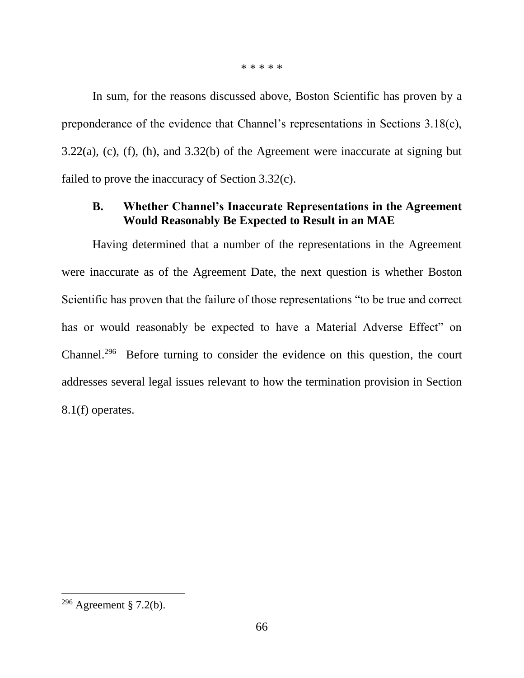\* \* \* \* \*

In sum, for the reasons discussed above, Boston Scientific has proven by a preponderance of the evidence that Channel's representations in Sections 3.18(c), 3.22(a), (c), (f), (h), and 3.32(b) of the Agreement were inaccurate at signing but failed to prove the inaccuracy of Section 3.32(c).

## **B. Whether Channel's Inaccurate Representations in the Agreement Would Reasonably Be Expected to Result in an MAE**

Having determined that a number of the representations in the Agreement were inaccurate as of the Agreement Date, the next question is whether Boston Scientific has proven that the failure of those representations "to be true and correct has or would reasonably be expected to have a Material Adverse Effect" on Channel.<sup>296</sup> Before turning to consider the evidence on this question, the court addresses several legal issues relevant to how the termination provision in Section 8.1(f) operates.

<sup>&</sup>lt;sup>296</sup> Agreement § 7.2(b).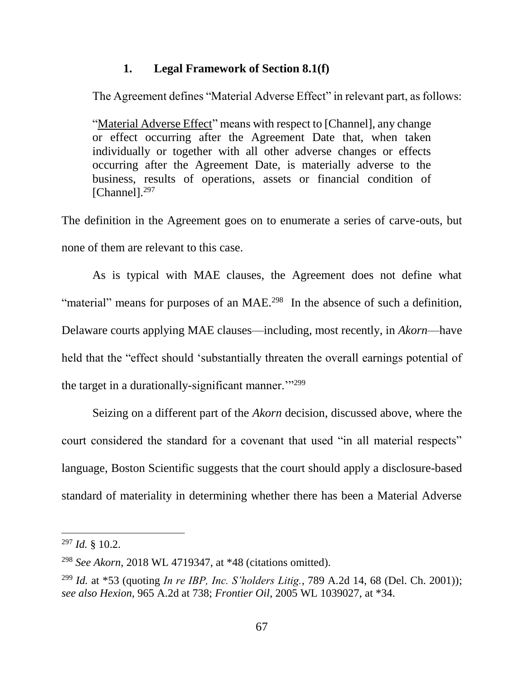### **1. Legal Framework of Section 8.1(f)**

The Agreement defines "Material Adverse Effect" in relevant part, as follows:

"Material Adverse Effect" means with respect to [Channel], any change or effect occurring after the Agreement Date that, when taken individually or together with all other adverse changes or effects occurring after the Agreement Date, is materially adverse to the business, results of operations, assets or financial condition of [Channel].<sup>297</sup>

The definition in the Agreement goes on to enumerate a series of carve-outs, but none of them are relevant to this case.

As is typical with MAE clauses, the Agreement does not define what "material" means for purposes of an MAE.<sup>298</sup> In the absence of such a definition, Delaware courts applying MAE clauses—including, most recently, in *Akorn*—have held that the "effect should 'substantially threaten the overall earnings potential of the target in a durationally-significant manner."<sup>299</sup>

Seizing on a different part of the *Akorn* decision, discussed above, where the court considered the standard for a covenant that used "in all material respects" language, Boston Scientific suggests that the court should apply a disclosure-based standard of materiality in determining whether there has been a Material Adverse

<sup>297</sup> *Id.* § 10.2.

<sup>298</sup> *See Akorn*, 2018 WL 4719347, at \*48 (citations omitted).

<sup>299</sup> *Id.* at \*53 (quoting *In re IBP, Inc. S'holders Litig.*, 789 A.2d 14, 68 (Del. Ch. 2001)); *see also Hexion*, 965 A.2d at 738; *Frontier Oil*, 2005 WL 1039027, at \*34.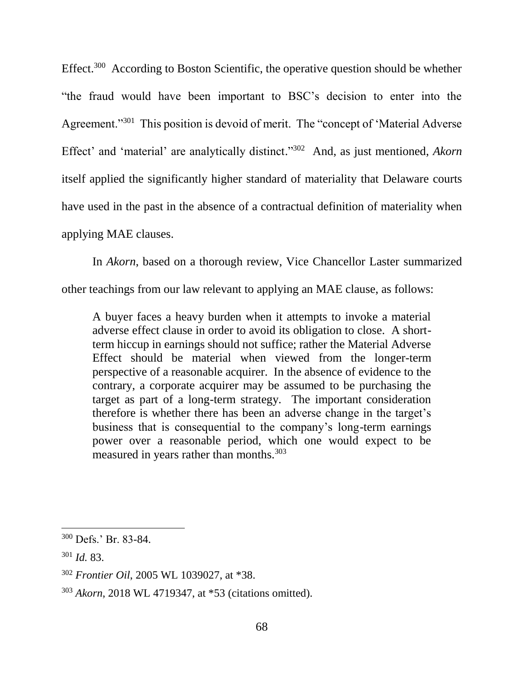Effect.<sup>300</sup> According to Boston Scientific, the operative question should be whether "the fraud would have been important to BSC's decision to enter into the Agreement."<sup>301</sup> This position is devoid of merit. The "concept of 'Material Adverse Effect' and 'material' are analytically distinct." <sup>302</sup> And, as just mentioned, *Akorn* itself applied the significantly higher standard of materiality that Delaware courts have used in the past in the absence of a contractual definition of materiality when applying MAE clauses.

In *Akorn*, based on a thorough review, Vice Chancellor Laster summarized other teachings from our law relevant to applying an MAE clause, as follows:

A buyer faces a heavy burden when it attempts to invoke a material adverse effect clause in order to avoid its obligation to close. A shortterm hiccup in earnings should not suffice; rather the Material Adverse Effect should be material when viewed from the longer-term perspective of a reasonable acquirer. In the absence of evidence to the contrary, a corporate acquirer may be assumed to be purchasing the target as part of a long-term strategy. The important consideration therefore is whether there has been an adverse change in the target's business that is consequential to the company's long-term earnings power over a reasonable period, which one would expect to be measured in years rather than months.<sup>303</sup>

<sup>300</sup> Defs.' Br. 83-84.

<sup>301</sup> *Id.* 83.

<sup>302</sup> *Frontier Oil*, 2005 WL 1039027, at \*38.

<sup>303</sup> *Akorn*, 2018 WL 4719347, at \*53 (citations omitted).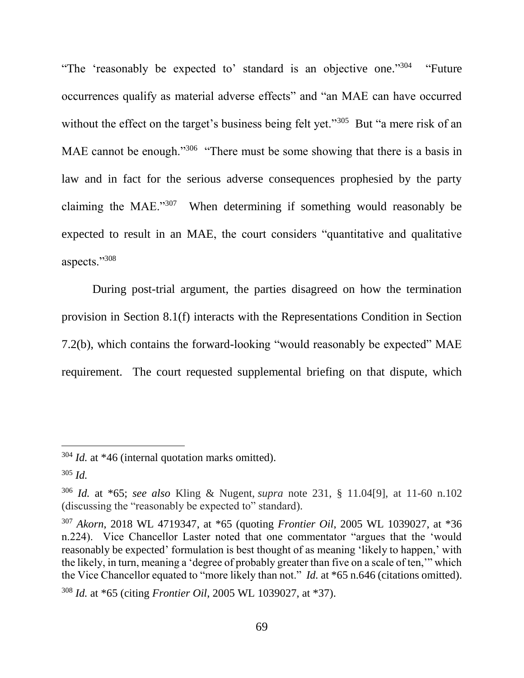"The 'reasonably be expected to' standard is an objective one."<sup>304</sup> "Future" occurrences qualify as material adverse effects" and "an MAE can have occurred without the effect on the target's business being felt yet."<sup>305</sup> But "a mere risk of an MAE cannot be enough."<sup>306</sup> "There must be some showing that there is a basis in law and in fact for the serious adverse consequences prophesied by the party claiming the MAE."<sup>307</sup> When determining if something would reasonably be expected to result in an MAE, the court considers "quantitative and qualitative aspects."<sup>308</sup>

During post-trial argument, the parties disagreed on how the termination provision in Section 8.1(f) interacts with the Representations Condition in Section 7.2(b), which contains the forward-looking "would reasonably be expected" MAE requirement. The court requested supplemental briefing on that dispute, which

<sup>304</sup> *Id.* at \*46 (internal quotation marks omitted).

<sup>305</sup> *Id.* 

<sup>306</sup> *Id.* at \*65; *see also* Kling & Nugent, *supra* note 231, § 11.04[9], at 11-60 n.102 (discussing the "reasonably be expected to" standard).

<sup>307</sup> *Akorn*, 2018 WL 4719347, at \*65 (quoting *Frontier Oil*, 2005 WL 1039027, at \*36 n.224). Vice Chancellor Laster noted that one commentator "argues that the 'would reasonably be expected' formulation is best thought of as meaning 'likely to happen,' with the likely, in turn, meaning a 'degree of probably greater than five on a scale of ten,'" which the Vice Chancellor equated to "more likely than not." *Id.* at \*65 n.646 (citations omitted).

<sup>308</sup> *Id.* at \*65 (citing *Frontier Oil*, 2005 WL 1039027, at \*37).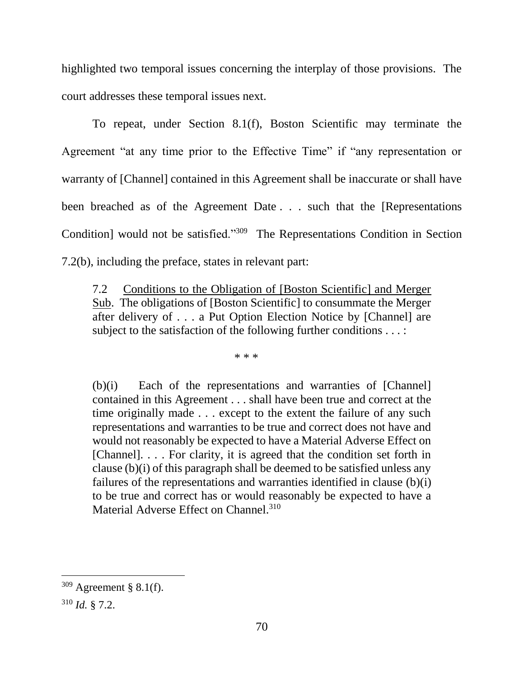highlighted two temporal issues concerning the interplay of those provisions. The court addresses these temporal issues next.

To repeat, under Section 8.1(f), Boston Scientific may terminate the Agreement "at any time prior to the Effective Time" if "any representation or warranty of [Channel] contained in this Agreement shall be inaccurate or shall have been breached as of the Agreement Date . . . such that the [Representations Condition] would not be satisfied."<sup>309</sup> The Representations Condition in Section 7.2(b), including the preface, states in relevant part:

7.2 Conditions to the Obligation of [Boston Scientific] and Merger Sub. The obligations of [Boston Scientific] to consummate the Merger after delivery of . . . a Put Option Election Notice by [Channel] are subject to the satisfaction of the following further conditions . . . :

\* \* \*

(b)(i) Each of the representations and warranties of [Channel] contained in this Agreement . . . shall have been true and correct at the time originally made . . . except to the extent the failure of any such representations and warranties to be true and correct does not have and would not reasonably be expected to have a Material Adverse Effect on [Channel]. . . . For clarity, it is agreed that the condition set forth in clause (b)(i) of this paragraph shall be deemed to be satisfied unless any failures of the representations and warranties identified in clause (b)(i) to be true and correct has or would reasonably be expected to have a Material Adverse Effect on Channel.<sup>310</sup>

<sup>309</sup> Agreement § 8.1(f).

<sup>310</sup> *Id.* § 7.2.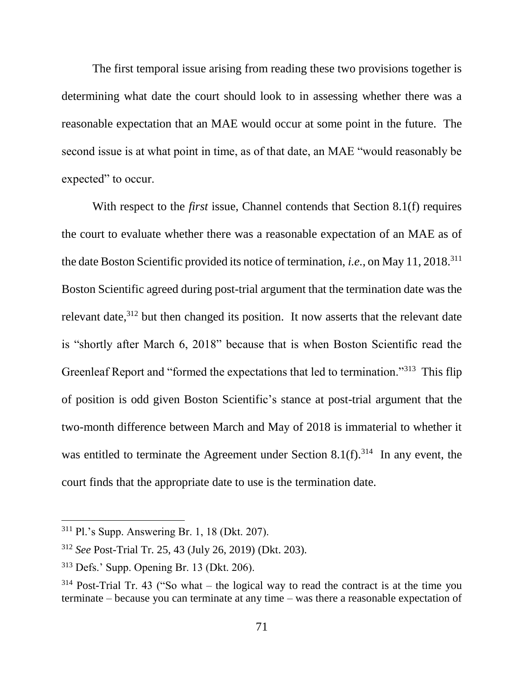The first temporal issue arising from reading these two provisions together is determining what date the court should look to in assessing whether there was a reasonable expectation that an MAE would occur at some point in the future. The second issue is at what point in time, as of that date, an MAE "would reasonably be expected" to occur.

With respect to the *first* issue, Channel contends that Section 8.1(f) requires the court to evaluate whether there was a reasonable expectation of an MAE as of the date Boston Scientific provided its notice of termination, *i.e.*, on May 11, 2018.<sup>311</sup> Boston Scientific agreed during post-trial argument that the termination date was the relevant date, $312$  but then changed its position. It now asserts that the relevant date is "shortly after March 6, 2018" because that is when Boston Scientific read the Greenleaf Report and "formed the expectations that led to termination."<sup>313</sup> This flip of position is odd given Boston Scientific's stance at post-trial argument that the two-month difference between March and May of 2018 is immaterial to whether it was entitled to terminate the Agreement under Section  $8.1(f).<sup>314</sup>$  In any event, the court finds that the appropriate date to use is the termination date.

<sup>311</sup> Pl.'s Supp. Answering Br. 1, 18 (Dkt. 207).

<sup>312</sup> *See* Post-Trial Tr. 25, 43 (July 26, 2019) (Dkt. 203).

<sup>313</sup> Defs.' Supp. Opening Br. 13 (Dkt. 206).

 $314$  Post-Trial Tr. 43 ("So what – the logical way to read the contract is at the time you terminate – because you can terminate at any time – was there a reasonable expectation of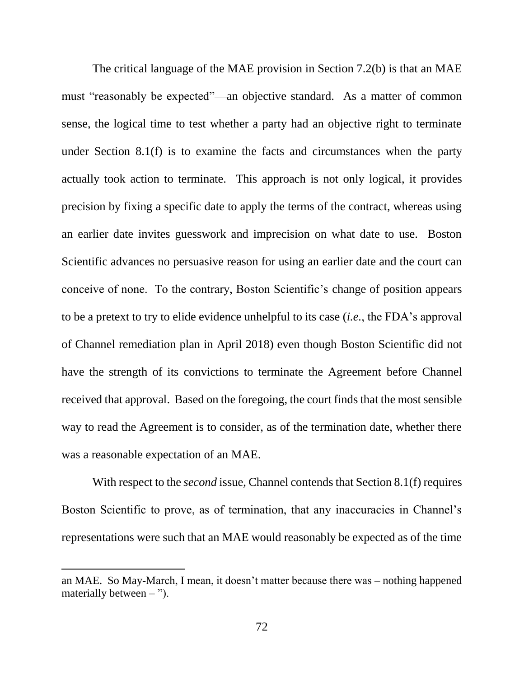The critical language of the MAE provision in Section 7.2(b) is that an MAE must "reasonably be expected"—an objective standard. As a matter of common sense, the logical time to test whether a party had an objective right to terminate under Section 8.1(f) is to examine the facts and circumstances when the party actually took action to terminate. This approach is not only logical, it provides precision by fixing a specific date to apply the terms of the contract, whereas using an earlier date invites guesswork and imprecision on what date to use. Boston Scientific advances no persuasive reason for using an earlier date and the court can conceive of none. To the contrary, Boston Scientific's change of position appears to be a pretext to try to elide evidence unhelpful to its case (*i.e.*, the FDA's approval of Channel remediation plan in April 2018) even though Boston Scientific did not have the strength of its convictions to terminate the Agreement before Channel received that approval. Based on the foregoing, the court finds that the most sensible way to read the Agreement is to consider, as of the termination date, whether there was a reasonable expectation of an MAE.

With respect to the *second* issue, Channel contends that Section 8.1(f) requires Boston Scientific to prove, as of termination, that any inaccuracies in Channel's representations were such that an MAE would reasonably be expected as of the time

an MAE. So May-March, I mean, it doesn't matter because there was – nothing happened materially between  $-$  ").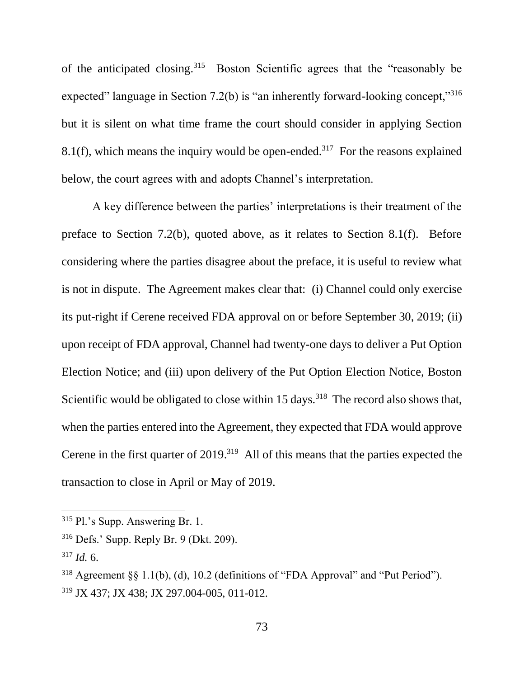of the anticipated closing.<sup>315</sup> Boston Scientific agrees that the "reasonably be expected" language in Section 7.2(b) is "an inherently forward-looking concept,"<sup>316</sup> but it is silent on what time frame the court should consider in applying Section 8.1(f), which means the inquiry would be open-ended.<sup>317</sup> For the reasons explained below, the court agrees with and adopts Channel's interpretation.

A key difference between the parties' interpretations is their treatment of the preface to Section 7.2(b), quoted above, as it relates to Section 8.1(f). Before considering where the parties disagree about the preface, it is useful to review what is not in dispute. The Agreement makes clear that: (i) Channel could only exercise its put-right if Cerene received FDA approval on or before September 30, 2019; (ii) upon receipt of FDA approval, Channel had twenty-one days to deliver a Put Option Election Notice; and (iii) upon delivery of the Put Option Election Notice, Boston Scientific would be obligated to close within  $15 \text{ days}$ .<sup>318</sup> The record also shows that, when the parties entered into the Agreement, they expected that FDA would approve Cerene in the first quarter of 2019.<sup>319</sup> All of this means that the parties expected the transaction to close in April or May of 2019.

<sup>315</sup> Pl.'s Supp. Answering Br. 1.

<sup>316</sup> Defs.' Supp. Reply Br. 9 (Dkt. 209).

 $317$  *Id.* 6.

<sup>318</sup> Agreement §§ 1.1(b), (d), 10.2 (definitions of "FDA Approval" and "Put Period"). <sup>319</sup> JX 437; JX 438; JX 297.004-005, 011-012.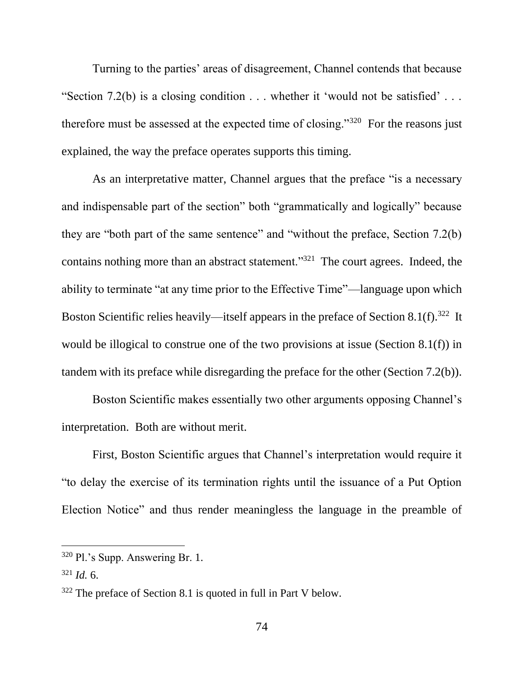Turning to the parties' areas of disagreement, Channel contends that because "Section 7.2(b) is a closing condition  $\dots$  whether it 'would not be satisfied'  $\dots$ therefore must be assessed at the expected time of closing." $320$  For the reasons just explained, the way the preface operates supports this timing.

As an interpretative matter, Channel argues that the preface "is a necessary and indispensable part of the section" both "grammatically and logically" because they are "both part of the same sentence" and "without the preface, Section 7.2(b) contains nothing more than an abstract statement."<sup>321</sup> The court agrees. Indeed, the ability to terminate "at any time prior to the Effective Time"—language upon which Boston Scientific relies heavily—itself appears in the preface of Section 8.1(f).<sup>322</sup> It would be illogical to construe one of the two provisions at issue (Section 8.1(f)) in tandem with its preface while disregarding the preface for the other (Section 7.2(b)).

Boston Scientific makes essentially two other arguments opposing Channel's interpretation. Both are without merit.

First, Boston Scientific argues that Channel's interpretation would require it "to delay the exercise of its termination rights until the issuance of a Put Option Election Notice" and thus render meaningless the language in the preamble of

<sup>320</sup> Pl.'s Supp. Answering Br. 1.

 $321$  *Id.* 6.

<sup>322</sup> The preface of Section 8.1 is quoted in full in Part V below.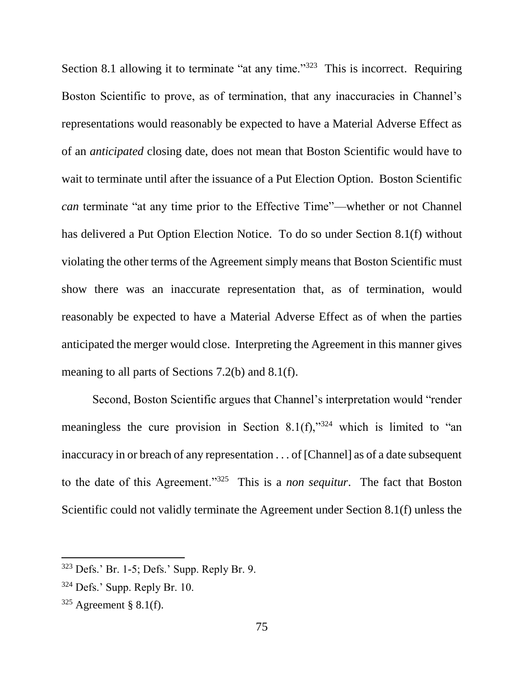Section 8.1 allowing it to terminate "at any time."<sup>323</sup> This is incorrect. Requiring Boston Scientific to prove, as of termination, that any inaccuracies in Channel's representations would reasonably be expected to have a Material Adverse Effect as of an *anticipated* closing date, does not mean that Boston Scientific would have to wait to terminate until after the issuance of a Put Election Option. Boston Scientific *can* terminate "at any time prior to the Effective Time"—whether or not Channel has delivered a Put Option Election Notice. To do so under Section 8.1(f) without violating the other terms of the Agreement simply means that Boston Scientific must show there was an inaccurate representation that, as of termination, would reasonably be expected to have a Material Adverse Effect as of when the parties anticipated the merger would close. Interpreting the Agreement in this manner gives meaning to all parts of Sections 7.2(b) and 8.1(f).

Second, Boston Scientific argues that Channel's interpretation would "render meaningless the cure provision in Section 8.1(f)," $324$  which is limited to "an inaccuracy in or breach of any representation . . . of [Channel] as of a date subsequent to the date of this Agreement."<sup>325</sup> This is a *non sequitur*. The fact that Boston Scientific could not validly terminate the Agreement under Section 8.1(f) unless the

<sup>323</sup> Defs.' Br. 1-5; Defs.' Supp. Reply Br. 9.

 $324$  Defs.' Supp. Reply Br. 10.

 $325$  Agreement § 8.1(f).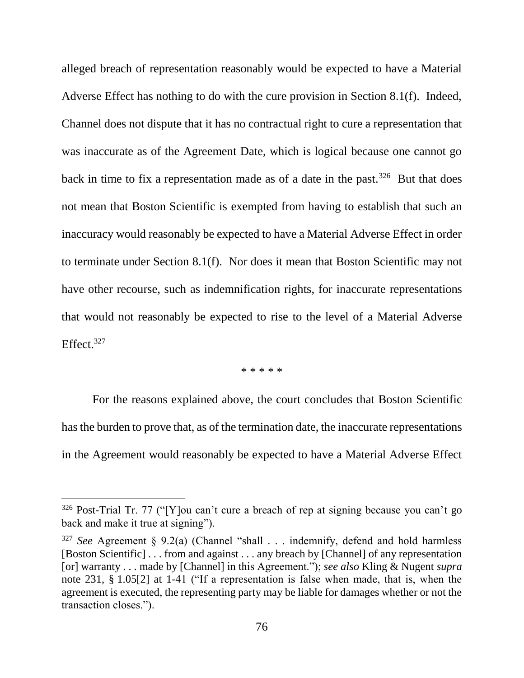alleged breach of representation reasonably would be expected to have a Material Adverse Effect has nothing to do with the cure provision in Section 8.1(f). Indeed, Channel does not dispute that it has no contractual right to cure a representation that was inaccurate as of the Agreement Date, which is logical because one cannot go back in time to fix a representation made as of a date in the past.<sup>326</sup> But that does not mean that Boston Scientific is exempted from having to establish that such an inaccuracy would reasonably be expected to have a Material Adverse Effect in order to terminate under Section 8.1(f). Nor does it mean that Boston Scientific may not have other recourse, such as indemnification rights, for inaccurate representations that would not reasonably be expected to rise to the level of a Material Adverse Effect. $327$ 

#### \* \* \* \* \*

For the reasons explained above, the court concludes that Boston Scientific has the burden to prove that, as of the termination date, the inaccurate representations in the Agreement would reasonably be expected to have a Material Adverse Effect

 $326$  Post-Trial Tr. 77 ("[Y]ou can't cure a breach of rep at signing because you can't go back and make it true at signing").

<sup>&</sup>lt;sup>327</sup> *See* Agreement § 9.2(a) (Channel "shall . . . indemnify, defend and hold harmless [Boston Scientific] . . . from and against . . . any breach by [Channel] of any representation [or] warranty . . . made by [Channel] in this Agreement."); *see also* Kling & Nugent *supra* note 231, § 1.05[2] at 1-41 ("If a representation is false when made, that is, when the agreement is executed, the representing party may be liable for damages whether or not the transaction closes.").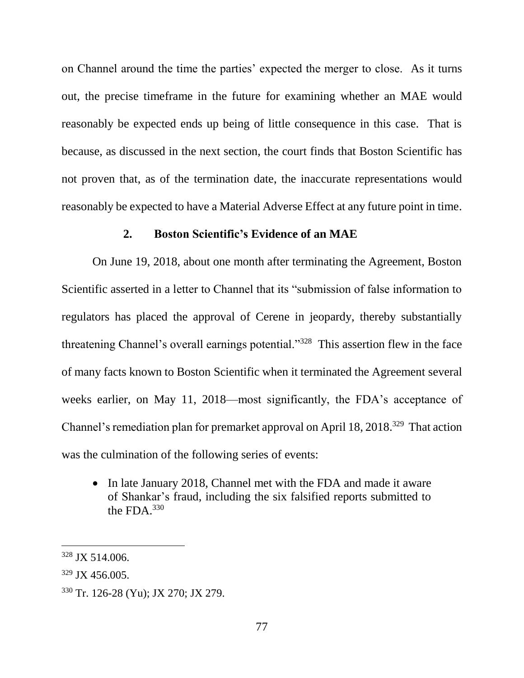on Channel around the time the parties' expected the merger to close. As it turns out, the precise timeframe in the future for examining whether an MAE would reasonably be expected ends up being of little consequence in this case. That is because, as discussed in the next section, the court finds that Boston Scientific has not proven that, as of the termination date, the inaccurate representations would reasonably be expected to have a Material Adverse Effect at any future point in time.

### **2. Boston Scientific's Evidence of an MAE**

On June 19, 2018, about one month after terminating the Agreement, Boston Scientific asserted in a letter to Channel that its "submission of false information to regulators has placed the approval of Cerene in jeopardy, thereby substantially threatening Channel's overall earnings potential."<sup>328</sup> This assertion flew in the face of many facts known to Boston Scientific when it terminated the Agreement several weeks earlier, on May 11, 2018—most significantly, the FDA's acceptance of Channel's remediation plan for premarket approval on April 18, 2018.<sup>329</sup> That action was the culmination of the following series of events:

• In late January 2018, Channel met with the FDA and made it aware of Shankar's fraud, including the six falsified reports submitted to the FDA. $330$ 

<sup>328</sup> JX 514.006.

<sup>329</sup> JX 456.005.

<sup>330</sup> Tr. 126-28 (Yu); JX 270; JX 279.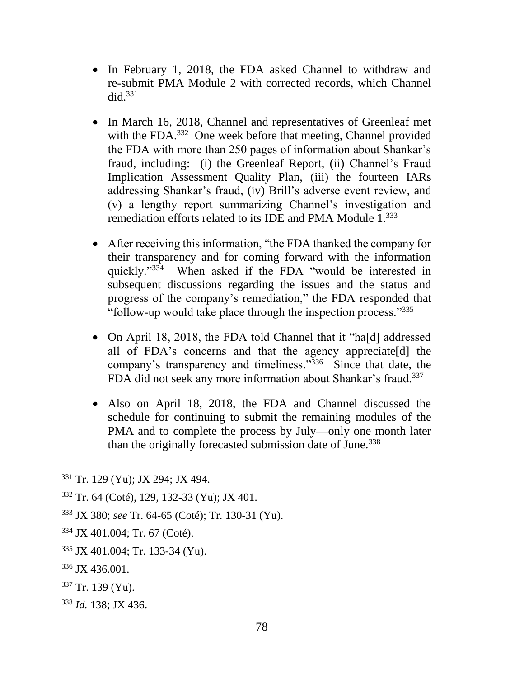- In February 1, 2018, the FDA asked Channel to withdraw and re-submit PMA Module 2 with corrected records, which Channel did. $331$
- In March 16, 2018, Channel and representatives of Greenleaf met with the FDA.<sup>332</sup> One week before that meeting, Channel provided the FDA with more than 250 pages of information about Shankar's fraud, including: (i) the Greenleaf Report, (ii) Channel's Fraud Implication Assessment Quality Plan, (iii) the fourteen IARs addressing Shankar's fraud, (iv) Brill's adverse event review, and (v) a lengthy report summarizing Channel's investigation and remediation efforts related to its IDE and PMA Module 1.<sup>333</sup>
- After receiving this information, "the FDA thanked the company for their transparency and for coming forward with the information quickly."<sup>334</sup> When asked if the FDA "would be interested in subsequent discussions regarding the issues and the status and progress of the company's remediation," the FDA responded that "follow-up would take place through the inspection process."335
- On April 18, 2018, the FDA told Channel that it "ha[d] addressed all of FDA's concerns and that the agency appreciate[d] the company's transparency and timeliness."<sup>336</sup> Since that date, the FDA did not seek any more information about Shankar's fraud.<sup>337</sup>
- Also on April 18, 2018, the FDA and Channel discussed the schedule for continuing to submit the remaining modules of the PMA and to complete the process by July—only one month later than the originally forecasted submission date of June.<sup>338</sup>

- $337$  Tr. 139 (Yu).
- <sup>338</sup> *Id.* 138; JX 436.

<sup>331</sup> Tr. 129 (Yu); JX 294; JX 494.

<sup>332</sup> Tr. 64 (Coté), 129, 132-33 (Yu); JX 401.

<sup>333</sup> JX 380; *see* Tr. 64-65 (Coté); Tr. 130-31 (Yu).

<sup>334</sup> JX 401.004; Tr. 67 (Coté).

<sup>335</sup> JX 401.004; Tr. 133-34 (Yu).

<sup>336</sup> JX 436.001.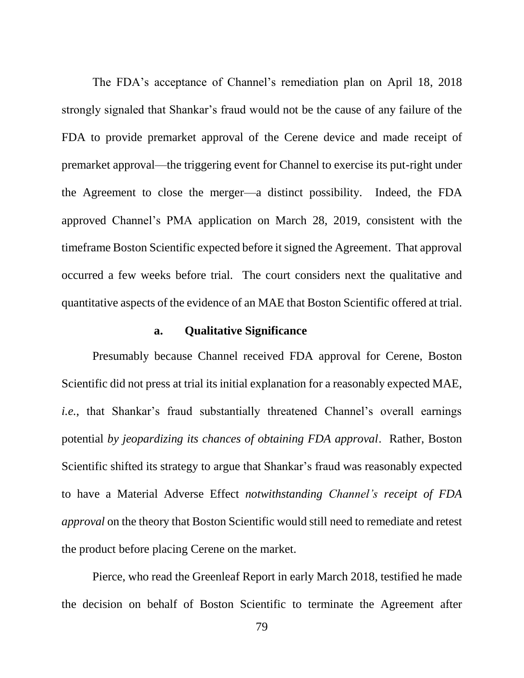The FDA's acceptance of Channel's remediation plan on April 18, 2018 strongly signaled that Shankar's fraud would not be the cause of any failure of the FDA to provide premarket approval of the Cerene device and made receipt of premarket approval—the triggering event for Channel to exercise its put-right under the Agreement to close the merger—a distinct possibility. Indeed, the FDA approved Channel's PMA application on March 28, 2019, consistent with the timeframe Boston Scientific expected before it signed the Agreement. That approval occurred a few weeks before trial. The court considers next the qualitative and quantitative aspects of the evidence of an MAE that Boston Scientific offered at trial.

#### **a. Qualitative Significance**

Presumably because Channel received FDA approval for Cerene, Boston Scientific did not press at trial its initial explanation for a reasonably expected MAE, *i.e.*, that Shankar's fraud substantially threatened Channel's overall earnings potential *by jeopardizing its chances of obtaining FDA approval*. Rather, Boston Scientific shifted its strategy to argue that Shankar's fraud was reasonably expected to have a Material Adverse Effect *notwithstanding Channel's receipt of FDA approval* on the theory that Boston Scientific would still need to remediate and retest the product before placing Cerene on the market.

Pierce, who read the Greenleaf Report in early March 2018, testified he made the decision on behalf of Boston Scientific to terminate the Agreement after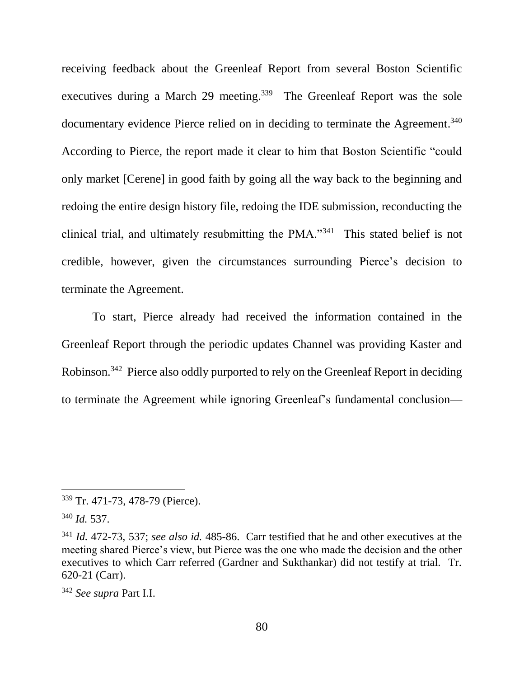receiving feedback about the Greenleaf Report from several Boston Scientific executives during a March 29 meeting.<sup>339</sup> The Greenleaf Report was the sole documentary evidence Pierce relied on in deciding to terminate the Agreement.<sup>340</sup> According to Pierce, the report made it clear to him that Boston Scientific "could only market [Cerene] in good faith by going all the way back to the beginning and redoing the entire design history file, redoing the IDE submission, reconducting the clinical trial, and ultimately resubmitting the PMA."<sup>341</sup> This stated belief is not credible, however, given the circumstances surrounding Pierce's decision to terminate the Agreement.

To start, Pierce already had received the information contained in the Greenleaf Report through the periodic updates Channel was providing Kaster and Robinson.<sup>342</sup> Pierce also oddly purported to rely on the Greenleaf Report in deciding to terminate the Agreement while ignoring Greenleaf's fundamental conclusion—

<sup>339</sup> Tr. 471-73, 478-79 (Pierce).

<sup>340</sup> *Id.* 537.

<sup>341</sup> *Id.* 472-73, 537; *see also id.* 485-86. Carr testified that he and other executives at the meeting shared Pierce's view, but Pierce was the one who made the decision and the other executives to which Carr referred (Gardner and Sukthankar) did not testify at trial. Tr. 620-21 (Carr).

<sup>342</sup> *See supra* Part I.I.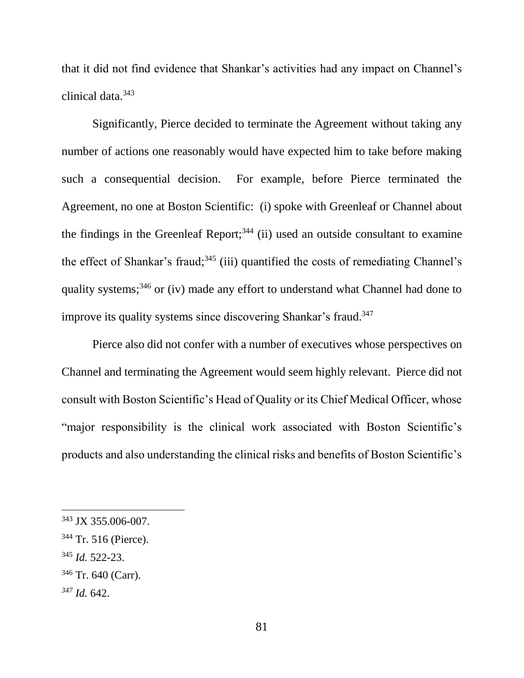that it did not find evidence that Shankar's activities had any impact on Channel's clinical data. 343

Significantly, Pierce decided to terminate the Agreement without taking any number of actions one reasonably would have expected him to take before making such a consequential decision. For example, before Pierce terminated the Agreement, no one at Boston Scientific: (i) spoke with Greenleaf or Channel about the findings in the Greenleaf Report; $344$  (ii) used an outside consultant to examine the effect of Shankar's fraud;<sup>345</sup> (iii) quantified the costs of remediating Channel's quality systems;<sup>346</sup> or (iv) made any effort to understand what Channel had done to improve its quality systems since discovering Shankar's fraud.<sup>347</sup>

Pierce also did not confer with a number of executives whose perspectives on Channel and terminating the Agreement would seem highly relevant. Pierce did not consult with Boston Scientific's Head of Quality or its Chief Medical Officer, whose "major responsibility is the clinical work associated with Boston Scientific's products and also understanding the clinical risks and benefits of Boston Scientific's

<sup>345</sup> *Id.* 522-23.

*<sup>347</sup> Id.* 642.

<sup>343</sup> JX 355.006-007.

<sup>344</sup> Tr. 516 (Pierce).

<sup>346</sup> Tr. 640 (Carr).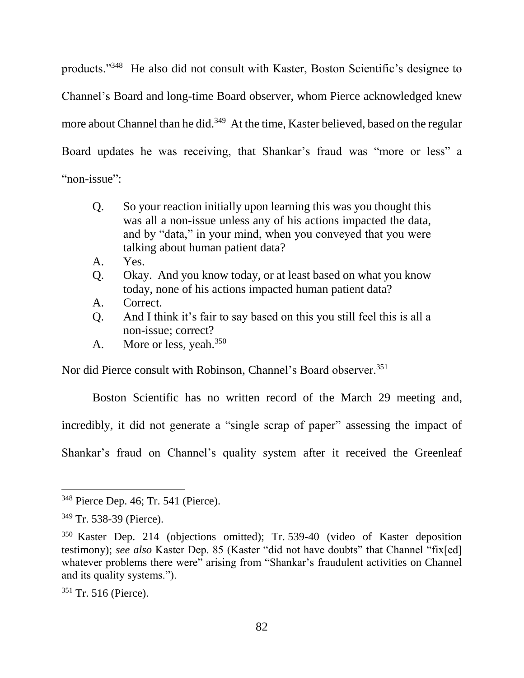products."<sup>348</sup> He also did not consult with Kaster, Boston Scientific's designee to Channel's Board and long-time Board observer, whom Pierce acknowledged knew more about Channel than he did.<sup>349</sup> At the time, Kaster believed, based on the regular Board updates he was receiving, that Shankar's fraud was "more or less" a "non-issue":

- Q. So your reaction initially upon learning this was you thought this was all a non-issue unless any of his actions impacted the data, and by "data," in your mind, when you conveyed that you were talking about human patient data?
- A. Yes.
- Q. Okay. And you know today, or at least based on what you know today, none of his actions impacted human patient data?
- A. Correct.
- Q. And I think it's fair to say based on this you still feel this is all a non-issue; correct?
- A. More or less, yeah.<sup>350</sup>

Nor did Pierce consult with Robinson, Channel's Board observer.<sup>351</sup>

Boston Scientific has no written record of the March 29 meeting and, incredibly, it did not generate a "single scrap of paper" assessing the impact of Shankar's fraud on Channel's quality system after it received the Greenleaf

<sup>348</sup> Pierce Dep. 46; Tr. 541 (Pierce).

<sup>349</sup> Tr. 538-39 (Pierce).

<sup>350</sup> Kaster Dep. 214 (objections omitted); Tr. 539-40 (video of Kaster deposition testimony); *see also* Kaster Dep. 85 (Kaster "did not have doubts" that Channel "fix[ed] whatever problems there were" arising from "Shankar's fraudulent activities on Channel and its quality systems.").

<sup>&</sup>lt;sup>351</sup> Tr. 516 (Pierce).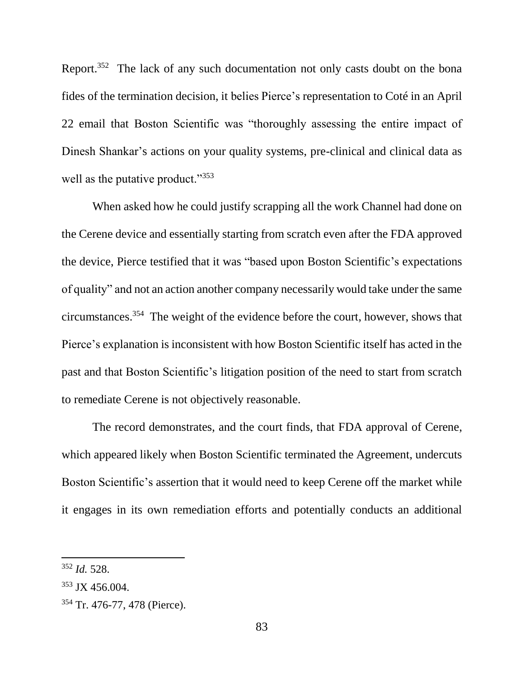Report.<sup>352</sup> The lack of any such documentation not only casts doubt on the bona fides of the termination decision, it belies Pierce's representation to Coté in an April 22 email that Boston Scientific was "thoroughly assessing the entire impact of Dinesh Shankar's actions on your quality systems, pre-clinical and clinical data as well as the putative product."<sup>353</sup>

When asked how he could justify scrapping all the work Channel had done on the Cerene device and essentially starting from scratch even after the FDA approved the device, Pierce testified that it was "based upon Boston Scientific's expectations of quality" and not an action another company necessarily would take under the same circumstances. <sup>354</sup> The weight of the evidence before the court, however, shows that Pierce's explanation is inconsistent with how Boston Scientific itself has acted in the past and that Boston Scientific's litigation position of the need to start from scratch to remediate Cerene is not objectively reasonable.

The record demonstrates, and the court finds, that FDA approval of Cerene, which appeared likely when Boston Scientific terminated the Agreement, undercuts Boston Scientific's assertion that it would need to keep Cerene off the market while it engages in its own remediation efforts and potentially conducts an additional

<sup>352</sup> *Id.* 528.

<sup>353</sup> JX 456.004.

<sup>354</sup> Tr. 476-77, 478 (Pierce).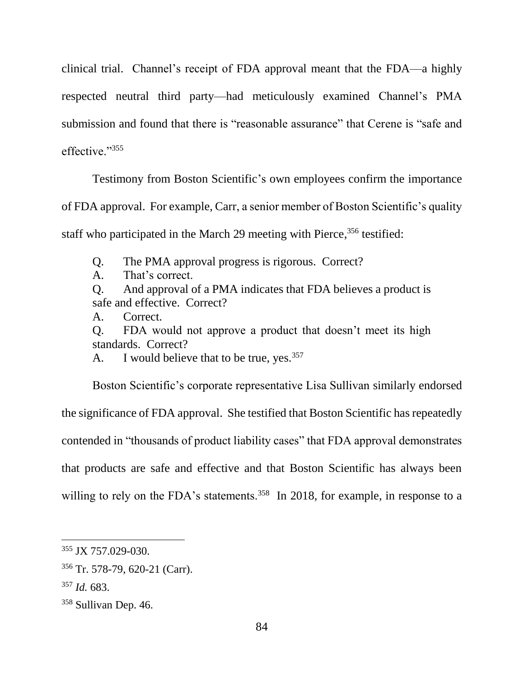clinical trial. Channel's receipt of FDA approval meant that the FDA—a highly respected neutral third party—had meticulously examined Channel's PMA submission and found that there is "reasonable assurance" that Cerene is "safe and effective."355

Testimony from Boston Scientific's own employees confirm the importance of FDA approval. For example, Carr, a senior member of Boston Scientific's quality staff who participated in the March 29 meeting with Pierce,<sup>356</sup> testified:

Q. The PMA approval progress is rigorous. Correct?

A. That's correct.

Q. And approval of a PMA indicates that FDA believes a product is safe and effective. Correct?

A. Correct.

Q. FDA would not approve a product that doesn't meet its high standards. Correct?

A. I would believe that to be true, yes.  $357$ 

Boston Scientific's corporate representative Lisa Sullivan similarly endorsed the significance of FDA approval. She testified that Boston Scientific has repeatedly contended in "thousands of product liability cases" that FDA approval demonstrates that products are safe and effective and that Boston Scientific has always been willing to rely on the FDA's statements.<sup>358</sup> In 2018, for example, in response to a

<sup>355</sup> JX 757.029-030.

<sup>356</sup> Tr. 578-79, 620-21 (Carr).

<sup>357</sup> *Id.* 683.

<sup>358</sup> Sullivan Dep. 46.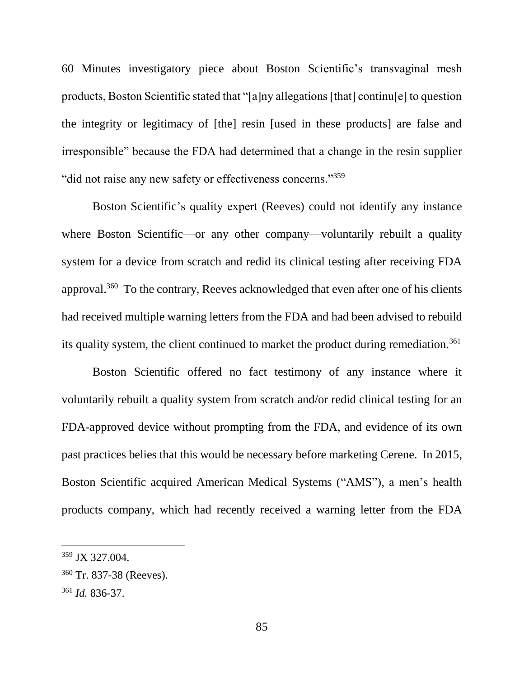60 Minutes investigatory piece about Boston Scientific's transvaginal mesh products, Boston Scientific stated that "[a]ny allegations [that] continu[e] to question the integrity or legitimacy of [the] resin [used in these products] are false and irresponsible" because the FDA had determined that a change in the resin supplier "did not raise any new safety or effectiveness concerns."<sup>359</sup>

Boston Scientific's quality expert (Reeves) could not identify any instance where Boston Scientific—or any other company—voluntarily rebuilt a quality system for a device from scratch and redid its clinical testing after receiving FDA approval.<sup>360</sup> To the contrary, Reeves acknowledged that even after one of his clients had received multiple warning letters from the FDA and had been advised to rebuild its quality system, the client continued to market the product during remediation.<sup>361</sup>

Boston Scientific offered no fact testimony of any instance where it voluntarily rebuilt a quality system from scratch and/or redid clinical testing for an FDA-approved device without prompting from the FDA, and evidence of its own past practices belies that this would be necessary before marketing Cerene. In 2015, Boston Scientific acquired American Medical Systems ("AMS"), a men's health products company, which had recently received a warning letter from the FDA

<sup>359</sup> JX 327.004.

<sup>360</sup> Tr. 837-38 (Reeves).

<sup>361</sup> *Id.* 836-37.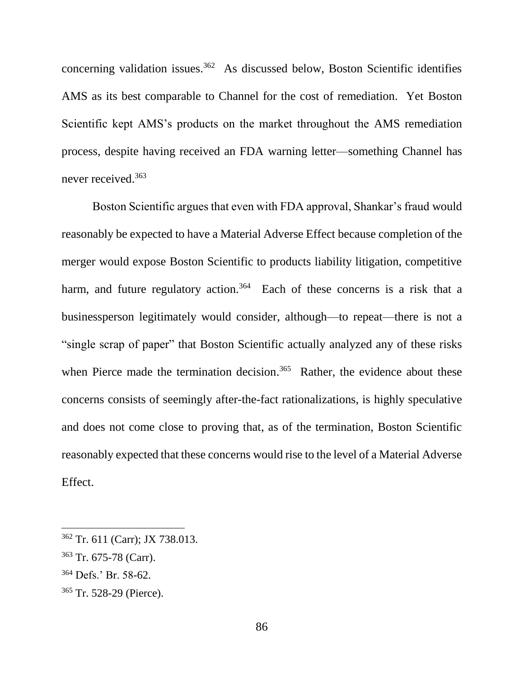concerning validation issues.<sup>362</sup> As discussed below, Boston Scientific identifies AMS as its best comparable to Channel for the cost of remediation. Yet Boston Scientific kept AMS's products on the market throughout the AMS remediation process, despite having received an FDA warning letter—something Channel has never received. 363

Boston Scientific argues that even with FDA approval, Shankar's fraud would reasonably be expected to have a Material Adverse Effect because completion of the merger would expose Boston Scientific to products liability litigation, competitive harm, and future regulatory action.<sup>364</sup> Each of these concerns is a risk that a businessperson legitimately would consider, although—to repeat—there is not a "single scrap of paper" that Boston Scientific actually analyzed any of these risks when Pierce made the termination decision.<sup>365</sup> Rather, the evidence about these concerns consists of seemingly after-the-fact rationalizations, is highly speculative and does not come close to proving that, as of the termination, Boston Scientific reasonably expected that these concerns would rise to the level of a Material Adverse Effect.

<sup>362</sup> Tr. 611 (Carr); JX 738.013.

<sup>363</sup> Tr. 675-78 (Carr).

<sup>364</sup> Defs.' Br. 58-62.

<sup>365</sup> Tr. 528-29 (Pierce).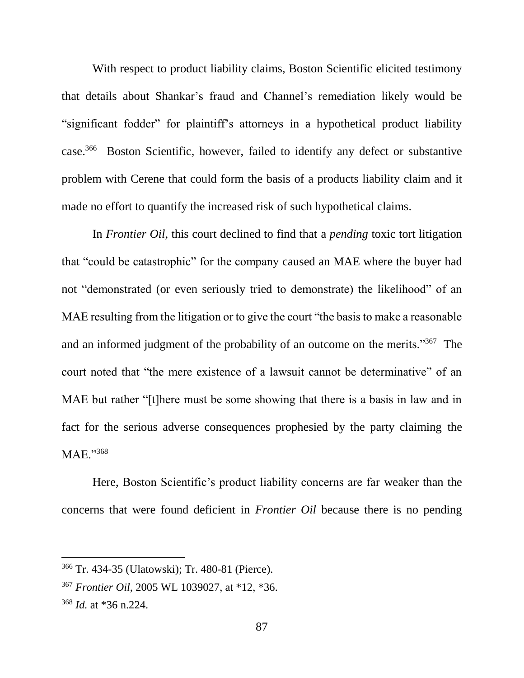With respect to product liability claims, Boston Scientific elicited testimony that details about Shankar's fraud and Channel's remediation likely would be "significant fodder" for plaintiff's attorneys in a hypothetical product liability case. 366 Boston Scientific, however, failed to identify any defect or substantive problem with Cerene that could form the basis of a products liability claim and it made no effort to quantify the increased risk of such hypothetical claims.

In *Frontier Oil*, this court declined to find that a *pending* toxic tort litigation that "could be catastrophic" for the company caused an MAE where the buyer had not "demonstrated (or even seriously tried to demonstrate) the likelihood" of an MAE resulting from the litigation or to give the court "the basis to make a reasonable and an informed judgment of the probability of an outcome on the merits."<sup>367</sup> The court noted that "the mere existence of a lawsuit cannot be determinative" of an MAE but rather "[t]here must be some showing that there is a basis in law and in fact for the serious adverse consequences prophesied by the party claiming the MAE."<sup>368</sup>

Here, Boston Scientific's product liability concerns are far weaker than the concerns that were found deficient in *Frontier Oil* because there is no pending

<sup>366</sup> Tr. 434-35 (Ulatowski); Tr. 480-81 (Pierce).

<sup>367</sup> *Frontier Oil*, 2005 WL 1039027, at \*12, \*36.

<sup>368</sup> *Id.* at \*36 n.224.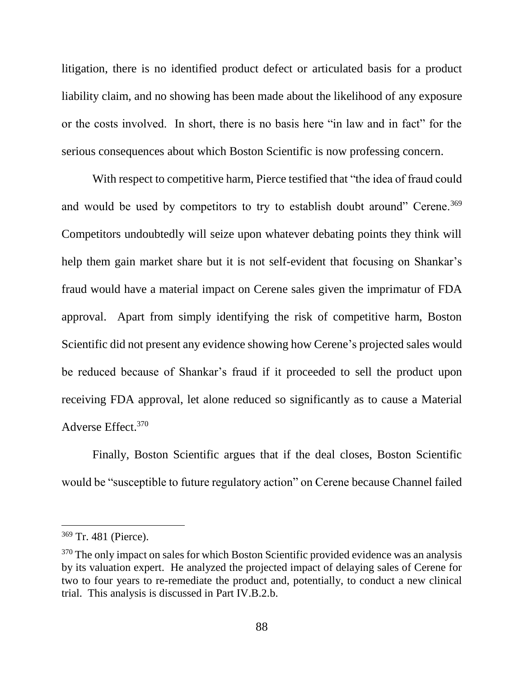litigation, there is no identified product defect or articulated basis for a product liability claim, and no showing has been made about the likelihood of any exposure or the costs involved. In short, there is no basis here "in law and in fact" for the serious consequences about which Boston Scientific is now professing concern.

With respect to competitive harm, Pierce testified that "the idea of fraud could and would be used by competitors to try to establish doubt around" Cerene.<sup>369</sup> Competitors undoubtedly will seize upon whatever debating points they think will help them gain market share but it is not self-evident that focusing on Shankar's fraud would have a material impact on Cerene sales given the imprimatur of FDA approval. Apart from simply identifying the risk of competitive harm, Boston Scientific did not present any evidence showing how Cerene's projected sales would be reduced because of Shankar's fraud if it proceeded to sell the product upon receiving FDA approval, let alone reduced so significantly as to cause a Material Adverse Effect.<sup>370</sup>

Finally, Boston Scientific argues that if the deal closes, Boston Scientific would be "susceptible to future regulatory action" on Cerene because Channel failed

<sup>369</sup> Tr. 481 (Pierce).

<sup>&</sup>lt;sup>370</sup> The only impact on sales for which Boston Scientific provided evidence was an analysis by its valuation expert. He analyzed the projected impact of delaying sales of Cerene for two to four years to re-remediate the product and, potentially, to conduct a new clinical trial. This analysis is discussed in Part IV.B.2.b.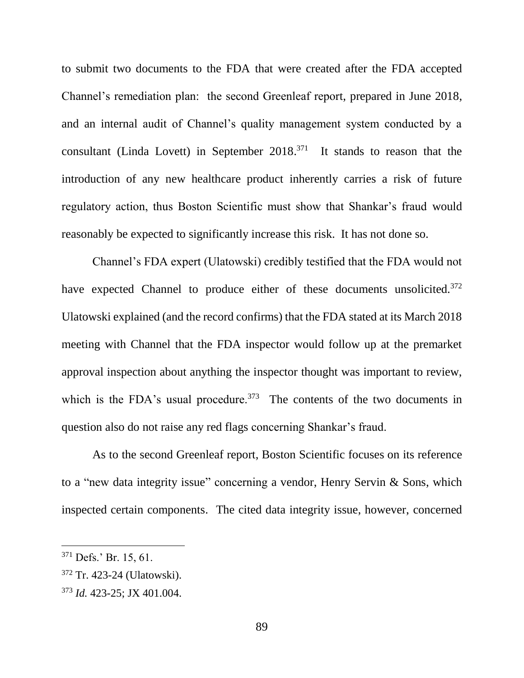to submit two documents to the FDA that were created after the FDA accepted Channel's remediation plan: the second Greenleaf report, prepared in June 2018, and an internal audit of Channel's quality management system conducted by a consultant (Linda Lovett) in September  $2018<sup>371</sup>$  It stands to reason that the introduction of any new healthcare product inherently carries a risk of future regulatory action, thus Boston Scientific must show that Shankar's fraud would reasonably be expected to significantly increase this risk. It has not done so.

Channel's FDA expert (Ulatowski) credibly testified that the FDA would not have expected Channel to produce either of these documents unsolicited.<sup>372</sup> Ulatowski explained (and the record confirms) that the FDA stated at its March 2018 meeting with Channel that the FDA inspector would follow up at the premarket approval inspection about anything the inspector thought was important to review, which is the FDA's usual procedure.  $373$  The contents of the two documents in question also do not raise any red flags concerning Shankar's fraud.

As to the second Greenleaf report, Boston Scientific focuses on its reference to a "new data integrity issue" concerning a vendor, Henry Servin & Sons, which inspected certain components. The cited data integrity issue, however, concerned

<sup>371</sup> Defs.' Br. 15, 61.

<sup>372</sup> Tr. 423-24 (Ulatowski).

<sup>373</sup> *Id.* 423-25; JX 401.004.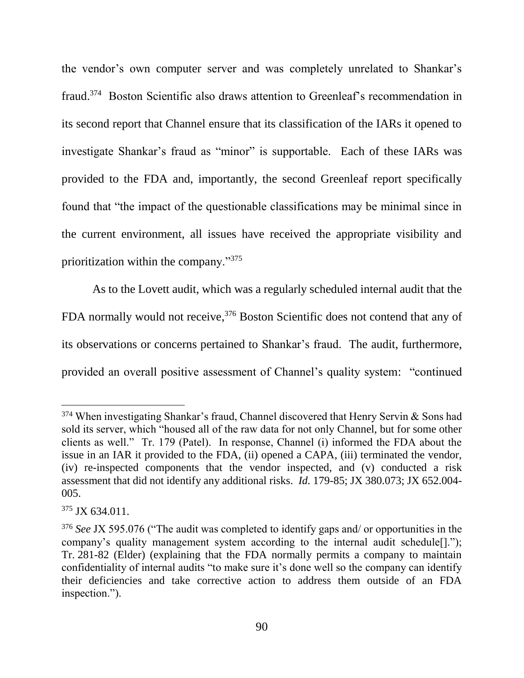the vendor's own computer server and was completely unrelated to Shankar's fraud.<sup>374</sup> Boston Scientific also draws attention to Greenleaf's recommendation in its second report that Channel ensure that its classification of the IARs it opened to investigate Shankar's fraud as "minor" is supportable. Each of these IARs was provided to the FDA and, importantly, the second Greenleaf report specifically found that "the impact of the questionable classifications may be minimal since in the current environment, all issues have received the appropriate visibility and prioritization within the company."375

As to the Lovett audit, which was a regularly scheduled internal audit that the FDA normally would not receive,<sup>376</sup> Boston Scientific does not contend that any of its observations or concerns pertained to Shankar's fraud. The audit, furthermore, provided an overall positive assessment of Channel's quality system: "continued

 $374$  When investigating Shankar's fraud, Channel discovered that Henry Servin & Sons had sold its server, which "housed all of the raw data for not only Channel, but for some other clients as well." Tr. 179 (Patel). In response, Channel (i) informed the FDA about the issue in an IAR it provided to the FDA, (ii) opened a CAPA, (iii) terminated the vendor, (iv) re-inspected components that the vendor inspected, and (v) conducted a risk assessment that did not identify any additional risks. *Id.* 179-85; JX 380.073; JX 652.004- 005.

 $375$  JX 634.011.

<sup>376</sup> *See* JX 595.076 ("The audit was completed to identify gaps and/ or opportunities in the company's quality management system according to the internal audit schedule[]."); Tr. 281-82 (Elder) (explaining that the FDA normally permits a company to maintain confidentiality of internal audits "to make sure it's done well so the company can identify their deficiencies and take corrective action to address them outside of an FDA inspection.").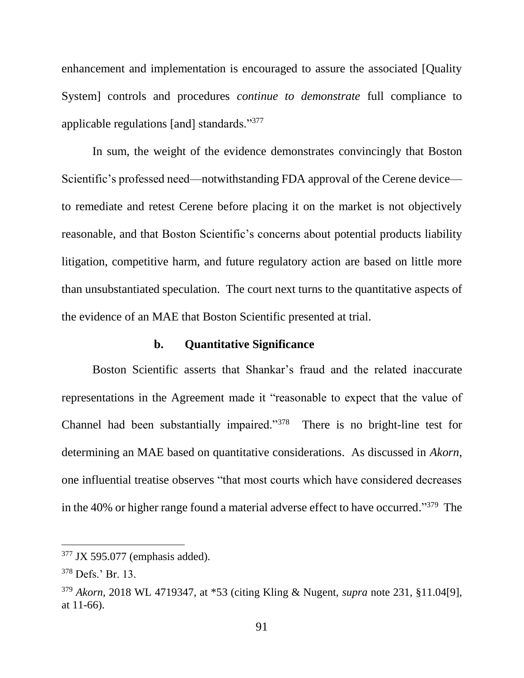enhancement and implementation is encouraged to assure the associated [Quality System] controls and procedures *continue to demonstrate* full compliance to applicable regulations [and] standards."<sup>377</sup>

In sum, the weight of the evidence demonstrates convincingly that Boston Scientific's professed need—notwithstanding FDA approval of the Cerene device to remediate and retest Cerene before placing it on the market is not objectively reasonable, and that Boston Scientific's concerns about potential products liability litigation, competitive harm, and future regulatory action are based on little more than unsubstantiated speculation. The court next turns to the quantitative aspects of the evidence of an MAE that Boston Scientific presented at trial.

#### **b. Quantitative Significance**

Boston Scientific asserts that Shankar's fraud and the related inaccurate representations in the Agreement made it "reasonable to expect that the value of Channel had been substantially impaired."<sup>378</sup> There is no bright-line test for determining an MAE based on quantitative considerations. As discussed in *Akorn*, one influential treatise observes "that most courts which have considered decreases in the 40% or higher range found a material adverse effect to have occurred."<sup>379</sup> The

<sup>377</sup> JX 595.077 (emphasis added).

<sup>378</sup> Defs.' Br. 13.

<sup>379</sup> *Akorn*, 2018 WL 4719347, at \*53 (citing Kling & Nugent, *supra* note 231, §11.04[9], at 11-66).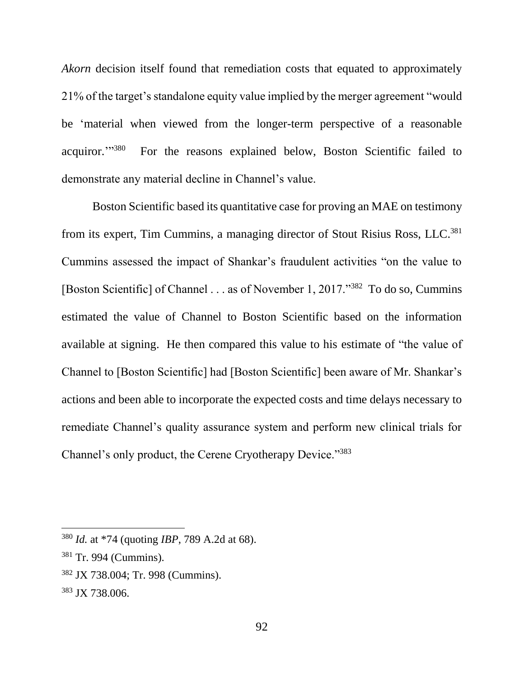*Akorn* decision itself found that remediation costs that equated to approximately 21% of the target's standalone equity value implied by the merger agreement "would be 'material when viewed from the longer-term perspective of a reasonable acquiror."<sup>380</sup> <sup>380</sup> For the reasons explained below, Boston Scientific failed to demonstrate any material decline in Channel's value.

Boston Scientific based its quantitative case for proving an MAE on testimony from its expert, Tim Cummins, a managing director of Stout Risius Ross, LLC.<sup>381</sup> Cummins assessed the impact of Shankar's fraudulent activities "on the value to [Boston Scientific] of Channel . . . as of November 1, 2017."<sup>382</sup> To do so, Cummins estimated the value of Channel to Boston Scientific based on the information available at signing. He then compared this value to his estimate of "the value of Channel to [Boston Scientific] had [Boston Scientific] been aware of Mr. Shankar's actions and been able to incorporate the expected costs and time delays necessary to remediate Channel's quality assurance system and perform new clinical trials for Channel's only product, the Cerene Cryotherapy Device."383

<sup>380</sup> *Id.* at \*74 (quoting *IBP*, 789 A.2d at 68).

<sup>381</sup> Tr. 994 (Cummins).

<sup>382</sup> JX 738.004; Tr. 998 (Cummins).

<sup>383</sup> JX 738.006.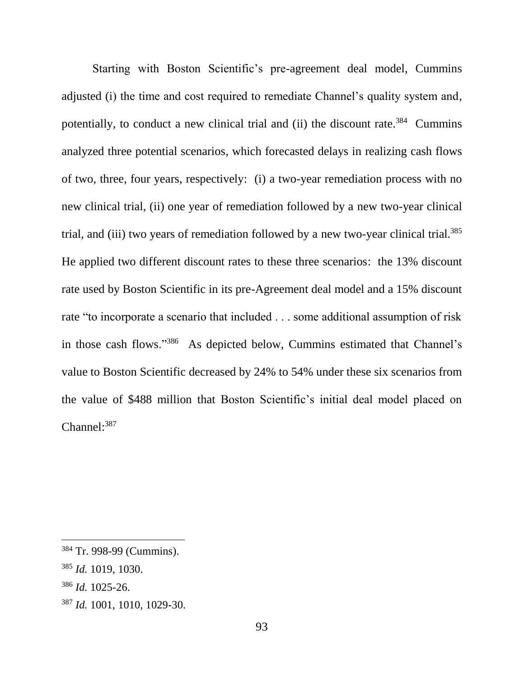Starting with Boston Scientific's pre-agreement deal model, Cummins adjusted (i) the time and cost required to remediate Channel's quality system and, potentially, to conduct a new clinical trial and (ii) the discount rate.<sup>384</sup> Cummins analyzed three potential scenarios, which forecasted delays in realizing cash flows of two, three, four years, respectively: (i) a two-year remediation process with no new clinical trial, (ii) one year of remediation followed by a new two-year clinical trial, and (iii) two years of remediation followed by a new two-year clinical trial.<sup>385</sup> He applied two different discount rates to these three scenarios: the 13% discount rate used by Boston Scientific in its pre-Agreement deal model and a 15% discount rate "to incorporate a scenario that included . . . some additional assumption of risk in those cash flows."<sup>386</sup> As depicted below, Cummins estimated that Channel's value to Boston Scientific decreased by 24% to 54% under these six scenarios from the value of \$488 million that Boston Scientific's initial deal model placed on Channel: 387

<sup>384</sup> Tr. 998-99 (Cummins).

<sup>385</sup> *Id.* 1019, 1030.

<sup>386</sup> *Id.* 1025-26.

<sup>387</sup> *Id.* 1001, 1010, 1029-30.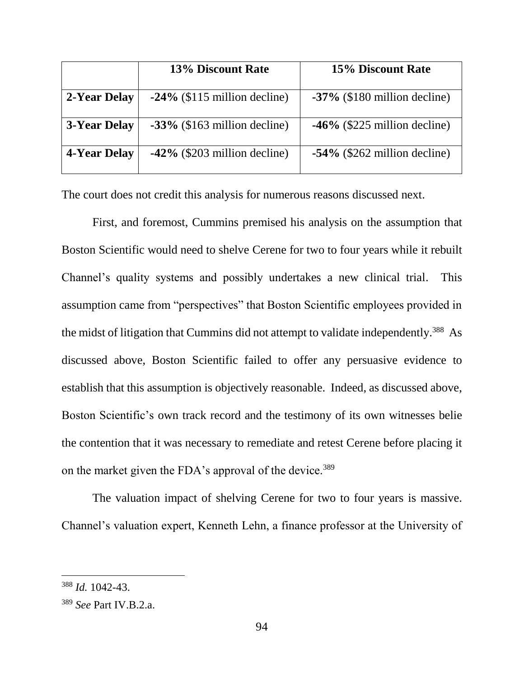|                     | 13% Discount Rate               | <b>15% Discount Rate</b>        |
|---------------------|---------------------------------|---------------------------------|
| 2-Year Delay        | $-24\%$ (\$115 million decline) | $-37\%$ (\$180 million decline) |
| <b>3-Year Delay</b> | $-33\%$ (\$163 million decline) | $-46\%$ (\$225 million decline) |
| 4-Year Delay        | $-42\%$ (\$203 million decline) | $-54\%$ (\$262 million decline) |

The court does not credit this analysis for numerous reasons discussed next.

First, and foremost, Cummins premised his analysis on the assumption that Boston Scientific would need to shelve Cerene for two to four years while it rebuilt Channel's quality systems and possibly undertakes a new clinical trial. This assumption came from "perspectives" that Boston Scientific employees provided in the midst of litigation that Cummins did not attempt to validate independently.<sup>388</sup> As discussed above, Boston Scientific failed to offer any persuasive evidence to establish that this assumption is objectively reasonable. Indeed, as discussed above, Boston Scientific's own track record and the testimony of its own witnesses belie the contention that it was necessary to remediate and retest Cerene before placing it on the market given the FDA's approval of the device.<sup>389</sup>

The valuation impact of shelving Cerene for two to four years is massive. Channel's valuation expert, Kenneth Lehn, a finance professor at the University of

<sup>388</sup> *Id.* 1042-43.

<sup>389</sup> *See* Part IV.B.2.a.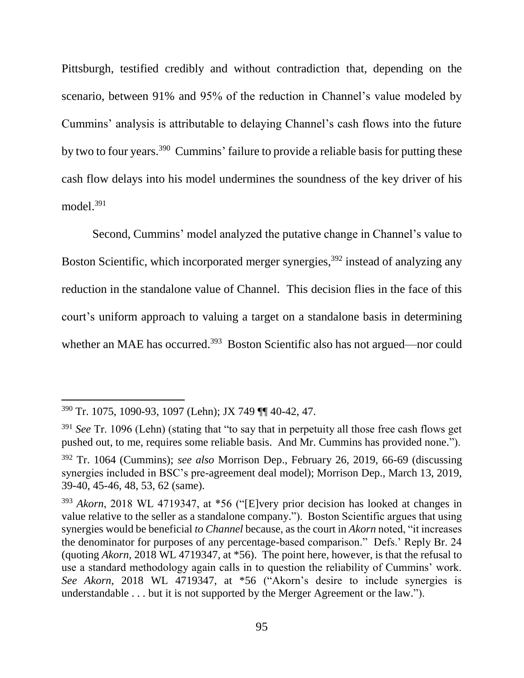Pittsburgh, testified credibly and without contradiction that, depending on the scenario, between 91% and 95% of the reduction in Channel's value modeled by Cummins' analysis is attributable to delaying Channel's cash flows into the future by two to four years.<sup>390</sup> Cummins' failure to provide a reliable basis for putting these cash flow delays into his model undermines the soundness of the key driver of his model. 391

Second, Cummins' model analyzed the putative change in Channel's value to Boston Scientific, which incorporated merger synergies,<sup>392</sup> instead of analyzing any reduction in the standalone value of Channel. This decision flies in the face of this court's uniform approach to valuing a target on a standalone basis in determining whether an MAE has occurred.<sup>393</sup> Boston Scientific also has not argued—nor could

<sup>390</sup> Tr. 1075, 1090-93, 1097 (Lehn); JX 749 ¶¶ 40-42, 47.

<sup>391</sup> *See* Tr. 1096 (Lehn) (stating that "to say that in perpetuity all those free cash flows get pushed out, to me, requires some reliable basis. And Mr. Cummins has provided none.").

<sup>392</sup> Tr. 1064 (Cummins); *see also* Morrison Dep., February 26, 2019, 66-69 (discussing synergies included in BSC's pre-agreement deal model); Morrison Dep., March 13, 2019, 39-40, 45-46, 48, 53, 62 (same).

<sup>393</sup> *Akorn*, 2018 WL 4719347, at \*56 ("[E]very prior decision has looked at changes in value relative to the seller as a standalone company."). Boston Scientific argues that using synergies would be beneficial *to Channel* because, as the court in *Akorn* noted, "it increases the denominator for purposes of any percentage-based comparison." Defs.' Reply Br. 24 (quoting *Akorn*, 2018 WL 4719347, at \*56). The point here, however, is that the refusal to use a standard methodology again calls in to question the reliability of Cummins' work. *See Akorn*, 2018 WL 4719347, at \*56 ("Akorn's desire to include synergies is understandable . . . but it is not supported by the Merger Agreement or the law.").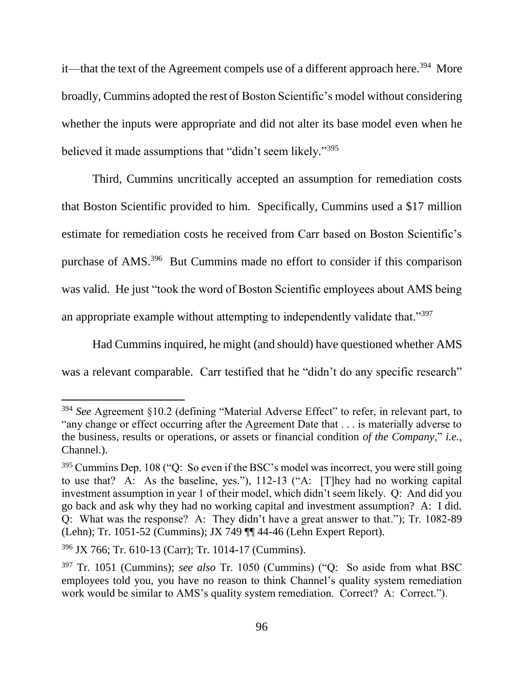it—that the text of the Agreement compels use of a different approach here.<sup>394</sup> More broadly, Cummins adopted the rest of Boston Scientific's model without considering whether the inputs were appropriate and did not alter its base model even when he believed it made assumptions that "didn't seem likely."<sup>395</sup>

Third, Cummins uncritically accepted an assumption for remediation costs that Boston Scientific provided to him. Specifically, Cummins used a \$17 million estimate for remediation costs he received from Carr based on Boston Scientific's purchase of AMS. 396 But Cummins made no effort to consider if this comparison was valid. He just "took the word of Boston Scientific employees about AMS being an appropriate example without attempting to independently validate that."<sup>397</sup>

Had Cummins inquired, he might (and should) have questioned whether AMS was a relevant comparable. Carr testified that he "didn't do any specific research"

<sup>394</sup> *See* Agreement §10.2 (defining "Material Adverse Effect" to refer, in relevant part, to "any change or effect occurring after the Agreement Date that . . . is materially adverse to the business, results or operations, or assets or financial condition *of the Company*," *i.e.*, Channel.).

<sup>&</sup>lt;sup>395</sup> Cummins Dep. 108 ("Q: So even if the BSC's model was incorrect, you were still going to use that? A: As the baseline, yes."), 112-13 ("A: [T]hey had no working capital investment assumption in year 1 of their model, which didn't seem likely. Q: And did you go back and ask why they had no working capital and investment assumption? A: I did. Q: What was the response? A: They didn't have a great answer to that."); Tr. 1082-89 (Lehn); Tr. 1051-52 (Cummins); JX 749 ¶¶ 44-46 (Lehn Expert Report).

<sup>396</sup> JX 766; Tr. 610-13 (Carr); Tr. 1014-17 (Cummins).

<sup>397</sup> Tr. 1051 (Cummins); *see also* Tr. 1050 (Cummins) ("Q: So aside from what BSC employees told you, you have no reason to think Channel's quality system remediation work would be similar to AMS's quality system remediation. Correct? A: Correct.").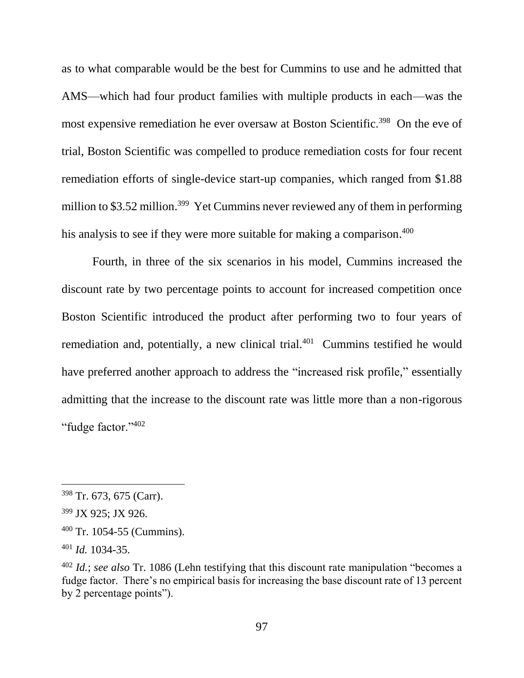as to what comparable would be the best for Cummins to use and he admitted that AMS—which had four product families with multiple products in each—was the most expensive remediation he ever oversaw at Boston Scientific.<sup>398</sup> On the eve of trial, Boston Scientific was compelled to produce remediation costs for four recent remediation efforts of single-device start-up companies, which ranged from \$1.88 million to \$3.52 million.<sup>399</sup> Yet Cummins never reviewed any of them in performing his analysis to see if they were more suitable for making a comparison.<sup>400</sup>

Fourth, in three of the six scenarios in his model, Cummins increased the discount rate by two percentage points to account for increased competition once Boston Scientific introduced the product after performing two to four years of remediation and, potentially, a new clinical trial. $401$  Cummins testified he would have preferred another approach to address the "increased risk profile," essentially admitting that the increase to the discount rate was little more than a non-rigorous "fudge factor."<sup>402</sup>

<sup>398</sup> Tr. 673, 675 (Carr).

<sup>399</sup> JX 925; JX 926.

<sup>400</sup> Tr. 1054-55 (Cummins).

<sup>401</sup> *Id.* 1034-35.

<sup>402</sup> *Id.*; *see also* Tr. 1086 (Lehn testifying that this discount rate manipulation "becomes a fudge factor. There's no empirical basis for increasing the base discount rate of 13 percent by 2 percentage points").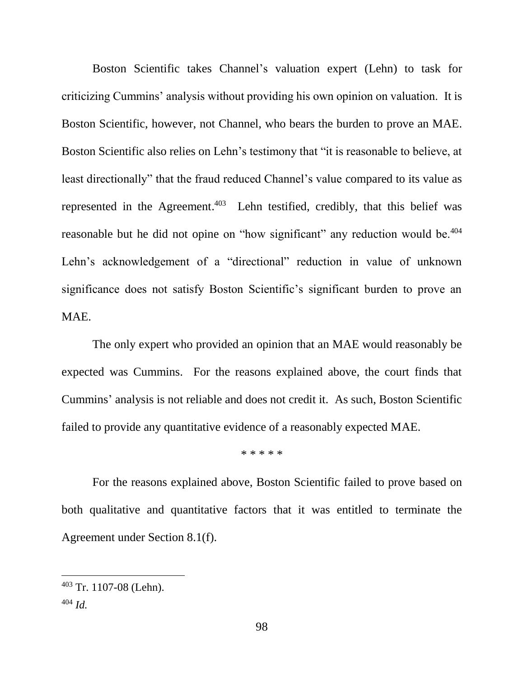Boston Scientific takes Channel's valuation expert (Lehn) to task for criticizing Cummins' analysis without providing his own opinion on valuation. It is Boston Scientific, however, not Channel, who bears the burden to prove an MAE. Boston Scientific also relies on Lehn's testimony that "it is reasonable to believe, at least directionally" that the fraud reduced Channel's value compared to its value as represented in the Agreement. 403 Lehn testified, credibly, that this belief was reasonable but he did not opine on "how significant" any reduction would be.<sup>404</sup> Lehn's acknowledgement of a "directional" reduction in value of unknown significance does not satisfy Boston Scientific's significant burden to prove an MAE.

The only expert who provided an opinion that an MAE would reasonably be expected was Cummins. For the reasons explained above, the court finds that Cummins' analysis is not reliable and does not credit it. As such, Boston Scientific failed to provide any quantitative evidence of a reasonably expected MAE.

\* \* \* \* \*

For the reasons explained above, Boston Scientific failed to prove based on both qualitative and quantitative factors that it was entitled to terminate the Agreement under Section 8.1(f).

<sup>403</sup> Tr. 1107-08 (Lehn).

<sup>404</sup> *Id.*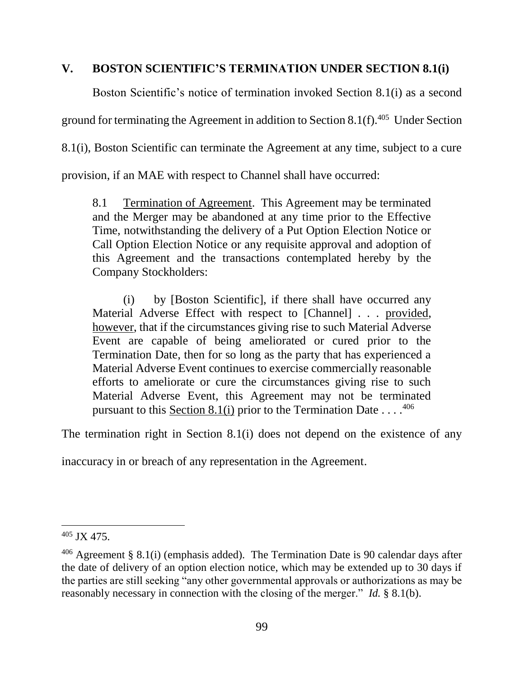# **V. BOSTON SCIENTIFIC'S TERMINATION UNDER SECTION 8.1(i)**

Boston Scientific's notice of termination invoked Section 8.1(i) as a second

ground for terminating the Agreement in addition to Section  $8.1(f)$ .<sup>405</sup> Under Section

8.1(i), Boston Scientific can terminate the Agreement at any time, subject to a cure

provision, if an MAE with respect to Channel shall have occurred:

8.1 Termination of Agreement. This Agreement may be terminated and the Merger may be abandoned at any time prior to the Effective Time, notwithstanding the delivery of a Put Option Election Notice or Call Option Election Notice or any requisite approval and adoption of this Agreement and the transactions contemplated hereby by the Company Stockholders:

(i) by [Boston Scientific], if there shall have occurred any Material Adverse Effect with respect to [Channel] . . . provided, however, that if the circumstances giving rise to such Material Adverse Event are capable of being ameliorated or cured prior to the Termination Date, then for so long as the party that has experienced a Material Adverse Event continues to exercise commercially reasonable efforts to ameliorate or cure the circumstances giving rise to such Material Adverse Event, this Agreement may not be terminated pursuant to this Section 8.1(i) prior to the Termination Date  $\dots$ .<sup>406</sup>

The termination right in Section 8.1(i) does not depend on the existence of any

inaccuracy in or breach of any representation in the Agreement.

 $405$  JX 475.

 $406$  Agreement § 8.1(i) (emphasis added). The Termination Date is 90 calendar days after the date of delivery of an option election notice, which may be extended up to 30 days if the parties are still seeking "any other governmental approvals or authorizations as may be reasonably necessary in connection with the closing of the merger." *Id.* § 8.1(b).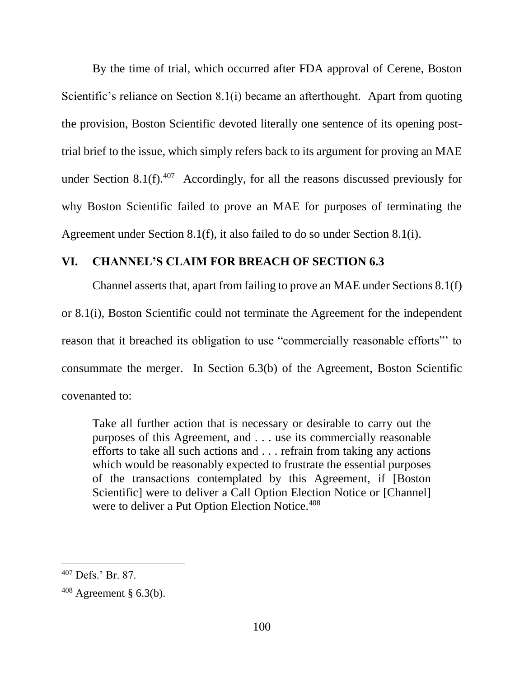By the time of trial, which occurred after FDA approval of Cerene, Boston Scientific's reliance on Section 8.1(i) became an afterthought. Apart from quoting the provision, Boston Scientific devoted literally one sentence of its opening posttrial brief to the issue, which simply refers back to its argument for proving an MAE under Section 8.1(f). $407$  Accordingly, for all the reasons discussed previously for why Boston Scientific failed to prove an MAE for purposes of terminating the Agreement under Section 8.1(f), it also failed to do so under Section 8.1(i).

## **VI. CHANNEL'S CLAIM FOR BREACH OF SECTION 6.3**

Channel asserts that, apart from failing to prove an MAE under Sections 8.1(f) or 8.1(i), Boston Scientific could not terminate the Agreement for the independent reason that it breached its obligation to use "commercially reasonable efforts"' to consummate the merger. In Section 6.3(b) of the Agreement, Boston Scientific covenanted to:

Take all further action that is necessary or desirable to carry out the purposes of this Agreement, and . . . use its commercially reasonable efforts to take all such actions and . . . refrain from taking any actions which would be reasonably expected to frustrate the essential purposes of the transactions contemplated by this Agreement, if [Boston Scientific] were to deliver a Call Option Election Notice or [Channel] were to deliver a Put Option Election Notice.<sup>408</sup>

<sup>407</sup> Defs.' Br. 87.

 $408$  Agreement § 6.3(b).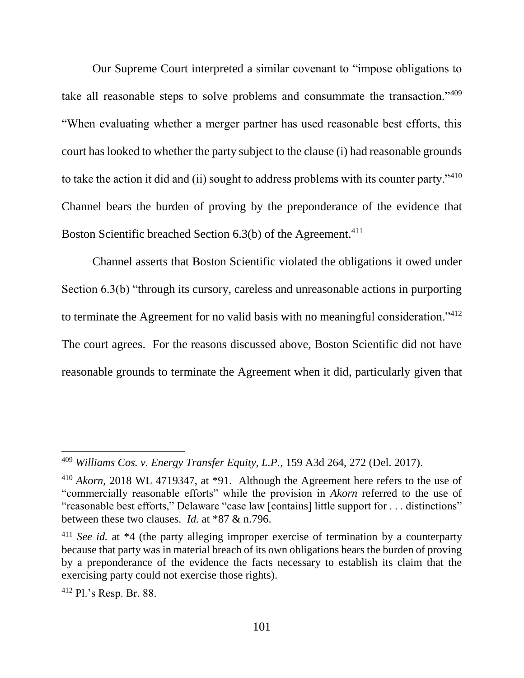Our Supreme Court interpreted a similar covenant to "impose obligations to take all reasonable steps to solve problems and consummate the transaction."<sup>409</sup> "When evaluating whether a merger partner has used reasonable best efforts, this court has looked to whether the party subject to the clause (i) had reasonable grounds to take the action it did and (ii) sought to address problems with its counter party."<sup>410</sup> Channel bears the burden of proving by the preponderance of the evidence that Boston Scientific breached Section 6.3(b) of the Agreement.<sup>411</sup>

Channel asserts that Boston Scientific violated the obligations it owed under Section 6.3(b) "through its cursory, careless and unreasonable actions in purporting to terminate the Agreement for no valid basis with no meaningful consideration." $412$ The court agrees. For the reasons discussed above, Boston Scientific did not have reasonable grounds to terminate the Agreement when it did, particularly given that

<sup>412</sup> Pl.'s Resp. Br. 88.

<sup>409</sup> *Williams Cos. v. Energy Transfer Equity, L.P.*, 159 A3d 264, 272 (Del. 2017).

<sup>410</sup> *Akorn*, 2018 WL 4719347, at \*91. Although the Agreement here refers to the use of "commercially reasonable efforts" while the provision in *Akorn* referred to the use of "reasonable best efforts," Delaware "case law [contains] little support for . . . distinctions" between these two clauses. *Id.* at \*87 & n.796.

<sup>&</sup>lt;sup>411</sup> *See id.* at \*4 (the party alleging improper exercise of termination by a counterparty because that party was in material breach of its own obligations bears the burden of proving by a preponderance of the evidence the facts necessary to establish its claim that the exercising party could not exercise those rights).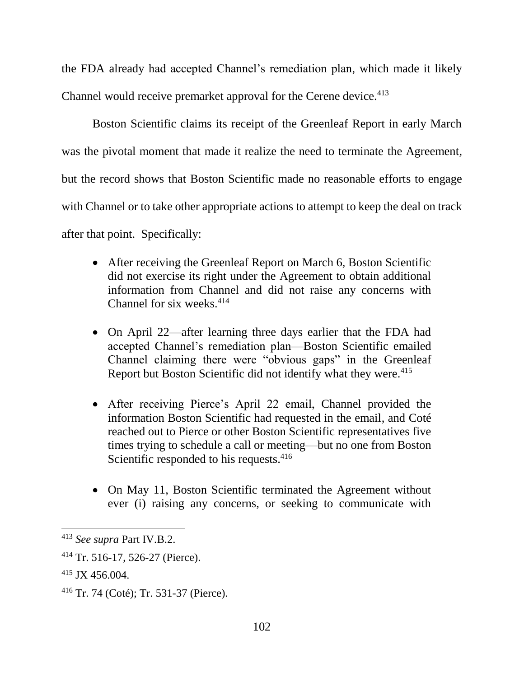the FDA already had accepted Channel's remediation plan, which made it likely Channel would receive premarket approval for the Cerene device.<sup>413</sup>

Boston Scientific claims its receipt of the Greenleaf Report in early March was the pivotal moment that made it realize the need to terminate the Agreement, but the record shows that Boston Scientific made no reasonable efforts to engage with Channel or to take other appropriate actions to attempt to keep the deal on track after that point. Specifically:

- After receiving the Greenleaf Report on March 6, Boston Scientific did not exercise its right under the Agreement to obtain additional information from Channel and did not raise any concerns with Channel for six weeks.<sup>414</sup>
- On April 22—after learning three days earlier that the FDA had accepted Channel's remediation plan—Boston Scientific emailed Channel claiming there were "obvious gaps" in the Greenleaf Report but Boston Scientific did not identify what they were.<sup>415</sup>
- After receiving Pierce's April 22 email, Channel provided the information Boston Scientific had requested in the email, and Coté reached out to Pierce or other Boston Scientific representatives five times trying to schedule a call or meeting—but no one from Boston Scientific responded to his requests.<sup>416</sup>
- On May 11, Boston Scientific terminated the Agreement without ever (i) raising any concerns, or seeking to communicate with

<sup>413</sup> *See supra* Part IV.B.2.

<sup>414</sup> Tr. 516-17, 526-27 (Pierce).

<sup>415</sup> JX 456.004.

<sup>416</sup> Tr. 74 (Coté); Tr. 531-37 (Pierce).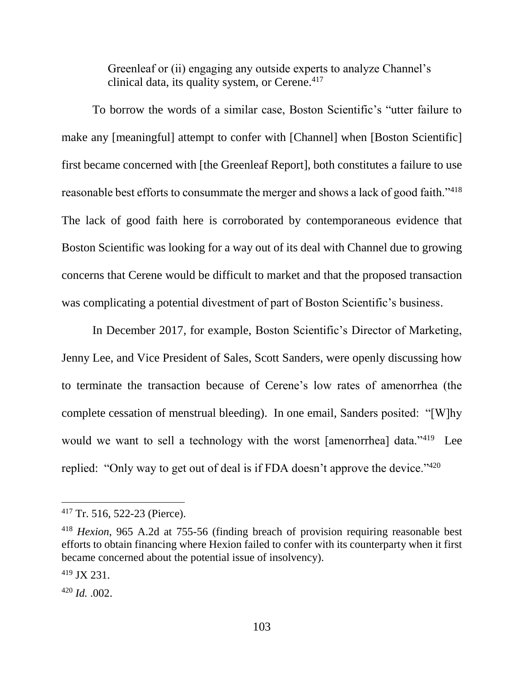Greenleaf or (ii) engaging any outside experts to analyze Channel's clinical data, its quality system, or Cerene.<sup>417</sup>

To borrow the words of a similar case, Boston Scientific's "utter failure to make any [meaningful] attempt to confer with [Channel] when [Boston Scientific] first became concerned with [the Greenleaf Report], both constitutes a failure to use reasonable best efforts to consummate the merger and shows a lack of good faith."<sup>418</sup> The lack of good faith here is corroborated by contemporaneous evidence that Boston Scientific was looking for a way out of its deal with Channel due to growing concerns that Cerene would be difficult to market and that the proposed transaction was complicating a potential divestment of part of Boston Scientific's business.

In December 2017, for example, Boston Scientific's Director of Marketing, Jenny Lee, and Vice President of Sales, Scott Sanders, were openly discussing how to terminate the transaction because of Cerene's low rates of amenorrhea (the complete cessation of menstrual bleeding). In one email, Sanders posited: "[W]hy would we want to sell a technology with the worst [amenorrhea] data."<sup>419</sup> Lee replied: "Only way to get out of deal is if FDA doesn't approve the device."<sup>420</sup>

<sup>417</sup> Tr. 516, 522-23 (Pierce).

<sup>418</sup> *Hexion*, 965 A.2d at 755-56 (finding breach of provision requiring reasonable best efforts to obtain financing where Hexion failed to confer with its counterparty when it first became concerned about the potential issue of insolvency).

<sup>419</sup> JX 231.

<sup>420</sup> *Id.* .002.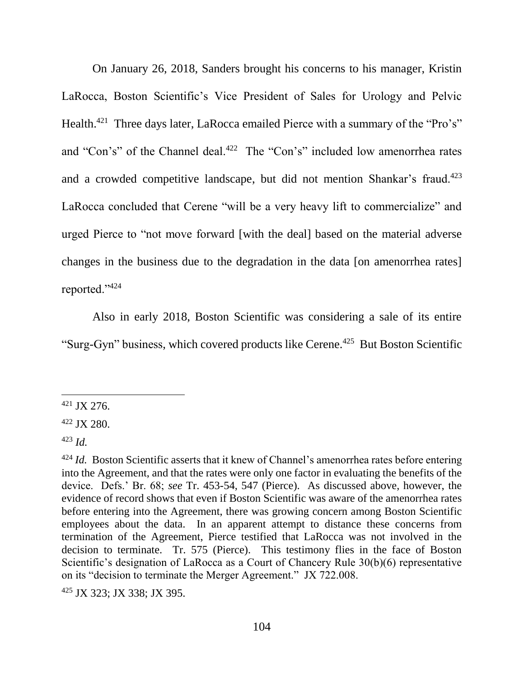On January 26, 2018, Sanders brought his concerns to his manager, Kristin LaRocca, Boston Scientific's Vice President of Sales for Urology and Pelvic Health.<sup>421</sup> Three days later, LaRocca emailed Pierce with a summary of the "Pro's" and "Con's" of the Channel deal.<sup>422</sup> The "Con's" included low amenorrhea rates and a crowded competitive landscape, but did not mention Shankar's fraud.<sup>423</sup> LaRocca concluded that Cerene "will be a very heavy lift to commercialize" and urged Pierce to "not move forward [with the deal] based on the material adverse changes in the business due to the degradation in the data [on amenorrhea rates] reported."<sup>424</sup>

Also in early 2018, Boston Scientific was considering a sale of its entire "Surg-Gyn" business, which covered products like Cerene.<sup>425</sup> But Boston Scientific

 $\overline{a}$ 

<sup>425</sup> JX 323; JX 338; JX 395.

 $421$  JX 276.

<sup>422</sup> JX 280.

<sup>423</sup> *Id.*

<sup>&</sup>lt;sup>424</sup> *Id.* Boston Scientific asserts that it knew of Channel's amenorrhea rates before entering into the Agreement, and that the rates were only one factor in evaluating the benefits of the device. Defs.' Br. 68; *see* Tr. 453-54, 547 (Pierce). As discussed above, however, the evidence of record shows that even if Boston Scientific was aware of the amenorrhea rates before entering into the Agreement, there was growing concern among Boston Scientific employees about the data. In an apparent attempt to distance these concerns from termination of the Agreement, Pierce testified that LaRocca was not involved in the decision to terminate. Tr. 575 (Pierce). This testimony flies in the face of Boston Scientific's designation of LaRocca as a Court of Chancery Rule 30(b)(6) representative on its "decision to terminate the Merger Agreement." JX 722.008.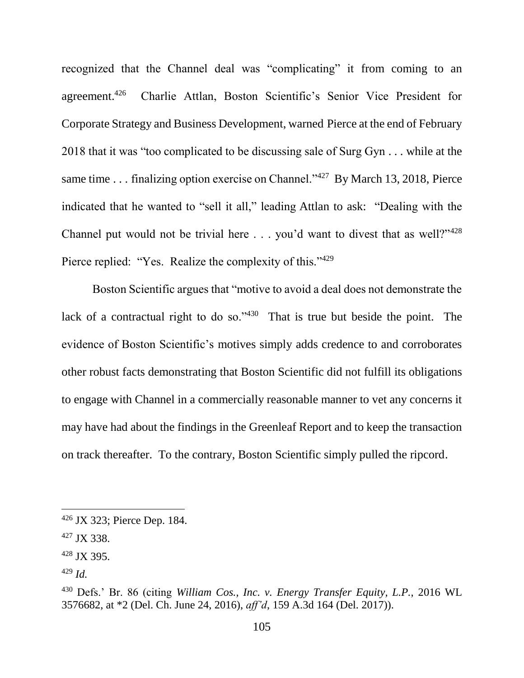recognized that the Channel deal was "complicating" it from coming to an agreement.<sup>426</sup> Charlie Attlan, Boston Scientific's Senior Vice President for Corporate Strategy and Business Development, warned Pierce at the end of February 2018 that it was "too complicated to be discussing sale of Surg Gyn . . . while at the same time . . . finalizing option exercise on Channel."<sup>427</sup> By March 13, 2018, Pierce indicated that he wanted to "sell it all," leading Attlan to ask: "Dealing with the Channel put would not be trivial here  $\ldots$  you'd want to divest that as well?"<sup>428</sup> Pierce replied: "Yes. Realize the complexity of this."<sup>429</sup>

Boston Scientific argues that "motive to avoid a deal does not demonstrate the lack of a contractual right to do so." $430$  That is true but beside the point. The evidence of Boston Scientific's motives simply adds credence to and corroborates other robust facts demonstrating that Boston Scientific did not fulfill its obligations to engage with Channel in a commercially reasonable manner to vet any concerns it may have had about the findings in the Greenleaf Report and to keep the transaction on track thereafter. To the contrary, Boston Scientific simply pulled the ripcord.

<sup>426</sup> JX 323; Pierce Dep. 184.

<sup>427</sup> JX 338.

<sup>428</sup> JX 395.

<sup>429</sup> *Id.*

<sup>430</sup> Defs.' Br. 86 (citing *William Cos., Inc. v. Energy Transfer Equity, L.P.*, 2016 WL 3576682, at \*2 (Del. Ch. June 24, 2016), *aff'd*, 159 A.3d 164 (Del. 2017)).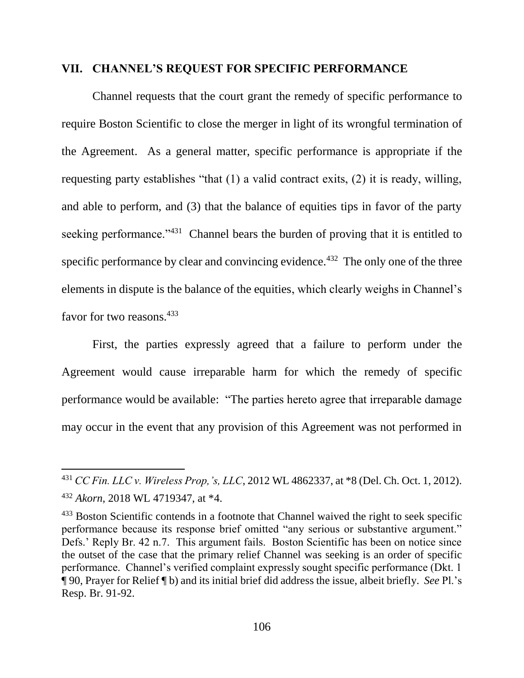#### **VII. CHANNEL'S REQUEST FOR SPECIFIC PERFORMANCE**

Channel requests that the court grant the remedy of specific performance to require Boston Scientific to close the merger in light of its wrongful termination of the Agreement. As a general matter, specific performance is appropriate if the requesting party establishes "that (1) a valid contract exits, (2) it is ready, willing, and able to perform, and (3) that the balance of equities tips in favor of the party seeking performance."<sup>431</sup> Channel bears the burden of proving that it is entitled to specific performance by clear and convincing evidence. $432$  The only one of the three elements in dispute is the balance of the equities, which clearly weighs in Channel's favor for two reasons. 433

First, the parties expressly agreed that a failure to perform under the Agreement would cause irreparable harm for which the remedy of specific performance would be available: "The parties hereto agree that irreparable damage may occur in the event that any provision of this Agreement was not performed in

<sup>431</sup> *CC Fin. LLC v. Wireless Prop,'s, LLC*, 2012 WL 4862337, at \*8 (Del. Ch. Oct. 1, 2012). <sup>432</sup> *Akorn*, 2018 WL 4719347, at \*4.

<sup>&</sup>lt;sup>433</sup> Boston Scientific contends in a footnote that Channel waived the right to seek specific performance because its response brief omitted "any serious or substantive argument." Defs.' Reply Br. 42 n.7. This argument fails. Boston Scientific has been on notice since the outset of the case that the primary relief Channel was seeking is an order of specific performance. Channel's verified complaint expressly sought specific performance (Dkt. 1 ¶ 90, Prayer for Relief ¶ b) and its initial brief did address the issue, albeit briefly. *See* Pl.'s Resp. Br. 91-92.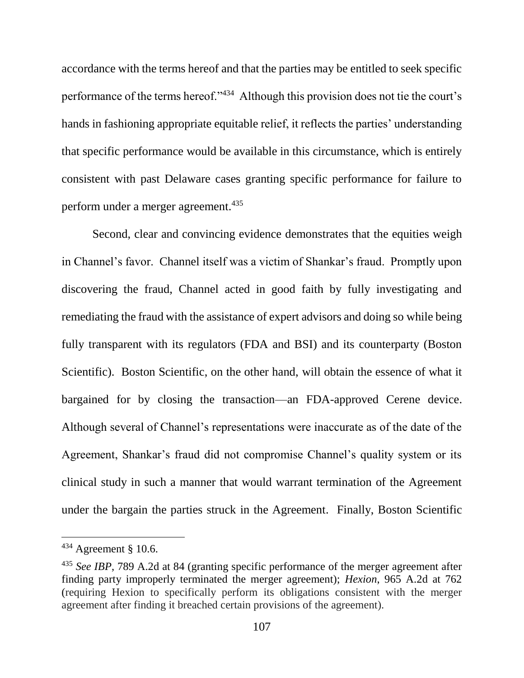accordance with the terms hereof and that the parties may be entitled to seek specific performance of the terms hereof."<sup>434</sup> Although this provision does not tie the court's hands in fashioning appropriate equitable relief, it reflects the parties' understanding that specific performance would be available in this circumstance, which is entirely consistent with past Delaware cases granting specific performance for failure to perform under a merger agreement.<sup>435</sup>

Second, clear and convincing evidence demonstrates that the equities weigh in Channel's favor. Channel itself was a victim of Shankar's fraud. Promptly upon discovering the fraud, Channel acted in good faith by fully investigating and remediating the fraud with the assistance of expert advisors and doing so while being fully transparent with its regulators (FDA and BSI) and its counterparty (Boston Scientific). Boston Scientific, on the other hand, will obtain the essence of what it bargained for by closing the transaction—an FDA-approved Cerene device. Although several of Channel's representations were inaccurate as of the date of the Agreement, Shankar's fraud did not compromise Channel's quality system or its clinical study in such a manner that would warrant termination of the Agreement under the bargain the parties struck in the Agreement. Finally, Boston Scientific

 $434$  Agreement § 10.6.

<sup>435</sup> *See IBP*, 789 A.2d at 84 (granting specific performance of the merger agreement after finding party improperly terminated the merger agreement); *Hexion*, 965 A.2d at 762 (requiring Hexion to specifically perform its obligations consistent with the merger agreement after finding it breached certain provisions of the agreement).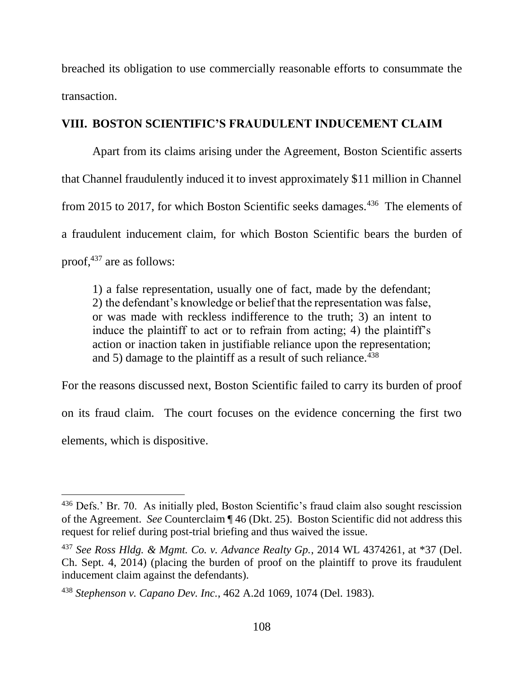breached its obligation to use commercially reasonable efforts to consummate the transaction.

## **VIII. BOSTON SCIENTIFIC'S FRAUDULENT INDUCEMENT CLAIM**

Apart from its claims arising under the Agreement, Boston Scientific asserts that Channel fraudulently induced it to invest approximately \$11 million in Channel from 2015 to 2017, for which Boston Scientific seeks damages.<sup>436</sup> The elements of a fraudulent inducement claim, for which Boston Scientific bears the burden of proof,<sup>437</sup> are as follows:

1) a false representation, usually one of fact, made by the defendant; 2) the defendant's knowledge or belief that the representation was false, or was made with reckless indifference to the truth; 3) an intent to induce the plaintiff to act or to refrain from acting; 4) the plaintiff's action or inaction taken in justifiable reliance upon the representation; and 5) damage to the plaintiff as a result of such reliance.  $438$ 

For the reasons discussed next, Boston Scientific failed to carry its burden of proof on its fraud claim. The court focuses on the evidence concerning the first two elements, which is dispositive.

<sup>&</sup>lt;sup>436</sup> Defs.' Br. 70. As initially pled, Boston Scientific's fraud claim also sought rescission of the Agreement. *See* Counterclaim ¶ 46 (Dkt. 25). Boston Scientific did not address this request for relief during post-trial briefing and thus waived the issue.

<sup>437</sup> *See Ross Hldg. & Mgmt. Co. v. Advance Realty Gp.*, 2014 WL 4374261, at \*37 (Del. Ch. Sept. 4, 2014) (placing the burden of proof on the plaintiff to prove its fraudulent inducement claim against the defendants).

<sup>438</sup> *Stephenson v. Capano Dev. Inc.*, 462 A.2d 1069, 1074 (Del. 1983).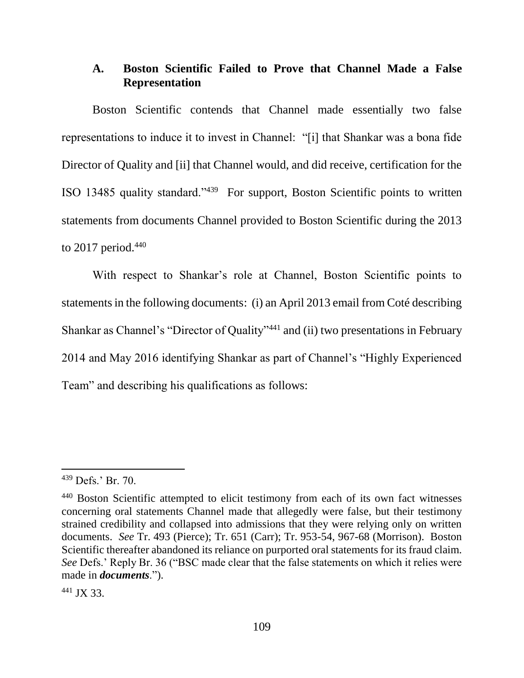## **A. Boston Scientific Failed to Prove that Channel Made a False Representation**

Boston Scientific contends that Channel made essentially two false representations to induce it to invest in Channel: "[i] that Shankar was a bona fide Director of Quality and [ii] that Channel would, and did receive, certification for the ISO 13485 quality standard."<sup>439</sup> For support, Boston Scientific points to written statements from documents Channel provided to Boston Scientific during the 2013 to 2017 period. $440$ 

With respect to Shankar's role at Channel, Boston Scientific points to statements in the following documents: (i) an April 2013 email from Coté describing Shankar as Channel's "Director of Quality"<sup>441</sup> and (ii) two presentations in February 2014 and May 2016 identifying Shankar as part of Channel's "Highly Experienced Team" and describing his qualifications as follows:

<sup>439</sup> Defs.' Br. 70.

<sup>&</sup>lt;sup>440</sup> Boston Scientific attempted to elicit testimony from each of its own fact witnesses concerning oral statements Channel made that allegedly were false, but their testimony strained credibility and collapsed into admissions that they were relying only on written documents. *See* Tr. 493 (Pierce); Tr. 651 (Carr); Tr. 953-54, 967-68 (Morrison). Boston Scientific thereafter abandoned its reliance on purported oral statements for its fraud claim. *See* Defs.' Reply Br. 36 ("BSC made clear that the false statements on which it relies were made in *documents*.").

<sup>441</sup> JX 33.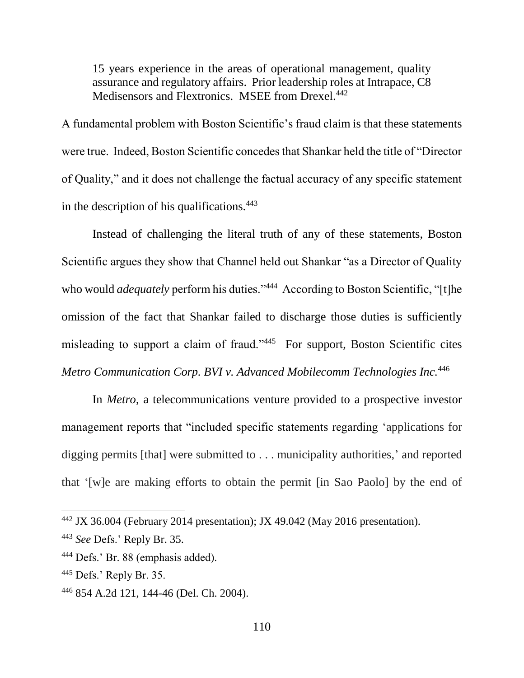15 years experience in the areas of operational management, quality assurance and regulatory affairs. Prior leadership roles at Intrapace, C8 Medisensors and Flextronics. MSEE from Drexel.<sup>442</sup>

A fundamental problem with Boston Scientific's fraud claim is that these statements were true. Indeed, Boston Scientific concedes that Shankar held the title of "Director of Quality," and it does not challenge the factual accuracy of any specific statement in the description of his qualifications.<sup>443</sup>

Instead of challenging the literal truth of any of these statements, Boston Scientific argues they show that Channel held out Shankar "as a Director of Quality who would *adequately* perform his duties."<sup>444</sup> According to Boston Scientific, "[t]he omission of the fact that Shankar failed to discharge those duties is sufficiently misleading to support a claim of fraud."<sup>445</sup> For support, Boston Scientific cites *Metro Communication Corp. BVI v. Advanced Mobilecomm Technologies Inc.*<sup>446</sup>

In *Metro*, a telecommunications venture provided to a prospective investor management reports that "included specific statements regarding 'applications for digging permits [that] were submitted to . . . municipality authorities,' and reported that '[w]e are making efforts to obtain the permit [in Sao Paolo] by the end of

<sup>442</sup> JX 36.004 (February 2014 presentation); JX 49.042 (May 2016 presentation).

<sup>443</sup> *See* Defs.' Reply Br. 35.

<sup>444</sup> Defs.' Br. 88 (emphasis added).

<sup>445</sup> Defs.' Reply Br. 35.

<sup>446</sup> 854 A.2d 121, 144-46 (Del. Ch. 2004).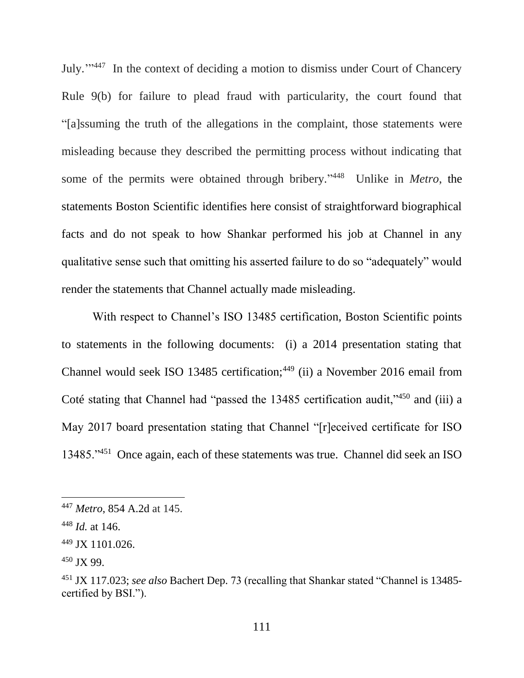July."<sup>447</sup> In the context of deciding a motion to dismiss under Court of Chancery Rule 9(b) for failure to plead fraud with particularity, the court found that "[a]ssuming the truth of the allegations in the complaint, those statements were misleading because they described the permitting process without indicating that some of the permits were obtained through bribery." 448 Unlike in *Metro*, the statements Boston Scientific identifies here consist of straightforward biographical facts and do not speak to how Shankar performed his job at Channel in any qualitative sense such that omitting his asserted failure to do so "adequately" would render the statements that Channel actually made misleading.

With respect to Channel's ISO 13485 certification, Boston Scientific points to statements in the following documents: (i) a 2014 presentation stating that Channel would seek ISO 13485 certification;<sup>449</sup> (ii) a November 2016 email from Coté stating that Channel had "passed the 13485 certification audit,"<sup>450</sup> and (iii) a May 2017 board presentation stating that Channel "[r]eceived certificate for ISO 13485."<sup>451</sup> Once again, each of these statements was true. Channel did seek an ISO

<sup>447</sup> *Metro*, 854 A.2d at 145.

<sup>448</sup> *Id.* at 146.

<sup>449</sup> JX 1101.026.

<sup>450</sup> JX 99.

<sup>451</sup> JX 117.023; *see also* Bachert Dep. 73 (recalling that Shankar stated "Channel is 13485 certified by BSI.").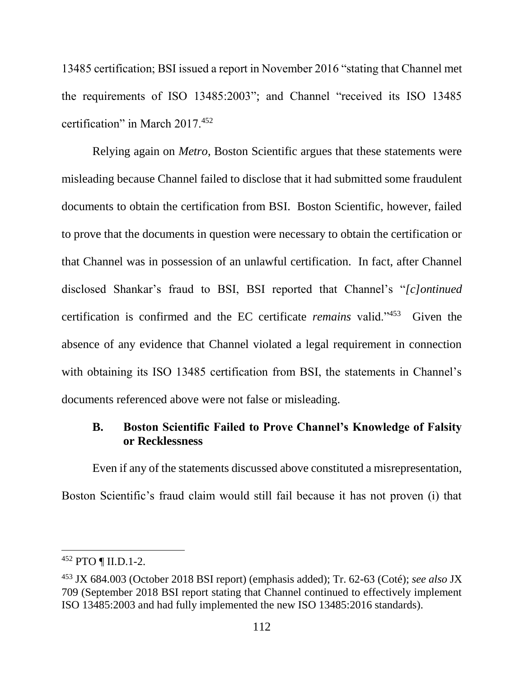13485 certification; BSI issued a report in November 2016 "stating that Channel met the requirements of ISO 13485:2003"; and Channel "received its ISO 13485 certification" in March 2017.<sup>452</sup>

Relying again on *Metro*, Boston Scientific argues that these statements were misleading because Channel failed to disclose that it had submitted some fraudulent documents to obtain the certification from BSI. Boston Scientific, however, failed to prove that the documents in question were necessary to obtain the certification or that Channel was in possession of an unlawful certification. In fact, after Channel disclosed Shankar's fraud to BSI, BSI reported that Channel's "*[c]ontinued* certification is confirmed and the EC certificate *remains* valid."<sup>453</sup> Given the absence of any evidence that Channel violated a legal requirement in connection with obtaining its ISO 13485 certification from BSI, the statements in Channel's documents referenced above were not false or misleading.

## **B. Boston Scientific Failed to Prove Channel's Knowledge of Falsity or Recklessness**

Even if any of the statements discussed above constituted a misrepresentation, Boston Scientific's fraud claim would still fail because it has not proven (i) that

<sup>452</sup> PTO ¶ II.D.1-2.

<sup>453</sup> JX 684.003 (October 2018 BSI report) (emphasis added); Tr. 62-63 (Coté); *see also* JX 709 (September 2018 BSI report stating that Channel continued to effectively implement ISO 13485:2003 and had fully implemented the new ISO 13485:2016 standards).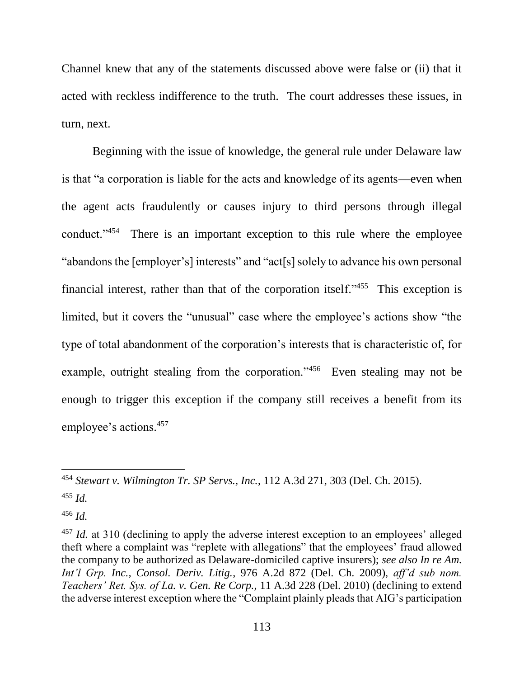Channel knew that any of the statements discussed above were false or (ii) that it acted with reckless indifference to the truth. The court addresses these issues, in turn, next.

Beginning with the issue of knowledge, the general rule under Delaware law is that "a corporation is liable for the acts and knowledge of its agents—even when the agent acts fraudulently or causes injury to third persons through illegal conduct."<sup>454</sup> There is an important exception to this rule where the employee "abandons the [employer's] interests" and "act[s] solely to advance his own personal financial interest, rather than that of the corporation itself."<sup>455</sup> This exception is limited, but it covers the "unusual" case where the employee's actions show "the type of total abandonment of the corporation's interests that is characteristic of, for example, outright stealing from the corporation."<sup>456</sup> Even stealing may not be enough to trigger this exception if the company still receives a benefit from its employee's actions.<sup>457</sup>

<sup>454</sup> *Stewart v. Wilmington Tr. SP Servs., Inc.*, 112 A.3d 271, 303 (Del. Ch. 2015).

<sup>455</sup> *Id.*

<sup>456</sup> *Id.*

<sup>&</sup>lt;sup>457</sup> *Id.* at 310 (declining to apply the adverse interest exception to an employees' alleged theft where a complaint was "replete with allegations" that the employees' fraud allowed the company to be authorized as Delaware-domiciled captive insurers); *see also In re Am. Int'l Grp. Inc., Consol. Deriv. Litig.*, 976 A.2d 872 (Del. Ch. 2009), *aff'd sub nom. Teachers' Ret. Sys. of La. v. Gen. Re Corp.*, 11 A.3d 228 (Del. 2010) (declining to extend the adverse interest exception where the "Complaint plainly pleads that AIG's participation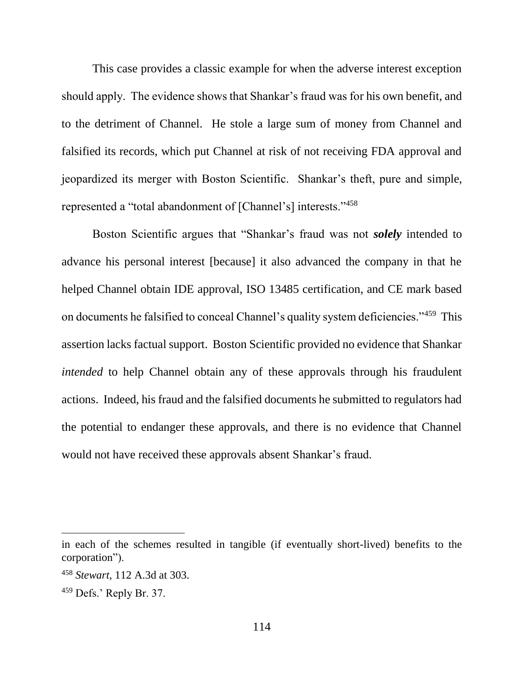This case provides a classic example for when the adverse interest exception should apply. The evidence shows that Shankar's fraud was for his own benefit, and to the detriment of Channel. He stole a large sum of money from Channel and falsified its records, which put Channel at risk of not receiving FDA approval and jeopardized its merger with Boston Scientific. Shankar's theft, pure and simple, represented a "total abandonment of [Channel's] interests."<sup>458</sup>

Boston Scientific argues that "Shankar's fraud was not *solely* intended to advance his personal interest [because] it also advanced the company in that he helped Channel obtain IDE approval, ISO 13485 certification, and CE mark based on documents he falsified to conceal Channel's quality system deficiencies."<sup>459</sup> This assertion lacks factual support. Boston Scientific provided no evidence that Shankar *intended* to help Channel obtain any of these approvals through his fraudulent actions. Indeed, his fraud and the falsified documents he submitted to regulators had the potential to endanger these approvals, and there is no evidence that Channel would not have received these approvals absent Shankar's fraud.

in each of the schemes resulted in tangible (if eventually short-lived) benefits to the corporation").

<sup>458</sup> *Stewart*, 112 A.3d at 303.

<sup>459</sup> Defs.' Reply Br. 37.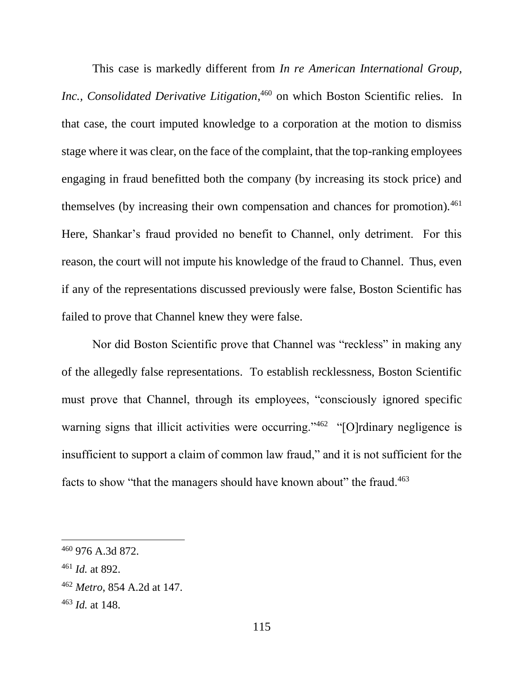This case is markedly different from *In re American International Group,*  Inc., Consolidated Derivative Litigation,<sup>460</sup> on which Boston Scientific relies. In that case, the court imputed knowledge to a corporation at the motion to dismiss stage where it was clear, on the face of the complaint, that the top-ranking employees engaging in fraud benefitted both the company (by increasing its stock price) and themselves (by increasing their own compensation and chances for promotion).<sup>461</sup> Here, Shankar's fraud provided no benefit to Channel, only detriment. For this reason, the court will not impute his knowledge of the fraud to Channel. Thus, even if any of the representations discussed previously were false, Boston Scientific has failed to prove that Channel knew they were false.

Nor did Boston Scientific prove that Channel was "reckless" in making any of the allegedly false representations. To establish recklessness, Boston Scientific must prove that Channel, through its employees, "consciously ignored specific warning signs that illicit activities were occurring." 462 "[O]rdinary negligence is insufficient to support a claim of common law fraud," and it is not sufficient for the facts to show "that the managers should have known about" the fraud.<sup>463</sup>

<sup>460</sup> 976 A.3d 872.

<sup>461</sup> *Id.* at 892.

<sup>462</sup> *Metro*, 854 A.2d at 147.

<sup>463</sup> *Id.* at 148.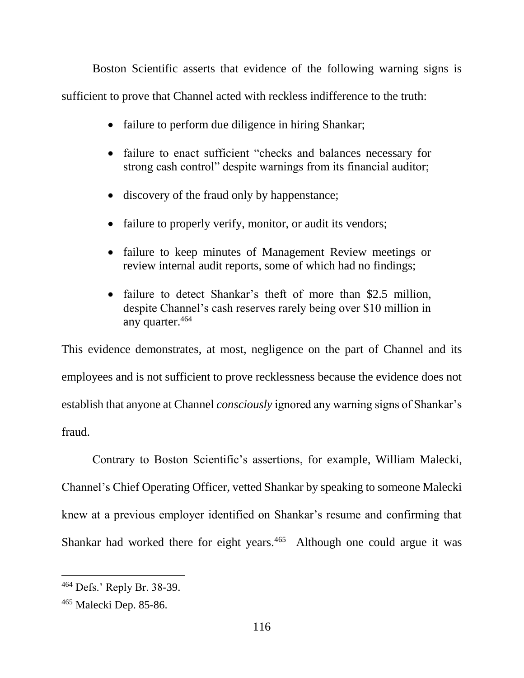Boston Scientific asserts that evidence of the following warning signs is sufficient to prove that Channel acted with reckless indifference to the truth:

- failure to perform due diligence in hiring Shankar;
- failure to enact sufficient "checks and balances necessary for strong cash control" despite warnings from its financial auditor;
- discovery of the fraud only by happenstance;
- failure to properly verify, monitor, or audit its vendors;
- failure to keep minutes of Management Review meetings or review internal audit reports, some of which had no findings;
- failure to detect Shankar's theft of more than \$2.5 million, despite Channel's cash reserves rarely being over \$10 million in any quarter.<sup>464</sup>

This evidence demonstrates, at most, negligence on the part of Channel and its employees and is not sufficient to prove recklessness because the evidence does not establish that anyone at Channel *consciously* ignored any warning signs of Shankar's fraud.

Contrary to Boston Scientific's assertions, for example, William Malecki, Channel's Chief Operating Officer, vetted Shankar by speaking to someone Malecki knew at a previous employer identified on Shankar's resume and confirming that Shankar had worked there for eight years.<sup>465</sup> Although one could argue it was

<sup>464</sup> Defs.' Reply Br. 38-39.

<sup>465</sup> Malecki Dep. 85-86.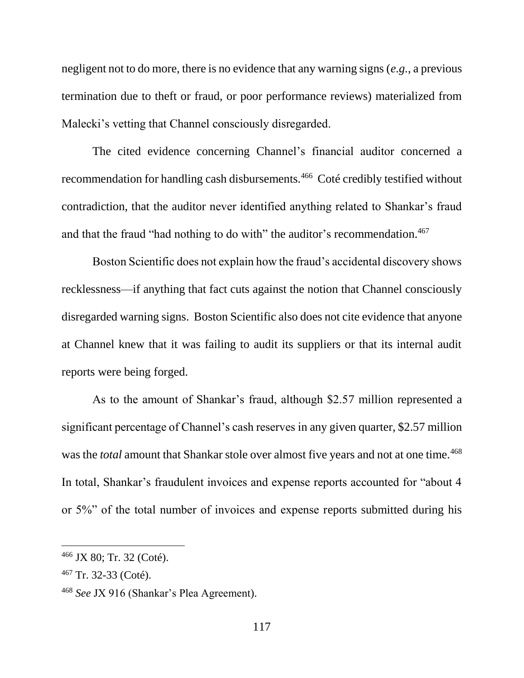negligent not to do more, there is no evidence that any warning signs (*e.g.*, a previous termination due to theft or fraud, or poor performance reviews) materialized from Malecki's vetting that Channel consciously disregarded.

The cited evidence concerning Channel's financial auditor concerned a recommendation for handling cash disbursements.<sup>466</sup> Coté credibly testified without contradiction, that the auditor never identified anything related to Shankar's fraud and that the fraud "had nothing to do with" the auditor's recommendation.<sup>467</sup>

Boston Scientific does not explain how the fraud's accidental discovery shows recklessness—if anything that fact cuts against the notion that Channel consciously disregarded warning signs. Boston Scientific also does not cite evidence that anyone at Channel knew that it was failing to audit its suppliers or that its internal audit reports were being forged.

As to the amount of Shankar's fraud, although \$2.57 million represented a significant percentage of Channel's cash reserves in any given quarter, \$2.57 million was the *total* amount that Shankar stole over almost five years and not at one time.<sup>468</sup> In total, Shankar's fraudulent invoices and expense reports accounted for "about 4 or 5%" of the total number of invoices and expense reports submitted during his

<sup>466</sup> JX 80; Tr. 32 (Coté).

<sup>467</sup> Tr. 32-33 (Coté).

<sup>468</sup> *See* JX 916 (Shankar's Plea Agreement).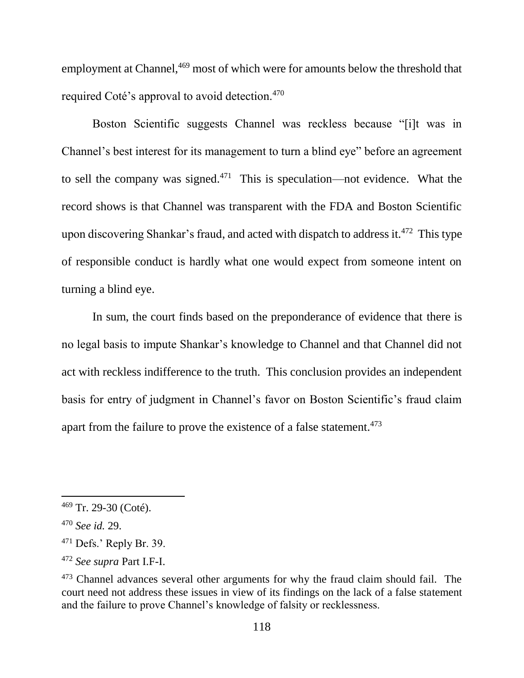employment at Channel,<sup>469</sup> most of which were for amounts below the threshold that required Coté's approval to avoid detection.<sup>470</sup>

Boston Scientific suggests Channel was reckless because "[i]t was in Channel's best interest for its management to turn a blind eye" before an agreement to sell the company was signed. $471$  This is speculation—not evidence. What the record shows is that Channel was transparent with the FDA and Boston Scientific upon discovering Shankar's fraud, and acted with dispatch to address it.<sup>472</sup> This type of responsible conduct is hardly what one would expect from someone intent on turning a blind eye.

In sum, the court finds based on the preponderance of evidence that there is no legal basis to impute Shankar's knowledge to Channel and that Channel did not act with reckless indifference to the truth. This conclusion provides an independent basis for entry of judgment in Channel's favor on Boston Scientific's fraud claim apart from the failure to prove the existence of a false statement.<sup>473</sup>

<sup>469</sup> Tr. 29-30 (Coté).

<sup>470</sup> *See id.* 29.

 $471$  Defs.' Reply Br. 39.

<sup>472</sup> *See supra* Part I.F-I.

<sup>&</sup>lt;sup>473</sup> Channel advances several other arguments for why the fraud claim should fail. The court need not address these issues in view of its findings on the lack of a false statement and the failure to prove Channel's knowledge of falsity or recklessness.